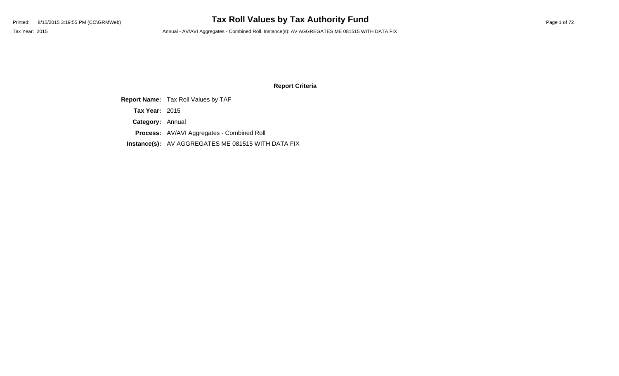# Printed: 8/15/2015 3:19:55 PM (CO\GRMWeb) **Tax Roll Values by Tax Authority Fund** Page 1 of 72

Tax Year: 2015 **Annual - AV/AVI Aggregates - Combined Roll, Instance(s): AV AGGREGATES ME 081515 WITH DATA FIX** 

#### **Report Criteria**

**Report Name:** Tax Roll Values by TAF

**Tax Year:** 2015

**Category:** Annual

**Process:** AV/AVI Aggregates - Combined Roll

**Instance(s):** AV AGGREGATES ME 081515 WITH DATA FIX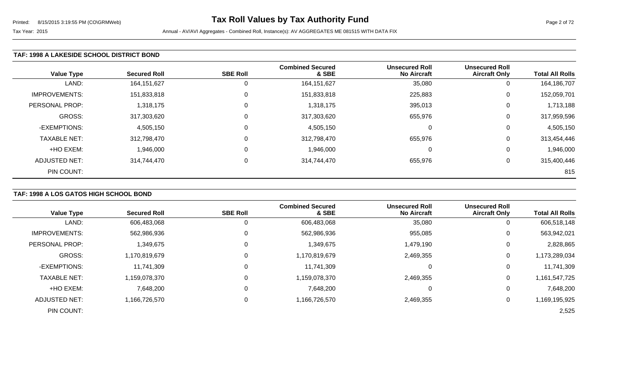### **TAF: 1998 A LAKESIDE SCHOOL DISTRICT BOND**

| <b>Value Type</b>    | <b>Secured Roll</b> | <b>SBE Roll</b> | <b>Combined Secured</b><br>& SBE | <b>Unsecured Roll</b><br><b>No Aircraft</b> | <b>Unsecured Roll</b><br><b>Aircraft Only</b> | <b>Total All Rolls</b> |
|----------------------|---------------------|-----------------|----------------------------------|---------------------------------------------|-----------------------------------------------|------------------------|
| LAND:                | 164, 151, 627       |                 | 164, 151, 627                    | 35,080                                      | υ                                             | 164,186,707            |
| <b>IMPROVEMENTS:</b> | 151,833,818         |                 | 151,833,818                      | 225,883                                     | $\Omega$                                      | 152,059,701            |
| PERSONAL PROP:       | 1,318,175           | 0               | 1,318,175                        | 395,013                                     | 0                                             | 1,713,188              |
| GROSS:               | 317,303,620         |                 | 317,303,620                      | 655,976                                     | $\Omega$                                      | 317,959,596            |
| -EXEMPTIONS:         | 4,505,150           | $\Omega$        | 4,505,150                        | 0                                           | $\Omega$                                      | 4,505,150              |
| <b>TAXABLE NET:</b>  | 312,798,470         |                 | 312,798,470                      | 655,976                                     | $\Omega$                                      | 313,454,446            |
| +HO EXEM:            | 1,946,000           |                 | 1,946,000                        | 0                                           | $\Omega$                                      | 1,946,000              |
| ADJUSTED NET:        | 314,744,470         | $\Omega$        | 314,744,470                      | 655,976                                     | 0                                             | 315,400,446            |
| PIN COUNT:           |                     |                 |                                  |                                             |                                               | 815                    |

### **TAF: 1998 A LOS GATOS HIGH SCHOOL BOND**

| <b>Value Type</b>    | <b>Secured Roll</b> | <b>SBE Roll</b> | <b>Combined Secured</b><br>& SBE | <b>Unsecured Roll</b><br><b>No Aircraft</b> | <b>Unsecured Roll</b><br><b>Aircraft Only</b> | <b>Total All Rolls</b> |
|----------------------|---------------------|-----------------|----------------------------------|---------------------------------------------|-----------------------------------------------|------------------------|
| LAND:                | 606,483,068         | 0               | 606,483,068                      | 35,080                                      | 0                                             | 606,518,148            |
| <b>IMPROVEMENTS:</b> | 562,986,936         | 0               | 562,986,936                      | 955,085                                     | 0                                             | 563,942,021            |
| PERSONAL PROP:       | 1,349,675           | 0               | 1,349,675                        | 1,479,190                                   | 0                                             | 2,828,865              |
| GROSS:               | 1,170,819,679       | 0               | 1,170,819,679                    | 2,469,355                                   | 0                                             | 1,173,289,034          |
| -EXEMPTIONS:         | 11,741,309          | 0               | 11,741,309                       |                                             | 0                                             | 11,741,309             |
| <b>TAXABLE NET:</b>  | 1,159,078,370       | 0               | 1,159,078,370                    | 2,469,355                                   | 0                                             | 1,161,547,725          |
| +HO EXEM:            | 7,648,200           | 0               | 7,648,200                        | 0                                           | 0                                             | 7,648,200              |
| <b>ADJUSTED NET:</b> | 1,166,726,570       | 0               | 1,166,726,570                    | 2,469,355                                   | 0                                             | 1,169,195,925          |
| PIN COUNT:           |                     |                 |                                  |                                             |                                               | 2,525                  |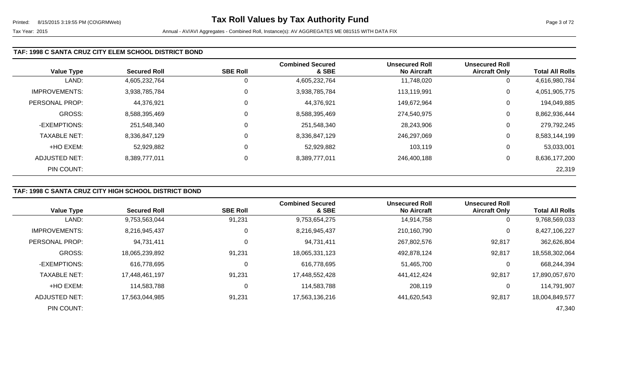### **TAF: 1998 C SANTA CRUZ CITY ELEM SCHOOL DISTRICT BOND**

|                      |                     |                 | <b>Combined Secured</b> | <b>Unsecured Roll</b> | <b>Unsecured Roll</b> |                        |
|----------------------|---------------------|-----------------|-------------------------|-----------------------|-----------------------|------------------------|
| <b>Value Type</b>    | <b>Secured Roll</b> | <b>SBE Roll</b> | & SBE                   | <b>No Aircraft</b>    | <b>Aircraft Only</b>  | <b>Total All Rolls</b> |
| LAND:                | 4,605,232,764       |                 | 4,605,232,764           | 11,748,020            | 0                     | 4,616,980,784          |
| <b>IMPROVEMENTS:</b> | 3,938,785,784       | $\Omega$        | 3,938,785,784           | 113,119,991           | 0                     | 4,051,905,775          |
| PERSONAL PROP:       | 44,376,921          | 0               | 44,376,921              | 149,672,964           | 0                     | 194,049,885            |
| <b>GROSS:</b>        | 8,588,395,469       | 0               | 8,588,395,469           | 274,540,975           | 0                     | 8,862,936,444          |
| -EXEMPTIONS:         | 251,548,340         |                 | 251,548,340             | 28,243,906            | 0                     | 279,792,245            |
| <b>TAXABLE NET:</b>  | 8,336,847,129       | $\mathbf 0$     | 8,336,847,129           | 246,297,069           | 0                     | 8,583,144,199          |
| +HO EXEM:            | 52,929,882          |                 | 52,929,882              | 103,119               | 0                     | 53,033,001             |
| ADJUSTED NET:        | 8,389,777,011       | 0               | 8,389,777,011           | 246,400,188           | 0                     | 8,636,177,200          |
| PIN COUNT:           |                     |                 |                         |                       |                       | 22,319                 |

# **TAF: 1998 C SANTA CRUZ CITY HIGH SCHOOL DISTRICT BOND**

|                       |                     |                 | <b>Combined Secured</b> | <b>Unsecured Roll</b> | <b>Unsecured Roll</b> |                        |
|-----------------------|---------------------|-----------------|-------------------------|-----------------------|-----------------------|------------------------|
| <b>Value Type</b>     | <b>Secured Roll</b> | <b>SBE Roll</b> | & SBE                   | <b>No Aircraft</b>    | <b>Aircraft Only</b>  | <b>Total All Rolls</b> |
| LAND:                 | 9,753,563,044       | 91,231          | 9,753,654,275           | 14,914,758            | 0                     | 9,768,569,033          |
| <b>IMPROVEMENTS:</b>  | 8,216,945,437       | 0               | 8,216,945,437           | 210,160,790           | $\mathbf 0$           | 8,427,106,227          |
| <b>PERSONAL PROP:</b> | 94,731,411          | $\mathbf 0$     | 94,731,411              | 267,802,576           | 92,817                | 362,626,804            |
| GROSS:                | 18,065,239,892      | 91,231          | 18,065,331,123          | 492,878,124           | 92,817                | 18,558,302,064         |
| -EXEMPTIONS:          | 616,778,695         | 0               | 616,778,695             | 51,465,700            | 0                     | 668,244,394            |
| <b>TAXABLE NET:</b>   | 17.448.461.197      | 91,231          | 17,448,552,428          | 441.412.424           | 92,817                | 17,890,057,670         |
| +HO EXEM:             | 114,583,788         | $\pmb{0}$       | 114,583,788             | 208,119               | 0                     | 114,791,907            |
| ADJUSTED NET:         | 17,563,044,985      | 91,231          | 17,563,136,216          | 441.620.543           | 92,817                | 18,004,849,577         |
| PIN COUNT:            |                     |                 |                         |                       |                       | 47,340                 |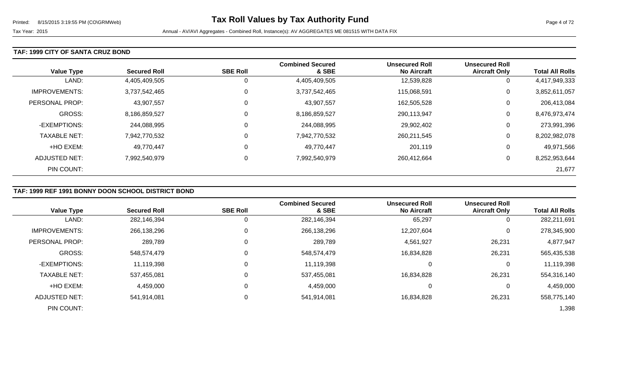#### **TAF: 1999 CITY OF SANTA CRUZ BOND**

| <b>Value Type</b>     | <b>Secured Roll</b> | <b>SBE Roll</b> | <b>Combined Secured</b><br>& SBE | <b>Unsecured Roll</b><br><b>No Aircraft</b> | <b>Unsecured Roll</b><br><b>Aircraft Only</b> | <b>Total All Rolls</b> |
|-----------------------|---------------------|-----------------|----------------------------------|---------------------------------------------|-----------------------------------------------|------------------------|
| LAND:                 | 4,405,409,505       | 0               | 4,405,409,505                    | 12,539,828                                  | U                                             | 4,417,949,333          |
| <b>IMPROVEMENTS:</b>  | 3,737,542,465       | $\mathbf 0$     | 3,737,542,465                    | 115,068,591                                 | 0                                             | 3,852,611,057          |
| <b>PERSONAL PROP:</b> | 43,907,557          | 0               | 43,907,557                       | 162,505,528                                 | U                                             | 206,413,084            |
| <b>GROSS:</b>         | 8,186,859,527       | 0               | 8,186,859,527                    | 290,113,947                                 | 0                                             | 8,476,973,474          |
| -EXEMPTIONS:          | 244,088,995         | 0               | 244,088,995                      | 29,902,402                                  | U                                             | 273,991,396            |
| <b>TAXABLE NET:</b>   | 7,942,770,532       | 0               | 7,942,770,532                    | 260,211,545                                 | 0                                             | 8,202,982,078          |
| +HO EXEM:             | 49,770,447          | 0               | 49,770,447                       | 201,119                                     | 0                                             | 49,971,566             |
| ADJUSTED NET:         | 7,992,540,979       | 0               | 7,992,540,979                    | 260,412,664                                 | 0                                             | 8,252,953,644          |
| PIN COUNT:            |                     |                 |                                  |                                             |                                               | 21,677                 |

### **TAF: 1999 REF 1991 BONNY DOON SCHOOL DISTRICT BOND**

|                       |                     |                 | <b>Combined Secured</b> | <b>Unsecured Roll</b> | <b>Unsecured Roll</b> |                        |
|-----------------------|---------------------|-----------------|-------------------------|-----------------------|-----------------------|------------------------|
| <b>Value Type</b>     | <b>Secured Roll</b> | <b>SBE Roll</b> | & SBE                   | <b>No Aircraft</b>    | <b>Aircraft Only</b>  | <b>Total All Rolls</b> |
| LAND:                 | 282,146,394         |                 | 282,146,394             | 65,297                | 0                     | 282,211,691            |
| <b>IMPROVEMENTS:</b>  | 266,138,296         |                 | 266,138,296             | 12,207,604            | 0                     | 278,345,900            |
| <b>PERSONAL PROP:</b> | 289,789             |                 | 289,789                 | 4,561,927             | 26,231                | 4,877,947              |
| <b>GROSS:</b>         | 548,574,479         |                 | 548,574,479             | 16,834,828            | 26,231                | 565,435,538            |
| -EXEMPTIONS:          | 11,119,398          |                 | 11,119,398              | 0                     | 0                     | 11,119,398             |
| <b>TAXABLE NET:</b>   | 537,455,081         |                 | 537,455,081             | 16,834,828            | 26,231                | 554,316,140            |
| +HO EXEM:             | 4,459,000           |                 | 4,459,000               | 0                     | 0                     | 4,459,000              |
| ADJUSTED NET:         | 541,914,081         |                 | 541,914,081             | 16,834,828            | 26,231                | 558,775,140            |
| PIN COUNT:            |                     |                 |                         |                       |                       | 1,398                  |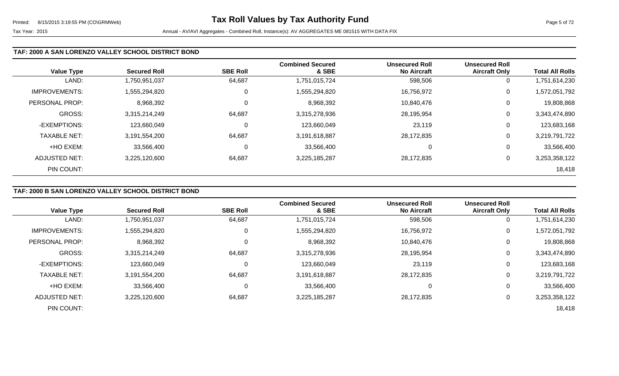| <b>Value Type</b>    | <b>Secured Roll</b> | <b>SBE Roll</b> | <b>Combined Secured</b><br>& SBE | <b>Unsecured Roll</b><br><b>No Aircraft</b> | <b>Unsecured Roll</b><br><b>Aircraft Only</b> | <b>Total All Rolls</b> |
|----------------------|---------------------|-----------------|----------------------------------|---------------------------------------------|-----------------------------------------------|------------------------|
| LAND:                | ,750,951,037        | 64,687          | 1,751,015,724                    | 598,506                                     | 0                                             | 1,751,614,230          |
| <b>IMPROVEMENTS:</b> | 1,555,294,820       | 0               | 1,555,294,820                    | 16,756,972                                  | $\overline{0}$                                | 1,572,051,792          |
| PERSONAL PROP:       | 8,968,392           | 0               | 8,968,392                        | 10,840,476                                  | 0                                             | 19,808,868             |
| <b>GROSS:</b>        | 3,315,214,249       | 64,687          | 3,315,278,936                    | 28,195,954                                  | 0                                             | 3,343,474,890          |
| -EXEMPTIONS:         | 123,660,049         | 0               | 123,660,049                      | 23,119                                      | $\overline{0}$                                | 123,683,168            |
| <b>TAXABLE NET:</b>  | 3,191,554,200       | 64,687          | 3,191,618,887                    | 28,172,835                                  | $\mathbf 0$                                   | 3,219,791,722          |
| +HO EXEM:            | 33,566,400          | 0               | 33,566,400                       |                                             | 0                                             | 33,566,400             |
| ADJUSTED NET:        | 3,225,120,600       | 64,687          | 3,225,185,287                    | 28,172,835                                  | 0                                             | 3,253,358,122          |
| PIN COUNT:           |                     |                 |                                  |                                             |                                               | 18,418                 |

# **TAF: 2000 B SAN LORENZO VALLEY SCHOOL DISTRICT BOND**

|                      |                     |                 | <b>Combined Secured</b> | <b>Unsecured Roll</b> | <b>Unsecured Roll</b> |                        |
|----------------------|---------------------|-----------------|-------------------------|-----------------------|-----------------------|------------------------|
| <b>Value Type</b>    | <b>Secured Roll</b> | <b>SBE Roll</b> | & SBE                   | <b>No Aircraft</b>    | <b>Aircraft Only</b>  | <b>Total All Rolls</b> |
| LAND:                | 1,750,951,037       | 64,687          | 1,751,015,724           | 598,506               | 0                     | 1,751,614,230          |
| <b>IMPROVEMENTS:</b> | 1,555,294,820       | 0               | 1,555,294,820           | 16,756,972            | 0                     | 1,572,051,792          |
| PERSONAL PROP:       | 8,968,392           | 0               | 8,968,392               | 10,840,476            | 0                     | 19,808,868             |
| <b>GROSS:</b>        | 3,315,214,249       | 64,687          | 3,315,278,936           | 28,195,954            | 0                     | 3,343,474,890          |
| -EXEMPTIONS:         | 123,660,049         | 0               | 123,660,049             | 23,119                | 0                     | 123,683,168            |
| <b>TAXABLE NET:</b>  | 3,191,554,200       | 64,687          | 3,191,618,887           | 28,172,835            | 0                     | 3,219,791,722          |
| +HO EXEM:            | 33,566,400          | $\mathbf 0$     | 33,566,400              | 0                     | 0                     | 33,566,400             |
| ADJUSTED NET:        | 3.225.120.600       | 64,687          | 3,225,185,287           | 28,172,835            | 0                     | 3,253,358,122          |
| PIN COUNT:           |                     |                 |                         |                       |                       | 18,418                 |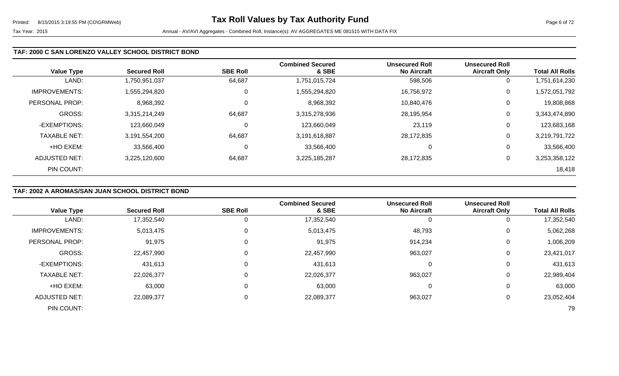### **TAF: 2000 C SAN LORENZO VALLEY SCHOOL DISTRICT BOND**

| <b>Value Type</b>    | <b>Secured Roll</b> | <b>SBE Roll</b> | <b>Combined Secured</b><br>& SBE | <b>Unsecured Roll</b><br><b>No Aircraft</b> | <b>Unsecured Roll</b><br><b>Aircraft Only</b> | <b>Total All Rolls</b> |
|----------------------|---------------------|-----------------|----------------------------------|---------------------------------------------|-----------------------------------------------|------------------------|
| LAND:                | 1,750,951,037       | 64,687          | 1,751,015,724                    | 598,506                                     | 0                                             | 1,751,614,230          |
| <b>IMPROVEMENTS:</b> | 1,555,294,820       | 0               | 1,555,294,820                    | 16,756,972                                  | 0                                             | 1,572,051,792          |
| PERSONAL PROP:       | 8,968,392           | $\Omega$        | 8,968,392                        | 10,840,476                                  | 0                                             | 19,808,868             |
| <b>GROSS:</b>        | 3,315,214,249       | 64,687          | 3,315,278,936                    | 28,195,954                                  | 0                                             | 3,343,474,890          |
| -EXEMPTIONS:         | 123,660,049         | $\Omega$        | 123,660,049                      | 23,119                                      | 0                                             | 123,683,168            |
| <b>TAXABLE NET:</b>  | 3,191,554,200       | 64,687          | 3,191,618,887                    | 28,172,835                                  | $\mathbf 0$                                   | 3,219,791,722          |
| +HO EXEM:            | 33,566,400          | $\mathbf 0$     | 33,566,400                       | 0                                           | 0                                             | 33,566,400             |
| ADJUSTED NET:        | 3,225,120,600       | 64,687          | 3,225,185,287                    | 28,172,835                                  | 0                                             | 3,253,358,122          |
| PIN COUNT:           |                     |                 |                                  |                                             |                                               | 18,418                 |

### **TAF: 2002 A AROMAS/SAN JUAN SCHOOL DISTRICT BOND**

| <b>Value Type</b>    | <b>Secured Roll</b> | <b>SBE Roll</b> | <b>Combined Secured</b><br>& SBE | <b>Unsecured Roll</b><br><b>No Aircraft</b> | <b>Unsecured Roll</b><br><b>Aircraft Only</b> | <b>Total All Rolls</b> |
|----------------------|---------------------|-----------------|----------------------------------|---------------------------------------------|-----------------------------------------------|------------------------|
| LAND:                | 17,352,540          |                 | 17,352,540                       |                                             | 0                                             | 17,352,540             |
| <b>IMPROVEMENTS:</b> | 5,013,475           |                 | 5,013,475                        | 48,793                                      | 0                                             | 5,062,268              |
| PERSONAL PROP:       | 91,975              |                 | 91,975                           | 914,234                                     | 0                                             | 1,006,209              |
| <b>GROSS:</b>        | 22,457,990          |                 | 22,457,990                       | 963,027                                     | 0                                             | 23,421,017             |
| -EXEMPTIONS:         | 431,613             |                 | 431,613                          |                                             | 0                                             | 431,613                |
| <b>TAXABLE NET:</b>  | 22,026,377          |                 | 22,026,377                       | 963,027                                     | 0                                             | 22,989,404             |
| +HO EXEM:            | 63,000              |                 | 63,000                           |                                             | 0                                             | 63,000                 |
| <b>ADJUSTED NET:</b> | 22,089,377          |                 | 22,089,377                       | 963,027                                     | 0                                             | 23,052,404             |
| PIN COUNT:           |                     |                 |                                  |                                             |                                               | 79                     |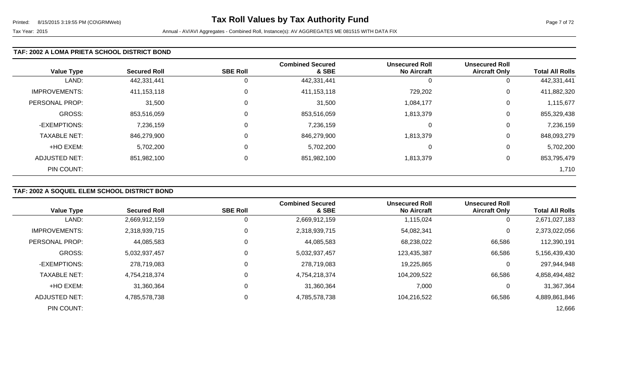#### **TAF: 2002 A LOMA PRIETA SCHOOL DISTRICT BOND**

| <b>Value Type</b>    | <b>Secured Roll</b> | <b>SBE Roll</b> | <b>Combined Secured</b><br>& SBE | <b>Unsecured Roll</b><br><b>No Aircraft</b> | <b>Unsecured Roll</b><br><b>Aircraft Only</b> | <b>Total All Rolls</b> |
|----------------------|---------------------|-----------------|----------------------------------|---------------------------------------------|-----------------------------------------------|------------------------|
| LAND:                | 442,331,441         | 0               | 442,331,441                      |                                             | 0                                             | 442,331,441            |
| <b>IMPROVEMENTS:</b> | 411,153,118         | $\mathbf 0$     | 411,153,118                      | 729,202                                     | 0                                             | 411,882,320            |
| PERSONAL PROP:       | 31,500              | $\Omega$        | 31,500                           | 1,084,177                                   | 0                                             | 1,115,677              |
| <b>GROSS:</b>        | 853,516,059         | 0               | 853,516,059                      | 1,813,379                                   | 0                                             | 855,329,438            |
| -EXEMPTIONS:         | 7,236,159           | $\Omega$        | 7,236,159                        | ∩                                           | 0                                             | 7,236,159              |
| <b>TAXABLE NET:</b>  | 846,279,900         | 0               | 846,279,900                      | 1,813,379                                   | 0                                             | 848,093,279            |
| +HO EXEM:            | 5,702,200           | 0               | 5,702,200                        | 0                                           | 0                                             | 5,702,200              |
| ADJUSTED NET:        | 851,982,100         | 0               | 851,982,100                      | 1,813,379                                   | 0                                             | 853,795,479            |
| PIN COUNT:           |                     |                 |                                  |                                             |                                               | 1,710                  |

### **TAF: 2002 A SOQUEL ELEM SCHOOL DISTRICT BOND**

|                      |                     |                 | <b>Combined Secured</b> | <b>Unsecured Roll</b> | <b>Unsecured Roll</b> |                        |
|----------------------|---------------------|-----------------|-------------------------|-----------------------|-----------------------|------------------------|
| <b>Value Type</b>    | <b>Secured Roll</b> | <b>SBE Roll</b> | & SBE                   | <b>No Aircraft</b>    | <b>Aircraft Only</b>  | <b>Total All Rolls</b> |
| LAND:                | 2,669,912,159       | 0               | 2,669,912,159           | 1,115,024             |                       | 2,671,027,183          |
| <b>IMPROVEMENTS:</b> | 2,318,939,715       | 0               | 2,318,939,715           | 54,082,341            | 0                     | 2,373,022,056          |
| PERSONAL PROP:       | 44,085,583          | 0               | 44,085,583              | 68,238,022            | 66,586                | 112,390,191            |
| <b>GROSS:</b>        | 5,032,937,457       | 0               | 5,032,937,457           | 123,435,387           | 66,586                | 5,156,439,430          |
| -EXEMPTIONS:         | 278,719,083         | 0               | 278,719,083             | 19,225,865            |                       | 297,944,948            |
| <b>TAXABLE NET:</b>  | 4,754,218,374       | 0               | 4,754,218,374           | 104,209,522           | 66,586                | 4,858,494,482          |
| +HO EXEM:            | 31,360,364          | 0               | 31,360,364              | 7,000                 | 0                     | 31,367,364             |
| <b>ADJUSTED NET:</b> | 4,785,578,738       | 0               | 4,785,578,738           | 104,216,522           | 66,586                | 4,889,861,846          |
| PIN COUNT:           |                     |                 |                         |                       |                       | 12,666                 |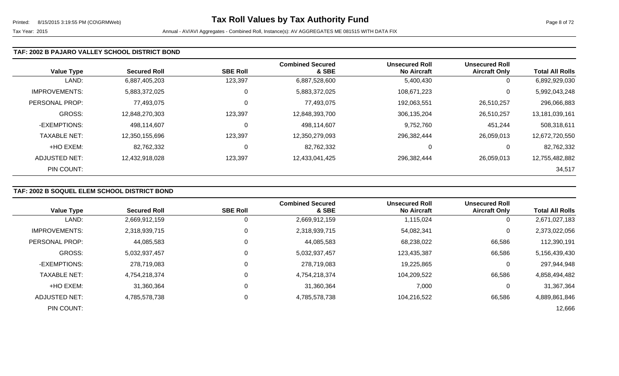#### **TAF: 2002 B PAJARO VALLEY SCHOOL DISTRICT BOND**

| <b>Value Type</b>     | <b>Secured Roll</b> | <b>SBE Roll</b> | <b>Combined Secured</b><br>& SBE | <b>Unsecured Roll</b><br><b>No Aircraft</b> | <b>Unsecured Roll</b><br><b>Aircraft Only</b> | <b>Total All Rolls</b> |
|-----------------------|---------------------|-----------------|----------------------------------|---------------------------------------------|-----------------------------------------------|------------------------|
| LAND:                 | 6,887,405,203       | 123,397         | 6,887,528,600                    | 5,400,430                                   | 0                                             | 6,892,929,030          |
| <b>IMPROVEMENTS:</b>  | 5,883,372,025       | $\overline{0}$  | 5,883,372,025                    | 108,671,223                                 | 0                                             | 5,992,043,248          |
| <b>PERSONAL PROP:</b> | 77,493,075          | 0               | 77,493,075                       | 192,063,551                                 | 26,510,257                                    | 296,066,883            |
| GROSS:                | 12,848,270,303      | 123,397         | 12,848,393,700                   | 306,135,204                                 | 26,510,257                                    | 13,181,039,161         |
| -EXEMPTIONS:          | 498,114,607         | 0               | 498,114,607                      | 9,752,760                                   | 451,244                                       | 508,318,611            |
| <b>TAXABLE NET:</b>   | 12,350,155,696      | 123,397         | 12,350,279,093                   | 296,382,444                                 | 26,059,013                                    | 12,672,720,550         |
| +HO EXEM:             | 82,762,332          | 0               | 82,762,332                       | 0                                           | 0                                             | 82,762,332             |
| ADJUSTED NET:         | 12,432,918,028      | 123,397         | 12,433,041,425                   | 296,382,444                                 | 26,059,013                                    | 12,755,482,882         |
| PIN COUNT:            |                     |                 |                                  |                                             |                                               | 34,517                 |

# **TAF: 2002 B SOQUEL ELEM SCHOOL DISTRICT BOND**

|                      |                     |                 | <b>Combined Secured</b> | <b>Unsecured Roll</b> | <b>Unsecured Roll</b> |                        |
|----------------------|---------------------|-----------------|-------------------------|-----------------------|-----------------------|------------------------|
| <b>Value Type</b>    | <b>Secured Roll</b> | <b>SBE Roll</b> | & SBE                   | <b>No Aircraft</b>    | <b>Aircraft Only</b>  | <b>Total All Rolls</b> |
| LAND:                | 2,669,912,159       |                 | 2,669,912,159           | 1,115,024             | 0                     | 2,671,027,183          |
| <b>IMPROVEMENTS:</b> | 2,318,939,715       | 0               | 2,318,939,715           | 54,082,341            | 0                     | 2,373,022,056          |
| PERSONAL PROP:       | 44,085,583          | 0               | 44,085,583              | 68,238,022            | 66,586                | 112,390,191            |
| <b>GROSS:</b>        | 5,032,937,457       | $\Omega$        | 5,032,937,457           | 123,435,387           | 66,586                | 5,156,439,430          |
| -EXEMPTIONS:         | 278,719,083         | 0               | 278,719,083             | 19,225,865            | 0                     | 297,944,948            |
| <b>TAXABLE NET:</b>  | 4,754,218,374       | $\Omega$        | 4,754,218,374           | 104,209,522           | 66,586                | 4,858,494,482          |
| +HO EXEM:            | 31,360,364          | $\Omega$        | 31,360,364              | 7,000                 | $\overline{0}$        | 31,367,364             |
| <b>ADJUSTED NET:</b> | 4,785,578,738       | 0               | 4,785,578,738           | 104,216,522           | 66,586                | 4,889,861,846          |
| PIN COUNT:           |                     |                 |                         |                       |                       | 12,666                 |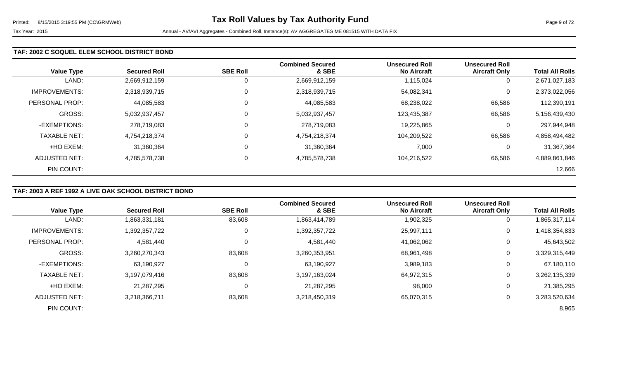### **TAF: 2002 C SOQUEL ELEM SCHOOL DISTRICT BOND**

| <b>Value Type</b>    | <b>Secured Roll</b> | <b>SBE Roll</b> | <b>Combined Secured</b><br>& SBE | <b>Unsecured Roll</b><br><b>No Aircraft</b> | <b>Unsecured Roll</b><br><b>Aircraft Only</b> | <b>Total All Rolls</b> |
|----------------------|---------------------|-----------------|----------------------------------|---------------------------------------------|-----------------------------------------------|------------------------|
| LAND:                | 2,669,912,159       |                 | 2,669,912,159                    | 1,115,024                                   | 0                                             | 2,671,027,183          |
| <b>IMPROVEMENTS:</b> | 2,318,939,715       | 0               | 2,318,939,715                    | 54,082,341                                  | 0                                             | 2,373,022,056          |
| PERSONAL PROP:       | 44,085,583          | 0               | 44,085,583                       | 68,238,022                                  | 66,586                                        | 112,390,191            |
| <b>GROSS:</b>        | 5,032,937,457       |                 | 5,032,937,457                    | 123,435,387                                 | 66,586                                        | 5,156,439,430          |
| -EXEMPTIONS:         | 278,719,083         | 0               | 278,719,083                      | 19,225,865                                  | 0                                             | 297,944,948            |
| <b>TAXABLE NET:</b>  | 4,754,218,374       | 0               | 4,754,218,374                    | 104,209,522                                 | 66,586                                        | 4,858,494,482          |
| +HO EXEM:            | 31,360,364          | 0               | 31,360,364                       | 7,000                                       | 0                                             | 31,367,364             |
| ADJUSTED NET:        | 4,785,578,738       | 0               | 4,785,578,738                    | 104,216,522                                 | 66,586                                        | 4,889,861,846          |
| PIN COUNT:           |                     |                 |                                  |                                             |                                               | 12,666                 |

### **TAF: 2003 A REF 1992 A LIVE OAK SCHOOL DISTRICT BOND**

|                       | <b>Secured Roll</b> | <b>SBE Roll</b> | <b>Combined Secured</b><br>& SBE | <b>Unsecured Roll</b><br><b>No Aircraft</b> | <b>Unsecured Roll</b> | <b>Total All Rolls</b> |
|-----------------------|---------------------|-----------------|----------------------------------|---------------------------------------------|-----------------------|------------------------|
| <b>Value Type</b>     |                     |                 |                                  |                                             | <b>Aircraft Only</b>  |                        |
| LAND:                 | 1,863,331,181       | 83,608          | 1,863,414,789                    | 1,902,325                                   | 0                     | 1,865,317,114          |
| <b>IMPROVEMENTS:</b>  | 1,392,357,722       | 0               | 1,392,357,722                    | 25,997,111                                  | $\mathbf 0$           | 1,418,354,833          |
| <b>PERSONAL PROP:</b> | 4,581,440           | 0               | 4,581,440                        | 41,062,062                                  | 0                     | 45,643,502             |
| <b>GROSS:</b>         | 3,260,270,343       | 83,608          | 3,260,353,951                    | 68,961,498                                  | 0                     | 3,329,315,449          |
| -EXEMPTIONS:          | 63,190,927          | $\mathbf 0$     | 63,190,927                       | 3,989,183                                   | 0                     | 67,180,110             |
| <b>TAXABLE NET:</b>   | 3,197,079,416       | 83,608          | 3,197,163,024                    | 64,972,315                                  | 0                     | 3,262,135,339          |
| +HO EXEM:             | 21,287,295          | $\mathbf 0$     | 21,287,295                       | 98,000                                      | 0                     | 21,385,295             |
| ADJUSTED NET:         | 3,218,366,711       | 83,608          | 3,218,450,319                    | 65,070,315                                  | 0                     | 3,283,520,634          |
| PIN COUNT:            |                     |                 |                                  |                                             |                       | 8,965                  |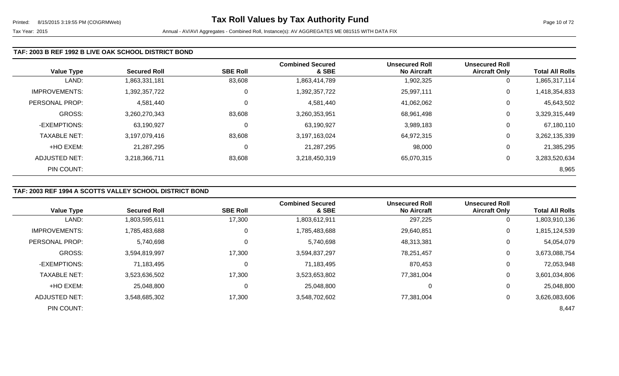#### **TAF: 2003 B REF 1992 B LIVE OAK SCHOOL DISTRICT BOND**

| <b>Value Type</b>    | <b>Secured Roll</b> | <b>SBE Roll</b> | <b>Combined Secured</b><br>& SBE | <b>Unsecured Roll</b><br><b>No Aircraft</b> | <b>Unsecured Roll</b><br><b>Aircraft Only</b> | <b>Total All Rolls</b> |
|----------------------|---------------------|-----------------|----------------------------------|---------------------------------------------|-----------------------------------------------|------------------------|
| LAND:                | 1,863,331,181       | 83,608          | 1,863,414,789                    | 1,902,325                                   | 0                                             | 1,865,317,114          |
| <b>IMPROVEMENTS:</b> | 1,392,357,722       | 0               | 1,392,357,722                    | 25,997,111                                  | 0                                             | 1,418,354,833          |
| PERSONAL PROP:       | 4,581,440           | 0               | 4,581,440                        | 41,062,062                                  | 0                                             | 45,643,502             |
| <b>GROSS:</b>        | 3,260,270,343       | 83,608          | 3,260,353,951                    | 68,961,498                                  | 0                                             | 3,329,315,449          |
| -EXEMPTIONS:         | 63,190,927          | 0               | 63,190,927                       | 3,989,183                                   | 0                                             | 67,180,110             |
| <b>TAXABLE NET:</b>  | 3,197,079,416       | 83,608          | 3,197,163,024                    | 64,972,315                                  | 0                                             | 3,262,135,339          |
| +HO EXEM:            | 21,287,295          | 0               | 21,287,295                       | 98,000                                      | 0                                             | 21,385,295             |
| ADJUSTED NET:        | 3,218,366,711       | 83,608          | 3,218,450,319                    | 65,070,315                                  | 0                                             | 3,283,520,634          |
| PIN COUNT:           |                     |                 |                                  |                                             |                                               | 8,965                  |

# **TAF: 2003 REF 1994 A SCOTTS VALLEY SCHOOL DISTRICT BOND**

|                      |                     |                 | <b>Combined Secured</b> | <b>Unsecured Roll</b> | <b>Unsecured Roll</b> |                        |
|----------------------|---------------------|-----------------|-------------------------|-----------------------|-----------------------|------------------------|
| <b>Value Type</b>    | <b>Secured Roll</b> | <b>SBE Roll</b> | & SBE                   | <b>No Aircraft</b>    | <b>Aircraft Only</b>  | <b>Total All Rolls</b> |
| LAND:                | 1,803,595,611       | 17,300          | 1,803,612,911           | 297,225               | $\overline{0}$        | 1,803,910,136          |
| <b>IMPROVEMENTS:</b> | 1,785,483,688       | 0               | 1,785,483,688           | 29,640,851            | 0                     | 1,815,124,539          |
| PERSONAL PROP:       | 5,740,698           | 0               | 5,740,698               | 48,313,381            | 0                     | 54,054,079             |
| <b>GROSS:</b>        | 3,594,819,997       | 17,300          | 3,594,837,297           | 78,251,457            | $\overline{0}$        | 3,673,088,754          |
| -EXEMPTIONS:         | 71,183,495          | $\Omega$        | 71,183,495              | 870,453               | 0                     | 72,053,948             |
| <b>TAXABLE NET:</b>  | 3,523,636,502       | 17,300          | 3,523,653,802           | 77,381,004            | 0                     | 3,601,034,806          |
| +HO EXEM:            | 25,048,800          | 0               | 25,048,800              | 0                     | 0                     | 25,048,800             |
| <b>ADJUSTED NET:</b> | 3,548,685,302       | 17,300          | 3,548,702,602           | 77,381,004            | 0                     | 3,626,083,606          |
| PIN COUNT:           |                     |                 |                         |                       |                       | 8,447                  |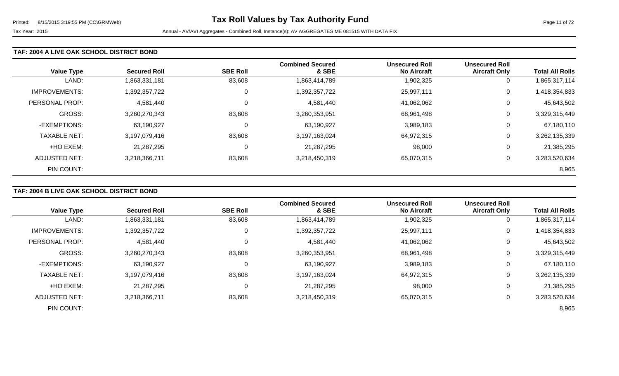#### **TAF: 2004 A LIVE OAK SCHOOL DISTRICT BOND**

| <b>Value Type</b>    | <b>Secured Roll</b> | <b>SBE Roll</b> | <b>Combined Secured</b><br>& SBE | <b>Unsecured Roll</b><br><b>No Aircraft</b> | <b>Unsecured Roll</b><br><b>Aircraft Only</b> | <b>Total All Rolls</b> |
|----------------------|---------------------|-----------------|----------------------------------|---------------------------------------------|-----------------------------------------------|------------------------|
| LAND:                | 1,863,331,181       | 83,608          | 1,863,414,789                    | 1,902,325                                   | 0                                             | 1,865,317,114          |
| <b>IMPROVEMENTS:</b> | 1,392,357,722       | 0               | 1,392,357,722                    | 25,997,111                                  | 0                                             | 1,418,354,833          |
| PERSONAL PROP:       | 4,581,440           | 0               | 4,581,440                        | 41.062.062                                  | 0                                             | 45,643,502             |
| <b>GROSS:</b>        | 3,260,270,343       | 83,608          | 3,260,353,951                    | 68,961,498                                  | 0                                             | 3,329,315,449          |
| -EXEMPTIONS:         | 63,190,927          | 0               | 63,190,927                       | 3,989,183                                   | 0                                             | 67,180,110             |
| <b>TAXABLE NET:</b>  | 3,197,079,416       | 83,608          | 3,197,163,024                    | 64,972,315                                  | 0                                             | 3,262,135,339          |
| +HO EXEM:            | 21,287,295          | 0               | 21,287,295                       | 98,000                                      | 0                                             | 21,385,295             |
| ADJUSTED NET:        | 3,218,366,711       | 83,608          | 3,218,450,319                    | 65,070,315                                  | 0                                             | 3,283,520,634          |
| PIN COUNT:           |                     |                 |                                  |                                             |                                               | 8,965                  |

### **TAF: 2004 B LIVE OAK SCHOOL DISTRICT BOND**

|                       | <b>Secured Roll</b> | <b>SBE Roll</b> | <b>Combined Secured</b><br>& SBE | <b>Unsecured Roll</b><br><b>No Aircraft</b> | <b>Unsecured Roll</b> | <b>Total All Rolls</b> |
|-----------------------|---------------------|-----------------|----------------------------------|---------------------------------------------|-----------------------|------------------------|
| <b>Value Type</b>     |                     |                 |                                  |                                             | <b>Aircraft Only</b>  |                        |
| LAND:                 | 1,863,331,181       | 83,608          | 1,863,414,789                    | 1,902,325                                   | υ                     | 1,865,317,114          |
| <b>IMPROVEMENTS:</b>  | 1,392,357,722       | 0               | 1,392,357,722                    | 25,997,111                                  | 0                     | 1,418,354,833          |
| <b>PERSONAL PROP:</b> | 4,581,440           | 0               | 4,581,440                        | 41,062,062                                  | 0                     | 45,643,502             |
| <b>GROSS:</b>         | 3,260,270,343       | 83,608          | 3,260,353,951                    | 68,961,498                                  | $\Omega$              | 3,329,315,449          |
| -EXEMPTIONS:          | 63,190,927          | 0               | 63,190,927                       | 3,989,183                                   | 0                     | 67,180,110             |
| <b>TAXABLE NET:</b>   | 3,197,079,416       | 83,608          | 3,197,163,024                    | 64,972,315                                  | $\Omega$              | 3,262,135,339          |
| +HO EXEM:             | 21,287,295          | 0               | 21,287,295                       | 98,000                                      | 0                     | 21,385,295             |
| ADJUSTED NET:         | 3,218,366,711       | 83,608          | 3,218,450,319                    | 65,070,315                                  |                       | 3,283,520,634          |
| PIN COUNT:            |                     |                 |                                  |                                             |                       | 8,965                  |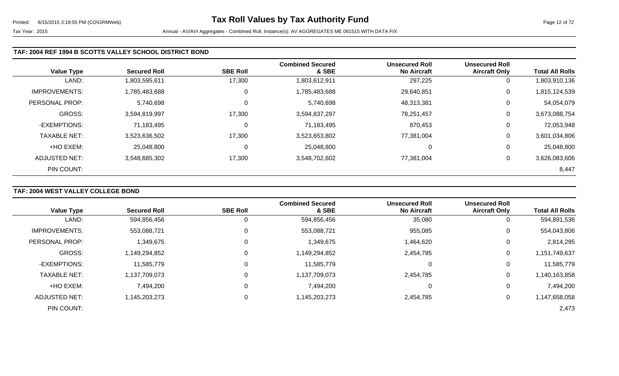|                      |                     |                 | <b>Combined Secured</b> | <b>Unsecured Roll</b> | <b>Unsecured Roll</b> |                        |
|----------------------|---------------------|-----------------|-------------------------|-----------------------|-----------------------|------------------------|
| <b>Value Type</b>    | <b>Secured Roll</b> | <b>SBE Roll</b> | & SBE                   | <b>No Aircraft</b>    | <b>Aircraft Only</b>  | <b>Total All Rolls</b> |
| LAND:                | 1,803,595,611       | 17,300          | 1,803,612,911           | 297,225               | U                     | 1,803,910,136          |
| <b>IMPROVEMENTS:</b> | 1,785,483,688       | 0               | 1,785,483,688           | 29,640,851            | 0                     | 1,815,124,539          |
| PERSONAL PROP:       | 5,740,698           | 0               | 5,740,698               | 48,313,381            | 0                     | 54,054,079             |
| <b>GROSS:</b>        | 3,594,819,997       | 17,300          | 3,594,837,297           | 78,251,457            | 0                     | 3,673,088,754          |
| -EXEMPTIONS:         | 71,183,495          | 0               | 71,183,495              | 870,453               | 0                     | 72,053,948             |
| <b>TAXABLE NET:</b>  | 3,523,636,502       | 17,300          | 3,523,653,802           | 77,381,004            | 0                     | 3,601,034,806          |
| +HO EXEM:            | 25,048,800          | $\mathbf 0$     | 25,048,800              | 0                     | 0                     | 25,048,800             |
| <b>ADJUSTED NET:</b> | 3,548,685,302       | 17,300          | 3,548,702,602           | 77,381,004            | 0                     | 3,626,083,606          |
| PIN COUNT:           |                     |                 |                         |                       |                       | 8,447                  |

# **TAF: 2004 WEST VALLEY COLLEGE BOND**

|                      |                     |                 | <b>Combined Secured</b> | <b>Unsecured Roll</b> | <b>Unsecured Roll</b> |                        |
|----------------------|---------------------|-----------------|-------------------------|-----------------------|-----------------------|------------------------|
| <b>Value Type</b>    | <b>Secured Roll</b> | <b>SBE Roll</b> | & SBE                   | <b>No Aircraft</b>    | <b>Aircraft Only</b>  | <b>Total All Rolls</b> |
| LAND:                | 594,856,456         | 0               | 594,856,456             | 35,080                | 0                     | 594,891,536            |
| <b>IMPROVEMENTS:</b> | 553,088,721         | 0               | 553,088,721             | 955,085               | 0                     | 554,043,806            |
| PERSONAL PROP:       | 1,349,675           | 0               | 1,349,675               | 1,464,620             | 0                     | 2,814,295              |
| <b>GROSS:</b>        | 1,149,294,852       | $\Omega$        | 1,149,294,852           | 2,454,785             | 0                     | 1,151,749,637          |
| -EXEMPTIONS:         | 11,585,779          | 0               | 11,585,779              |                       | 0                     | 11,585,779             |
| <b>TAXABLE NET:</b>  | 1,137,709,073       | $\Omega$        | 1,137,709,073           | 2,454,785             | 0                     | 1,140,163,858          |
| +HO EXEM:            | 7,494,200           | 0               | 7,494,200               | 0                     | 0                     | 7,494,200              |
| <b>ADJUSTED NET:</b> | 1,145,203,273       | 0               | 1,145,203,273           | 2,454,785             | 0                     | 1,147,658,058          |
| PIN COUNT:           |                     |                 |                         |                       |                       | 2,473                  |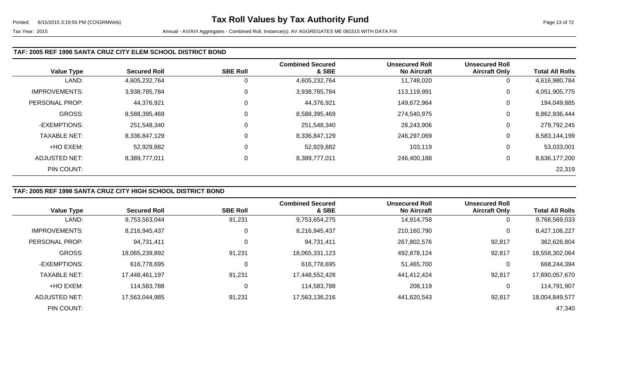### **TAF: 2005 REF 1998 SANTA CRUZ CITY ELEM SCHOOL DISTRICT BOND**

| <b>Value Type</b>    | <b>Secured Roll</b> | <b>SBE Roll</b> | <b>Combined Secured</b><br>& SBE | <b>Unsecured Roll</b><br><b>No Aircraft</b> | <b>Unsecured Roll</b><br><b>Aircraft Only</b> | <b>Total All Rolls</b> |
|----------------------|---------------------|-----------------|----------------------------------|---------------------------------------------|-----------------------------------------------|------------------------|
| LAND:                | 4,605,232,764       | 0               | 4,605,232,764                    | 11,748,020                                  | 0                                             | 4,616,980,784          |
| <b>IMPROVEMENTS:</b> | 3,938,785,784       | 0               | 3,938,785,784                    | 113,119,991                                 | 0                                             | 4,051,905,775          |
| PERSONAL PROP:       | 44,376,921          | 0               | 44,376,921                       | 149,672,964                                 | 0                                             | 194,049,885            |
| <b>GROSS:</b>        | 8,588,395,469       | 0               | 8,588,395,469                    | 274,540,975                                 | 0                                             | 8,862,936,444          |
| -EXEMPTIONS:         | 251,548,340         | 0               | 251,548,340                      | 28,243,906                                  | 0                                             | 279,792,245            |
| <b>TAXABLE NET:</b>  | 8,336,847,129       | 0               | 8,336,847,129                    | 246,297,069                                 | 0                                             | 8,583,144,199          |
| +HO EXEM:            | 52,929,882          | 0               | 52,929,882                       | 103,119                                     | 0                                             | 53,033,001             |
| <b>ADJUSTED NET:</b> | 8,389,777,011       | 0               | 8,389,777,011                    | 246,400,188                                 | 0                                             | 8,636,177,200          |
| PIN COUNT:           |                     |                 |                                  |                                             |                                               | 22,319                 |

### **TAF: 2005 REF 1998 SANTA CRUZ CITY HIGH SCHOOL DISTRICT BOND**

|                      |                     |                 | <b>Combined Secured</b> | <b>Unsecured Roll</b> | <b>Unsecured Roll</b> |                        |
|----------------------|---------------------|-----------------|-------------------------|-----------------------|-----------------------|------------------------|
| <b>Value Type</b>    | <b>Secured Roll</b> | <b>SBE Roll</b> | & SBE                   | <b>No Aircraft</b>    | <b>Aircraft Only</b>  | <b>Total All Rolls</b> |
| LAND:                | 9,753,563,044       | 91,231          | 9,753,654,275           | 14,914,758            | 0                     | 9,768,569,033          |
| <b>IMPROVEMENTS:</b> | 8,216,945,437       |                 | 8,216,945,437           | 210,160,790           | 0                     | 8,427,106,227          |
| PERSONAL PROP:       | 94,731,411          |                 | 94,731,411              | 267,802,576           | 92,817                | 362,626,804            |
| <b>GROSS:</b>        | 18,065,239,892      | 91,231          | 18,065,331,123          | 492,878,124           | 92,817                | 18,558,302,064         |
| -EXEMPTIONS:         | 616,778,695         |                 | 616,778,695             | 51,465,700            | 0                     | 668,244,394            |
| <b>TAXABLE NET:</b>  | 17,448,461,197      | 91,231          | 17,448,552,428          | 441,412,424           | 92,817                | 17,890,057,670         |
| +HO EXEM:            | 114,583,788         |                 | 114,583,788             | 208,119               | 0                     | 114,791,907            |
| ADJUSTED NET:        | 17,563,044,985      | 91,231          | 17,563,136,216          | 441,620,543           | 92,817                | 18,004,849,577         |
| PIN COUNT:           |                     |                 |                         |                       |                       | 47,340                 |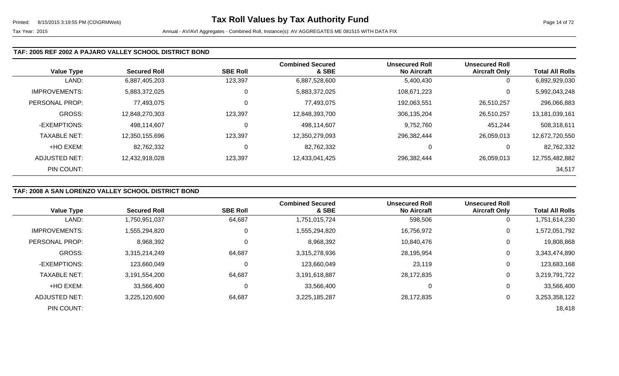### **TAF: 2005 REF 2002 A PAJARO VALLEY SCHOOL DISTRICT BOND**

| <b>Value Type</b>    | <b>Secured Roll</b> | <b>SBE Roll</b> | <b>Combined Secured</b><br>& SBE | <b>Unsecured Roll</b><br><b>No Aircraft</b> | <b>Unsecured Roll</b><br><b>Aircraft Only</b> | <b>Total All Rolls</b> |
|----------------------|---------------------|-----------------|----------------------------------|---------------------------------------------|-----------------------------------------------|------------------------|
| LAND:                | 6,887,405,203       | 123,397         | 6,887,528,600                    | 5,400,430                                   | 0                                             | 6,892,929,030          |
| <b>IMPROVEMENTS:</b> | 5,883,372,025       | 0               | 5,883,372,025                    | 108,671,223                                 | 0                                             | 5,992,043,248          |
| PERSONAL PROP:       | 77,493,075          | 0               | 77,493,075                       | 192,063,551                                 | 26,510,257                                    | 296,066,883            |
| <b>GROSS:</b>        | 12,848,270,303      | 123,397         | 12,848,393,700                   | 306,135,204                                 | 26,510,257                                    | 13,181,039,161         |
| -EXEMPTIONS:         | 498,114,607         | 0               | 498,114,607                      | 9,752,760                                   | 451,244                                       | 508,318,611            |
| <b>TAXABLE NET:</b>  | 12,350,155,696      | 123,397         | 12,350,279,093                   | 296,382,444                                 | 26,059,013                                    | 12,672,720,550         |
| +HO EXEM:            | 82,762,332          | $\Omega$        | 82,762,332                       | 0                                           | 0                                             | 82,762,332             |
| ADJUSTED NET:        | 12,432,918,028      | 123,397         | 12,433,041,425                   | 296,382,444                                 | 26,059,013                                    | 12,755,482,882         |
| PIN COUNT:           |                     |                 |                                  |                                             |                                               | 34,517                 |

# **TAF: 2008 A SAN LORENZO VALLEY SCHOOL DISTRICT BOND**

|                      |                     |                 | <b>Combined Secured</b> | <b>Unsecured Roll</b> | <b>Unsecured Roll</b> |                        |
|----------------------|---------------------|-----------------|-------------------------|-----------------------|-----------------------|------------------------|
| <b>Value Type</b>    | <b>Secured Roll</b> | <b>SBE Roll</b> | & SBE                   | <b>No Aircraft</b>    | <b>Aircraft Only</b>  | <b>Total All Rolls</b> |
| LAND:                | 1,750,951,037       | 64,687          | 1,751,015,724           | 598,506               | 0                     | 1,751,614,230          |
| <b>IMPROVEMENTS:</b> | 1,555,294,820       |                 | 1,555,294,820           | 16,756,972            | 0                     | 1,572,051,792          |
| PERSONAL PROP:       | 8,968,392           |                 | 8,968,392               | 10,840,476            | 0                     | 19,808,868             |
| <b>GROSS:</b>        | 3,315,214,249       | 64,687          | 3,315,278,936           | 28,195,954            | 0                     | 3,343,474,890          |
| -EXEMPTIONS:         | 123,660,049         | 0               | 123,660,049             | 23,119                | 0                     | 123,683,168            |
| <b>TAXABLE NET:</b>  | 3,191,554,200       | 64,687          | 3,191,618,887           | 28,172,835            | 0                     | 3,219,791,722          |
| +HO EXEM:            | 33,566,400          | 0               | 33,566,400              | 0                     | 0                     | 33,566,400             |
| ADJUSTED NET:        | 3,225,120,600       | 64,687          | 3,225,185,287           | 28,172,835            | $\overline{0}$        | 3,253,358,122          |
| PIN COUNT:           |                     |                 |                         |                       |                       | 18,418                 |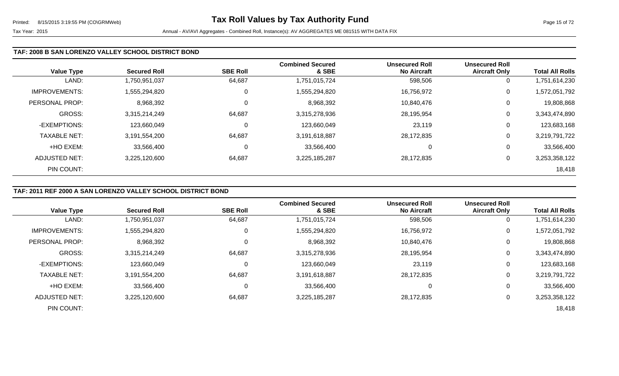### **TAF: 2008 B SAN LORENZO VALLEY SCHOOL DISTRICT BOND**

| <b>Value Type</b>    | <b>Secured Roll</b> | <b>SBE Roll</b> | <b>Combined Secured</b><br>& SBE | <b>Unsecured Roll</b><br><b>No Aircraft</b> | <b>Unsecured Roll</b><br><b>Aircraft Only</b> | <b>Total All Rolls</b> |
|----------------------|---------------------|-----------------|----------------------------------|---------------------------------------------|-----------------------------------------------|------------------------|
| LAND:                | 1,750,951,037       | 64,687          | 1,751,015,724                    | 598,506                                     | 0                                             | 1,751,614,230          |
| <b>IMPROVEMENTS:</b> | 1,555,294,820       | 0               | 1,555,294,820                    | 16,756,972                                  | 0                                             | 1,572,051,792          |
| PERSONAL PROP:       | 8,968,392           | $\Omega$        | 8,968,392                        | 10,840,476                                  | 0                                             | 19,808,868             |
| <b>GROSS:</b>        | 3,315,214,249       | 64,687          | 3,315,278,936                    | 28,195,954                                  | 0                                             | 3,343,474,890          |
| -EXEMPTIONS:         | 123,660,049         | 0               | 123,660,049                      | 23,119                                      | 0                                             | 123,683,168            |
| <b>TAXABLE NET:</b>  | 3,191,554,200       | 64,687          | 3,191,618,887                    | 28,172,835                                  | 0                                             | 3,219,791,722          |
| +HO EXEM:            | 33,566,400          | 0               | 33,566,400                       | 0                                           | 0                                             | 33,566,400             |
| <b>ADJUSTED NET:</b> | 3,225,120,600       | 64,687          | 3,225,185,287                    | 28,172,835                                  | 0                                             | 3,253,358,122          |
| PIN COUNT:           |                     |                 |                                  |                                             |                                               | 18,418                 |

# **TAF: 2011 REF 2000 A SAN LORENZO VALLEY SCHOOL DISTRICT BOND**

|                      | <b>Secured Roll</b> | <b>SBE Roll</b> | <b>Combined Secured</b><br>& SBE | <b>Unsecured Roll</b><br><b>No Aircraft</b> | <b>Unsecured Roll</b><br><b>Aircraft Only</b> | <b>Total All Rolls</b> |
|----------------------|---------------------|-----------------|----------------------------------|---------------------------------------------|-----------------------------------------------|------------------------|
| <b>Value Type</b>    |                     |                 |                                  |                                             |                                               |                        |
| LAND:                | 1,750,951,037       | 64,687          | 1,751,015,724                    | 598,506                                     | 0                                             | 1,751,614,230          |
| <b>IMPROVEMENTS:</b> | 1,555,294,820       | 0               | 1,555,294,820                    | 16,756,972                                  | 0                                             | 1,572,051,792          |
| PERSONAL PROP:       | 8,968,392           |                 | 8,968,392                        | 10,840,476                                  | 0                                             | 19,808,868             |
| <b>GROSS:</b>        | 3,315,214,249       | 64,687          | 3,315,278,936                    | 28,195,954                                  | 0                                             | 3,343,474,890          |
| -EXEMPTIONS:         | 123,660,049         |                 | 123,660,049                      | 23,119                                      | 0                                             | 123,683,168            |
| <b>TAXABLE NET:</b>  | 3,191,554,200       | 64,687          | 3,191,618,887                    | 28,172,835                                  | 0                                             | 3,219,791,722          |
| +HO EXEM:            | 33,566,400          |                 | 33,566,400                       | 0                                           | 0                                             | 33,566,400             |
| <b>ADJUSTED NET:</b> | 3,225,120,600       | 64,687          | 3,225,185,287                    | 28,172,835                                  | 0                                             | 3,253,358,122          |
| PIN COUNT:           |                     |                 |                                  |                                             |                                               | 18,418                 |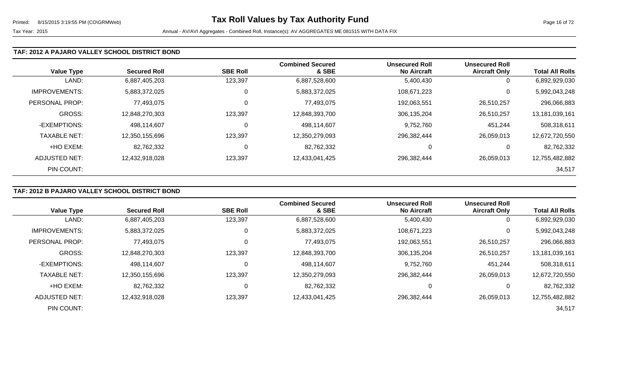### **TAF: 2012 A PAJARO VALLEY SCHOOL DISTRICT BOND**

| <b>Value Type</b>    | <b>Secured Roll</b> | <b>SBE Roll</b> | <b>Combined Secured</b><br>& SBE | <b>Unsecured Roll</b><br><b>No Aircraft</b> | <b>Unsecured Roll</b><br><b>Aircraft Only</b> | <b>Total All Rolls</b> |
|----------------------|---------------------|-----------------|----------------------------------|---------------------------------------------|-----------------------------------------------|------------------------|
| LAND:                | 6,887,405,203       | 123,397         | 6,887,528,600                    | 5,400,430                                   | 0                                             | 6,892,929,030          |
| <b>IMPROVEMENTS:</b> | 5,883,372,025       | 0               | 5,883,372,025                    | 108,671,223                                 | 0                                             | 5,992,043,248          |
| PERSONAL PROP:       | 77,493,075          | 0               | 77,493,075                       | 192,063,551                                 | 26,510,257                                    | 296,066,883            |
| <b>GROSS:</b>        | 12,848,270,303      | 123,397         | 12,848,393,700                   | 306,135,204                                 | 26,510,257                                    | 13,181,039,161         |
| -EXEMPTIONS:         | 498,114,607         | 0               | 498,114,607                      | 9,752,760                                   | 451,244                                       | 508,318,611            |
| <b>TAXABLE NET:</b>  | 12,350,155,696      | 123,397         | 12,350,279,093                   | 296,382,444                                 | 26,059,013                                    | 12,672,720,550         |
| +HO EXEM:            | 82,762,332          | 0               | 82,762,332                       | 0                                           | 0                                             | 82,762,332             |
| <b>ADJUSTED NET:</b> | 12,432,918,028      | 123,397         | 12,433,041,425                   | 296,382,444                                 | 26,059,013                                    | 12,755,482,882         |
| PIN COUNT:           |                     |                 |                                  |                                             |                                               | 34,517                 |

### **TAF: 2012 B PAJARO VALLEY SCHOOL DISTRICT BOND**

|                      |                     |                 | <b>Combined Secured</b> | <b>Unsecured Roll</b> | <b>Unsecured Roll</b> |                        |
|----------------------|---------------------|-----------------|-------------------------|-----------------------|-----------------------|------------------------|
| <b>Value Type</b>    | <b>Secured Roll</b> | <b>SBE Roll</b> | & SBE                   | <b>No Aircraft</b>    | <b>Aircraft Only</b>  | <b>Total All Rolls</b> |
| LAND:                | 6,887,405,203       | 123,397         | 6,887,528,600           | 5,400,430             | 0                     | 6,892,929,030          |
| <b>IMPROVEMENTS:</b> | 5,883,372,025       | 0               | 5,883,372,025           | 108,671,223           | 0                     | 5,992,043,248          |
| PERSONAL PROP:       | 77,493,075          | 0               | 77,493,075              | 192,063,551           | 26,510,257            | 296,066,883            |
| GROSS:               | 12.848.270.303      | 123,397         | 12,848,393,700          | 306,135,204           | 26,510,257            | 13,181,039,161         |
| -EXEMPTIONS:         | 498,114,607         | 0               | 498,114,607             | 9,752,760             | 451,244               | 508,318,611            |
| <b>TAXABLE NET:</b>  | 12,350,155,696      | 123,397         | 12,350,279,093          | 296,382,444           | 26,059,013            | 12,672,720,550         |
| +HO EXEM:            | 82,762,332          | 0               | 82,762,332              | 0                     | $\mathbf{0}$          | 82,762,332             |
| ADJUSTED NET:        | 12,432,918,028      | 123,397         | 12,433,041,425          | 296,382,444           | 26,059,013            | 12,755,482,882         |
| PIN COUNT:           |                     |                 |                         |                       |                       | 34,517                 |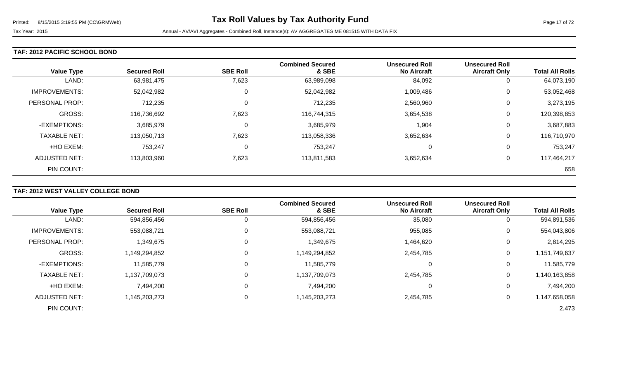#### **TAF: 2012 PACIFIC SCHOOL BOND**

| <b>Value Type</b>    | <b>Secured Roll</b> | <b>SBE Roll</b> | <b>Combined Secured</b><br>& SBE | <b>Unsecured Roll</b><br><b>No Aircraft</b> | <b>Unsecured Roll</b><br><b>Aircraft Only</b> | <b>Total All Rolls</b> |
|----------------------|---------------------|-----------------|----------------------------------|---------------------------------------------|-----------------------------------------------|------------------------|
| LAND:                | 63,981,475          | 7,623           | 63,989,098                       | 84,092                                      | 0                                             | 64,073,190             |
| <b>IMPROVEMENTS:</b> | 52,042,982          | 0               | 52,042,982                       | 1,009,486                                   | 0                                             | 53,052,468             |
| PERSONAL PROP:       | 712,235             | 0               | 712,235                          | 2,560,960                                   | 0                                             | 3,273,195              |
| <b>GROSS:</b>        | 116,736,692         | 7,623           | 116,744,315                      | 3,654,538                                   | 0                                             | 120,398,853            |
| -EXEMPTIONS:         | 3,685,979           | $\mathbf 0$     | 3,685,979                        | 1,904                                       | 0                                             | 3,687,883              |
| <b>TAXABLE NET:</b>  | 113,050,713         | 7,623           | 113,058,336                      | 3,652,634                                   | 0                                             | 116,710,970            |
| +HO EXEM:            | 753,247             | 0               | 753,247                          | $\Omega$                                    | 0                                             | 753,247                |
| <b>ADJUSTED NET:</b> | 113,803,960         | 7,623           | 113,811,583                      | 3,652,634                                   | 0                                             | 117,464,217            |
| PIN COUNT:           |                     |                 |                                  |                                             |                                               | 658                    |

# **TAF: 2012 WEST VALLEY COLLEGE BOND**

|                      |                     |                 | <b>Combined Secured</b> | <b>Unsecured Roll</b> | <b>Unsecured Roll</b> |                        |
|----------------------|---------------------|-----------------|-------------------------|-----------------------|-----------------------|------------------------|
| <b>Value Type</b>    | <b>Secured Roll</b> | <b>SBE Roll</b> | & SBE                   | <b>No Aircraft</b>    | <b>Aircraft Only</b>  | <b>Total All Rolls</b> |
| LAND:                | 594,856,456         | 0               | 594,856,456             | 35,080                | $\overline{0}$        | 594,891,536            |
| <b>IMPROVEMENTS:</b> | 553,088,721         | 0               | 553,088,721             | 955,085               | 0                     | 554,043,806            |
| PERSONAL PROP:       | 1,349,675           | 0               | 1,349,675               | 1,464,620             | 0                     | 2,814,295              |
| <b>GROSS:</b>        | 1,149,294,852       | $\Omega$        | 1,149,294,852           | 2,454,785             | 0                     | 1,151,749,637          |
| -EXEMPTIONS:         | 11,585,779          | 0               | 11,585,779              |                       | 0                     | 11,585,779             |
| <b>TAXABLE NET:</b>  | 1,137,709,073       | $\Omega$        | 1,137,709,073           | 2,454,785             | 0                     | 1,140,163,858          |
| +HO EXEM:            | 7,494,200           | 0               | 7,494,200               |                       | 0                     | 7,494,200              |
| ADJUSTED NET:        | 1,145,203,273       | 0               | 1,145,203,273           | 2,454,785             | 0                     | 1,147,658,058          |
| PIN COUNT:           |                     |                 |                         |                       |                       | 2,473                  |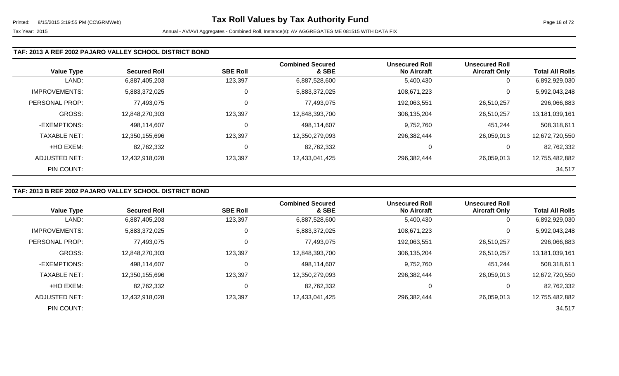### **TAF: 2013 A REF 2002 PAJARO VALLEY SCHOOL DISTRICT BOND**

| <b>Value Type</b>    | <b>Secured Roll</b> | <b>SBE Roll</b> | <b>Combined Secured</b><br>& SBE | <b>Unsecured Roll</b><br><b>No Aircraft</b> | <b>Unsecured Roll</b><br><b>Aircraft Only</b> | <b>Total All Rolls</b> |
|----------------------|---------------------|-----------------|----------------------------------|---------------------------------------------|-----------------------------------------------|------------------------|
| LAND:                | 6,887,405,203       | 123,397         | 6,887,528,600                    | 5,400,430                                   | 0                                             | 6,892,929,030          |
| <b>IMPROVEMENTS:</b> | 5,883,372,025       | 0               | 5,883,372,025                    | 108,671,223                                 | 0                                             | 5,992,043,248          |
| PERSONAL PROP:       | 77,493,075          |                 | 77,493,075                       | 192,063,551                                 | 26,510,257                                    | 296,066,883            |
| <b>GROSS:</b>        | 12,848,270,303      | 123,397         | 12,848,393,700                   | 306,135,204                                 | 26,510,257                                    | 13,181,039,161         |
| -EXEMPTIONS:         | 498,114,607         | C               | 498,114,607                      | 9,752,760                                   | 451,244                                       | 508,318,611            |
| <b>TAXABLE NET:</b>  | 12,350,155,696      | 123,397         | 12,350,279,093                   | 296,382,444                                 | 26,059,013                                    | 12,672,720,550         |
| +HO EXEM:            | 82,762,332          | 0               | 82,762,332                       | 0                                           | 0                                             | 82,762,332             |
| ADJUSTED NET:        | 12,432,918,028      | 123,397         | 12,433,041,425                   | 296,382,444                                 | 26,059,013                                    | 12,755,482,882         |
| PIN COUNT:           |                     |                 |                                  |                                             |                                               | 34,517                 |

# **TAF: 2013 B REF 2002 PAJARO VALLEY SCHOOL DISTRICT BOND**

|                      |                     |                 | <b>Combined Secured</b> | <b>Unsecured Roll</b> | <b>Unsecured Roll</b> |                        |
|----------------------|---------------------|-----------------|-------------------------|-----------------------|-----------------------|------------------------|
| <b>Value Type</b>    | <b>Secured Roll</b> | <b>SBE Roll</b> | & SBE                   | <b>No Aircraft</b>    | <b>Aircraft Only</b>  | <b>Total All Rolls</b> |
| LAND:                | 6,887,405,203       | 123,397         | 6,887,528,600           | 5,400,430             | 0                     | 6,892,929,030          |
| <b>IMPROVEMENTS:</b> | 5,883,372,025       | 0               | 5,883,372,025           | 108,671,223           | 0                     | 5,992,043,248          |
| PERSONAL PROP:       | 77,493,075          | 0               | 77,493,075              | 192,063,551           | 26,510,257            | 296,066,883            |
| GROSS:               | 12,848,270,303      | 123,397         | 12,848,393,700          | 306,135,204           | 26,510,257            | 13,181,039,161         |
| -EXEMPTIONS:         | 498,114,607         | 0               | 498,114,607             | 9,752,760             | 451,244               | 508,318,611            |
| <b>TAXABLE NET:</b>  | 12,350,155,696      | 123,397         | 12,350,279,093          | 296,382,444           | 26,059,013            | 12,672,720,550         |
| +HO EXEM:            | 82,762,332          | 0               | 82,762,332              |                       | $\overline{0}$        | 82,762,332             |
| ADJUSTED NET:        | 12,432,918,028      | 123,397         | 12,433,041,425          | 296,382,444           | 26,059,013            | 12,755,482,882         |
| PIN COUNT:           |                     |                 |                         |                       |                       | 34,517                 |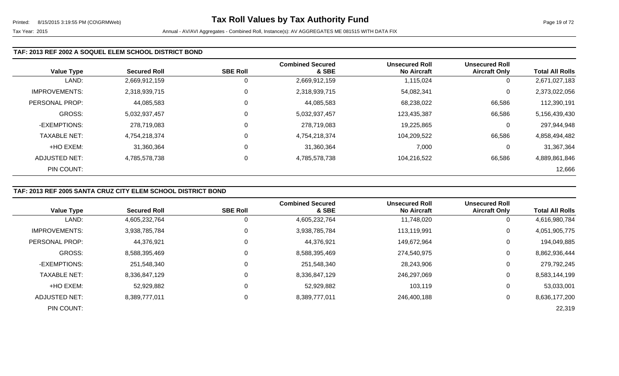### **TAF: 2013 REF 2002 A SOQUEL ELEM SCHOOL DISTRICT BOND**

|                      |                     |                 | <b>Combined Secured</b> | <b>Unsecured Roll</b> | <b>Unsecured Roll</b> |                        |
|----------------------|---------------------|-----------------|-------------------------|-----------------------|-----------------------|------------------------|
| <b>Value Type</b>    | <b>Secured Roll</b> | <b>SBE Roll</b> | & SBE                   | <b>No Aircraft</b>    | <b>Aircraft Only</b>  | <b>Total All Rolls</b> |
| LAND:                | 2,669,912,159       |                 | 2,669,912,159           | 1,115,024             | 0                     | 2,671,027,183          |
| <b>IMPROVEMENTS:</b> | 2,318,939,715       | $\Omega$        | 2,318,939,715           | 54,082,341            | 0                     | 2,373,022,056          |
| PERSONAL PROP:       | 44,085,583          | 0               | 44,085,583              | 68,238,022            | 66,586                | 112,390,191            |
| <b>GROSS:</b>        | 5,032,937,457       | 0               | 5,032,937,457           | 123,435,387           | 66,586                | 5,156,439,430          |
| -EXEMPTIONS:         | 278,719,083         |                 | 278,719,083             | 19,225,865            | 0                     | 297,944,948            |
| <b>TAXABLE NET:</b>  | 4,754,218,374       | $\mathbf 0$     | 4,754,218,374           | 104,209,522           | 66,586                | 4,858,494,482          |
| +HO EXEM:            | 31,360,364          | $\mathbf 0$     | 31,360,364              | 7,000                 | 0                     | 31,367,364             |
| ADJUSTED NET:        | 4,785,578,738       | 0               | 4,785,578,738           | 104,216,522           | 66,586                | 4,889,861,846          |
| PIN COUNT:           |                     |                 |                         |                       |                       | 12,666                 |

### **TAF: 2013 REF 2005 SANTA CRUZ CITY ELEM SCHOOL DISTRICT BOND**

|                      |                     |                 | <b>Combined Secured</b> | <b>Unsecured Roll</b> | <b>Unsecured Roll</b> |                        |
|----------------------|---------------------|-----------------|-------------------------|-----------------------|-----------------------|------------------------|
| <b>Value Type</b>    | <b>Secured Roll</b> | <b>SBE Roll</b> | & SBE                   | <b>No Aircraft</b>    | <b>Aircraft Only</b>  | <b>Total All Rolls</b> |
| LAND:                | 4,605,232,764       | 0               | 4,605,232,764           | 11,748,020            | $\overline{0}$        | 4,616,980,784          |
| <b>IMPROVEMENTS:</b> | 3,938,785,784       | 0               | 3,938,785,784           | 113,119,991           | $\mathbf 0$           | 4,051,905,775          |
| PERSONAL PROP:       | 44,376,921          | 0               | 44,376,921              | 149,672,964           | 0                     | 194,049,885            |
| <b>GROSS:</b>        | 8,588,395,469       | 0               | 8,588,395,469           | 274,540,975           | 0                     | 8,862,936,444          |
| -EXEMPTIONS:         | 251,548,340         | $\Omega$        | 251,548,340             | 28,243,906            | 0                     | 279,792,245            |
| <b>TAXABLE NET:</b>  | 8,336,847,129       | 0               | 8,336,847,129           | 246,297,069           | 0                     | 8,583,144,199          |
| +HO EXEM:            | 52,929,882          | $\Omega$        | 52,929,882              | 103,119               | 0                     | 53,033,001             |
| ADJUSTED NET:        | 8,389,777,011       | 0               | 8,389,777,011           | 246,400,188           | 0                     | 8,636,177,200          |
| PIN COUNT:           |                     |                 |                         |                       |                       | 22,319                 |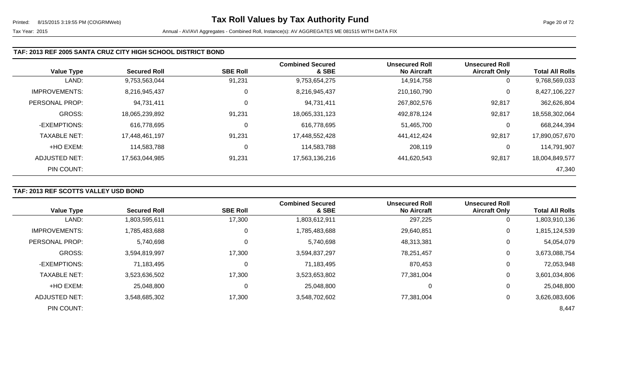### **TAF: 2013 REF 2005 SANTA CRUZ CITY HIGH SCHOOL DISTRICT BOND**

|                      |                     |                 | <b>Combined Secured</b> | <b>Unsecured Roll</b> | <b>Unsecured Roll</b> |                        |
|----------------------|---------------------|-----------------|-------------------------|-----------------------|-----------------------|------------------------|
| <b>Value Type</b>    | <b>Secured Roll</b> | <b>SBE Roll</b> | & SBE                   | <b>No Aircraft</b>    | <b>Aircraft Only</b>  | <b>Total All Rolls</b> |
| LAND:                | 9,753,563,044       | 91,231          | 9,753,654,275           | 14,914,758            | 0                     | 9,768,569,033          |
| <b>IMPROVEMENTS:</b> | 8,216,945,437       | 0               | 8,216,945,437           | 210,160,790           | 0                     | 8,427,106,227          |
| PERSONAL PROP:       | 94,731,411          | 0               | 94,731,411              | 267,802,576           | 92,817                | 362,626,804            |
| <b>GROSS:</b>        | 18,065,239,892      | 91,231          | 18,065,331,123          | 492,878,124           | 92,817                | 18,558,302,064         |
| -EXEMPTIONS:         | 616,778,695         | 0               | 616,778,695             | 51,465,700            | 0                     | 668,244,394            |
| <b>TAXABLE NET:</b>  | 17,448,461,197      | 91,231          | 17,448,552,428          | 441,412,424           | 92,817                | 17,890,057,670         |
| +HO EXEM:            | 114,583,788         | 0               | 114,583,788             | 208,119               | 0                     | 114,791,907            |
| ADJUSTED NET:        | 17,563,044,985      | 91,231          | 17,563,136,216          | 441,620,543           | 92,817                | 18,004,849,577         |
| PIN COUNT:           |                     |                 |                         |                       |                       | 47,340                 |

# **TAF: 2013 REF SCOTTS VALLEY USD BOND**

| <b>Value Type</b>    | <b>Secured Roll</b> | <b>SBE Roll</b> | <b>Combined Secured</b><br>& SBE | <b>Unsecured Roll</b><br><b>No Aircraft</b> | <b>Unsecured Roll</b><br><b>Aircraft Only</b> | <b>Total All Rolls</b> |
|----------------------|---------------------|-----------------|----------------------------------|---------------------------------------------|-----------------------------------------------|------------------------|
| LAND:                | 1,803,595,611       | 17,300          | 1,803,612,911                    | 297,225                                     | 0                                             | 1,803,910,136          |
| <b>IMPROVEMENTS:</b> | 1,785,483,688       | $\mathbf 0$     | 1,785,483,688                    | 29,640,851                                  | 0                                             | 1,815,124,539          |
| PERSONAL PROP:       | 5,740,698           | 0               | 5,740,698                        | 48,313,381                                  | 0                                             | 54,054,079             |
| <b>GROSS:</b>        | 3,594,819,997       | 17,300          | 3,594,837,297                    | 78,251,457                                  | 0                                             | 3,673,088,754          |
| -EXEMPTIONS:         | 71,183,495          | 0               | 71,183,495                       | 870,453                                     | 0                                             | 72,053,948             |
| <b>TAXABLE NET:</b>  | 3,523,636,502       | 17,300          | 3,523,653,802                    | 77,381,004                                  | $\mathbf 0$                                   | 3,601,034,806          |
| +HO EXEM:            | 25,048,800          | 0               | 25,048,800                       | 0                                           | 0                                             | 25,048,800             |
| ADJUSTED NET:        | 3,548,685,302       | 17,300          | 3,548,702,602                    | 77,381,004                                  | 0                                             | 3,626,083,606          |
| PIN COUNT:           |                     |                 |                                  |                                             |                                               | 8,447                  |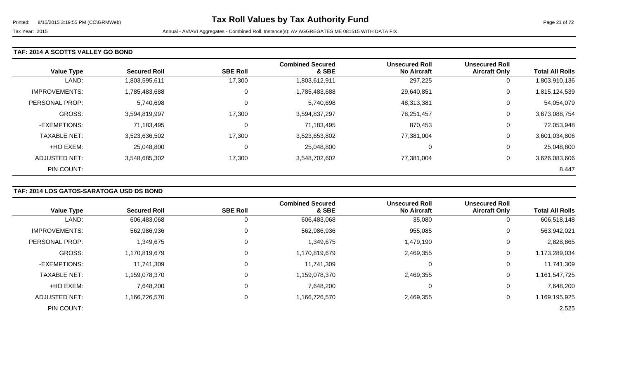### **TAF: 2014 A SCOTTS VALLEY GO BOND**

| <b>Value Type</b>    | <b>Secured Roll</b> | <b>SBE Roll</b> | <b>Combined Secured</b><br>& SBE | <b>Unsecured Roll</b><br><b>No Aircraft</b> | <b>Unsecured Roll</b><br><b>Aircraft Only</b> | <b>Total All Rolls</b> |
|----------------------|---------------------|-----------------|----------------------------------|---------------------------------------------|-----------------------------------------------|------------------------|
| LAND:                | 1,803,595,611       | 17,300          | 1,803,612,911                    | 297,225                                     | 0                                             | 1,803,910,136          |
| <b>IMPROVEMENTS:</b> | 1,785,483,688       | 0               | 1,785,483,688                    | 29,640,851                                  | 0                                             | 1,815,124,539          |
| PERSONAL PROP:       | 5,740,698           | 0               | 5,740,698                        | 48,313,381                                  | 0                                             | 54,054,079             |
| <b>GROSS:</b>        | 3,594,819,997       | 17,300          | 3,594,837,297                    | 78,251,457                                  | 0                                             | 3,673,088,754          |
| -EXEMPTIONS:         | 71,183,495          | 0               | 71,183,495                       | 870,453                                     | 0                                             | 72,053,948             |
| <b>TAXABLE NET:</b>  | 3,523,636,502       | 17,300          | 3,523,653,802                    | 77,381,004                                  | 0                                             | 3,601,034,806          |
| +HO EXEM:            | 25,048,800          | 0               | 25,048,800                       | 0                                           | 0                                             | 25,048,800             |
| ADJUSTED NET:        | 3,548,685,302       | 17,300          | 3,548,702,602                    | 77.381.004                                  | 0                                             | 3,626,083,606          |
| PIN COUNT:           |                     |                 |                                  |                                             |                                               | 8,447                  |

# **TAF: 2014 LOS GATOS-SARATOGA USD DS BOND**

|                       |                     |                 | <b>Combined Secured</b> | <b>Unsecured Roll</b> | <b>Unsecured Roll</b> |                        |
|-----------------------|---------------------|-----------------|-------------------------|-----------------------|-----------------------|------------------------|
| <b>Value Type</b>     | <b>Secured Roll</b> | <b>SBE Roll</b> | & SBE                   | <b>No Aircraft</b>    | <b>Aircraft Only</b>  | <b>Total All Rolls</b> |
| LAND:                 | 606,483,068         | 0               | 606,483,068             | 35,080                | O                     | 606,518,148            |
| <b>IMPROVEMENTS:</b>  | 562,986,936         | 0               | 562,986,936             | 955,085               | 0                     | 563,942,021            |
| <b>PERSONAL PROP:</b> | 1,349,675           | 0               | 1,349,675               | 1,479,190             | 0                     | 2,828,865              |
| <b>GROSS:</b>         | 1,170,819,679       | 0               | 1,170,819,679           | 2,469,355             | 0                     | 1,173,289,034          |
| -EXEMPTIONS:          | 11,741,309          | 0               | 11,741,309              | υ                     | 0                     | 11,741,309             |
| <b>TAXABLE NET:</b>   | 1,159,078,370       | 0               | 1,159,078,370           | 2,469,355             | 0                     | 1,161,547,725          |
| +HO EXEM:             | 7,648,200           | 0               | 7,648,200               | 0                     | 0                     | 7,648,200              |
| ADJUSTED NET:         | 1,166,726,570       | 0               | 1,166,726,570           | 2,469,355             | 0                     | 1,169,195,925          |
| PIN COUNT:            |                     |                 |                         |                       |                       | 2,525                  |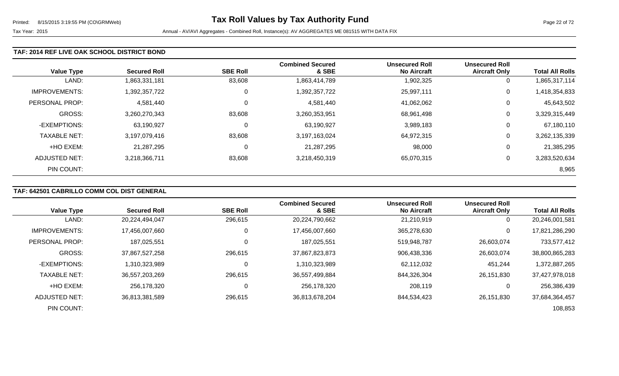### **TAF: 2014 REF LIVE OAK SCHOOL DISTRICT BOND**

| <b>Value Type</b>    | <b>Secured Roll</b> | <b>SBE Roll</b> | <b>Combined Secured</b><br>& SBE | <b>Unsecured Roll</b><br><b>No Aircraft</b> | <b>Unsecured Roll</b><br><b>Aircraft Only</b> | <b>Total All Rolls</b> |
|----------------------|---------------------|-----------------|----------------------------------|---------------------------------------------|-----------------------------------------------|------------------------|
| LAND:                | 1,863,331,181       | 83,608          | 1,863,414,789                    | 1,902,325                                   | 0                                             | 1,865,317,114          |
| <b>IMPROVEMENTS:</b> | 1,392,357,722       | 0               | 1,392,357,722                    | 25,997,111                                  | 0                                             | 1,418,354,833          |
| PERSONAL PROP:       | 4,581,440           | 0               | 4,581,440                        | 41,062,062                                  | 0                                             | 45,643,502             |
| <b>GROSS:</b>        | 3,260,270,343       | 83,608          | 3,260,353,951                    | 68,961,498                                  | 0                                             | 3,329,315,449          |
| -EXEMPTIONS:         | 63,190,927          | 0               | 63,190,927                       | 3,989,183                                   | 0                                             | 67,180,110             |
| <b>TAXABLE NET:</b>  | 3,197,079,416       | 83,608          | 3,197,163,024                    | 64,972,315                                  | 0                                             | 3,262,135,339          |
| +HO EXEM:            | 21,287,295          | 0               | 21,287,295                       | 98,000                                      | 0                                             | 21,385,295             |
| ADJUSTED NET:        | 3,218,366,711       | 83,608          | 3,218,450,319                    | 65,070,315                                  | 0                                             | 3,283,520,634          |
| PIN COUNT:           |                     |                 |                                  |                                             |                                               | 8,965                  |

# **TAF: 642501 CABRILLO COMM COL DIST GENERAL**

|                      |                     |                 | <b>Combined Secured</b> | <b>Unsecured Roll</b> | <b>Unsecured Roll</b> |                        |
|----------------------|---------------------|-----------------|-------------------------|-----------------------|-----------------------|------------------------|
| <b>Value Type</b>    | <b>Secured Roll</b> | <b>SBE Roll</b> | & SBE                   | <b>No Aircraft</b>    | <b>Aircraft Only</b>  | <b>Total All Rolls</b> |
| LAND:                | 20,224,494,047      | 296,615         | 20,224,790,662          | 21,210,919            | 0                     | 20,246,001,581         |
| <b>IMPROVEMENTS:</b> | 17,456,007,660      | 0               | 17,456,007,660          | 365,278,630           | 0                     | 17,821,286,290         |
| PERSONAL PROP:       | 187,025,551         | $\Omega$        | 187,025,551             | 519,948,787           | 26,603,074            | 733,577,412            |
| <b>GROSS:</b>        | 37,867,527,258      | 296,615         | 37,867,823,873          | 906,438,336           | 26,603,074            | 38,800,865,283         |
| -EXEMPTIONS:         | 1,310,323,989       | $\Omega$        | 1,310,323,989           | 62,112,032            | 451,244               | 1,372,887,265          |
| <b>TAXABLE NET:</b>  | 36,557,203,269      | 296,615         | 36,557,499,884          | 844,326,304           | 26,151,830            | 37,427,978,018         |
| +HO EXEM:            | 256,178,320         | 0               | 256,178,320             | 208,119               | 0                     | 256,386,439            |
| <b>ADJUSTED NET:</b> | 36,813,381,589      | 296,615         | 36,813,678,204          | 844,534,423           | 26,151,830            | 37,684,364,457         |
| PIN COUNT:           |                     |                 |                         |                       |                       | 108,853                |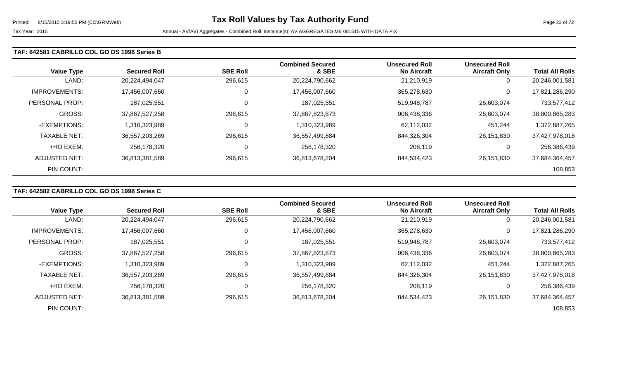#### **TAF: 642581 CABRILLO COL GO DS 1998 Series B**

| <b>Value Type</b>    | <b>Secured Roll</b> | <b>SBE Roll</b> | <b>Combined Secured</b><br>& SBE | <b>Unsecured Roll</b><br><b>No Aircraft</b> | <b>Unsecured Roll</b><br><b>Aircraft Only</b> | <b>Total All Rolls</b> |
|----------------------|---------------------|-----------------|----------------------------------|---------------------------------------------|-----------------------------------------------|------------------------|
| LAND:                | 20,224,494,047      | 296,615         | 20,224,790,662                   | 21.210.919                                  | 0                                             | 20,246,001,581         |
| <b>IMPROVEMENTS:</b> | 17,456,007,660      | 0               | 17,456,007,660                   | 365,278,630                                 | 0                                             | 17,821,286,290         |
| PERSONAL PROP:       | 187.025.551         | 0               | 187,025,551                      | 519,948,787                                 | 26,603,074                                    | 733,577,412            |
| <b>GROSS:</b>        | 37,867,527,258      | 296,615         | 37,867,823,873                   | 906,438,336                                 | 26,603,074                                    | 38,800,865,283         |
| -EXEMPTIONS:         | 1,310,323,989       | 0               | 1,310,323,989                    | 62,112,032                                  | 451,244                                       | 1,372,887,265          |
| <b>TAXABLE NET:</b>  | 36,557,203,269      | 296,615         | 36,557,499,884                   | 844,326,304                                 | 26,151,830                                    | 37,427,978,018         |
| +HO EXEM:            | 256,178,320         | 0               | 256,178,320                      | 208,119                                     | 0                                             | 256,386,439            |
| ADJUSTED NET:        | 36,813,381,589      | 296,615         | 36,813,678,204                   | 844,534,423                                 | 26,151,830                                    | 37,684,364,457         |
| PIN COUNT:           |                     |                 |                                  |                                             |                                               | 108,853                |

# **TAF: 642582 CABRILLO COL GO DS 1998 Series C**

|                      |                     |                 | <b>Combined Secured</b> | <b>Unsecured Roll</b> | <b>Unsecured Roll</b> |                        |
|----------------------|---------------------|-----------------|-------------------------|-----------------------|-----------------------|------------------------|
| <b>Value Type</b>    | <b>Secured Roll</b> | <b>SBE Roll</b> | & SBE                   | <b>No Aircraft</b>    | <b>Aircraft Only</b>  | <b>Total All Rolls</b> |
| LAND:                | 20,224,494,047      | 296,615         | 20,224,790,662          | 21,210,919            | 0                     | 20,246,001,581         |
| <b>IMPROVEMENTS:</b> | 17,456,007,660      | 0               | 17,456,007,660          | 365,278,630           | 0                     | 17,821,286,290         |
| PERSONAL PROP:       | 187,025,551         | 0               | 187,025,551             | 519,948,787           | 26,603,074            | 733,577,412            |
| GROSS:               | 37,867,527,258      | 296,615         | 37,867,823,873          | 906,438,336           | 26,603,074            | 38,800,865,283         |
| -EXEMPTIONS:         | 1,310,323,989       | 0               | 1,310,323,989           | 62,112,032            | 451,244               | 1,372,887,265          |
| <b>TAXABLE NET:</b>  | 36,557,203,269      | 296,615         | 36,557,499,884          | 844,326,304           | 26,151,830            | 37,427,978,018         |
| +HO EXEM:            | 256,178,320         | 0               | 256,178,320             | 208,119               | 0                     | 256,386,439            |
| ADJUSTED NET:        | 36,813,381,589      | 296,615         | 36,813,678,204          | 844,534,423           | 26.151.830            | 37,684,364,457         |
| PIN COUNT:           |                     |                 |                         |                       |                       | 108,853                |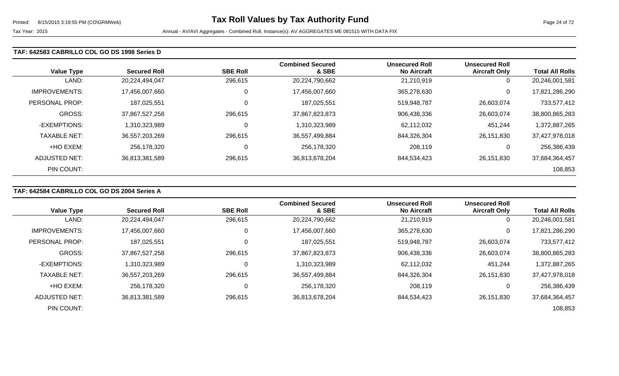#### **TAF: 642583 CABRILLO COL GO DS 1998 Series D**

| <b>Value Type</b>    | <b>Secured Roll</b> | <b>SBE Roll</b> | <b>Combined Secured</b><br>& SBE | <b>Unsecured Roll</b><br><b>No Aircraft</b> | <b>Unsecured Roll</b><br><b>Aircraft Only</b> | <b>Total All Rolls</b> |
|----------------------|---------------------|-----------------|----------------------------------|---------------------------------------------|-----------------------------------------------|------------------------|
| LAND:                | 20,224,494,047      | 296,615         | 20,224,790,662                   | 21,210,919                                  | 0                                             | 20,246,001,581         |
| <b>IMPROVEMENTS:</b> | 17,456,007,660      | 0               | 17,456,007,660                   | 365,278,630                                 | 0                                             | 17,821,286,290         |
| PERSONAL PROP:       | 187,025,551         | 0               | 187,025,551                      | 519,948,787                                 | 26,603,074                                    | 733,577,412            |
| GROSS:               | 37,867,527,258      | 296,615         | 37,867,823,873                   | 906,438,336                                 | 26,603,074                                    | 38,800,865,283         |
| -EXEMPTIONS:         | 1,310,323,989       | 0               | 1,310,323,989                    | 62,112,032                                  | 451,244                                       | 1,372,887,265          |
| <b>TAXABLE NET:</b>  | 36,557,203,269      | 296,615         | 36,557,499,884                   | 844,326,304                                 | 26,151,830                                    | 37,427,978,018         |
| +HO EXEM:            | 256,178,320         | 0               | 256,178,320                      | 208,119                                     | 0                                             | 256,386,439            |
| ADJUSTED NET:        | 36,813,381,589      | 296,615         | 36,813,678,204                   | 844,534,423                                 | 26,151,830                                    | 37,684,364,457         |
| PIN COUNT:           |                     |                 |                                  |                                             |                                               | 108,853                |

# **TAF: 642584 CABRILLO COL GO DS 2004 Series A**

|                      |                     |                 | <b>Combined Secured</b> | <b>Unsecured Roll</b> | <b>Unsecured Roll</b> |                        |
|----------------------|---------------------|-----------------|-------------------------|-----------------------|-----------------------|------------------------|
| <b>Value Type</b>    | <b>Secured Roll</b> | <b>SBE Roll</b> | & SBE                   | <b>No Aircraft</b>    | <b>Aircraft Only</b>  | <b>Total All Rolls</b> |
| LAND:                | 20,224,494,047      | 296,615         | 20,224,790,662          | 21,210,919            | 0                     | 20,246,001,581         |
| <b>IMPROVEMENTS:</b> | 17,456,007,660      | 0               | 17,456,007,660          | 365,278,630           | 0                     | 17,821,286,290         |
| PERSONAL PROP:       | 187,025,551         |                 | 187,025,551             | 519,948,787           | 26,603,074            | 733,577,412            |
| <b>GROSS:</b>        | 37,867,527,258      | 296,615         | 37,867,823,873          | 906,438,336           | 26,603,074            | 38,800,865,283         |
| -EXEMPTIONS:         | 1,310,323,989       | 0               | 1,310,323,989           | 62,112,032            | 451,244               | 1,372,887,265          |
| <b>TAXABLE NET:</b>  | 36,557,203,269      | 296,615         | 36,557,499,884          | 844,326,304           | 26,151,830            | 37,427,978,018         |
| +HO EXEM:            | 256,178,320         | 0               | 256,178,320             | 208,119               | 0                     | 256,386,439            |
| ADJUSTED NET:        | 36,813,381,589      | 296,615         | 36,813,678,204          | 844,534,423           | 26,151,830            | 37,684,364,457         |
| PIN COUNT:           |                     |                 |                         |                       |                       | 108,853                |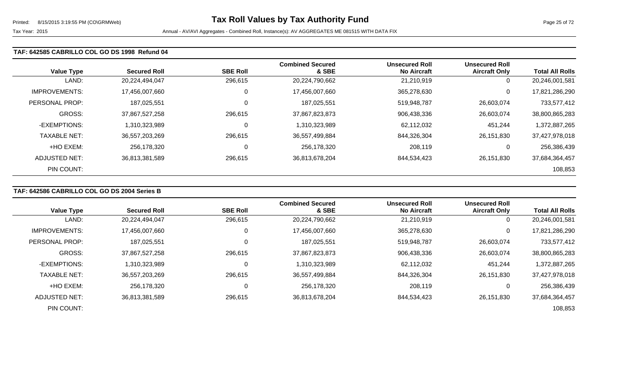#### **TAF: 642585 CABRILLO COL GO DS 1998 Refund 04**

| <b>Value Type</b>    | <b>Secured Roll</b> | <b>SBE Roll</b> | <b>Combined Secured</b><br>& SBE | <b>Unsecured Roll</b><br><b>No Aircraft</b> | <b>Unsecured Roll</b><br><b>Aircraft Only</b> | <b>Total All Rolls</b> |
|----------------------|---------------------|-----------------|----------------------------------|---------------------------------------------|-----------------------------------------------|------------------------|
| LAND:                | 20,224,494,047      | 296,615         | 20,224,790,662                   | 21,210,919                                  | 0                                             | 20,246,001,581         |
| <b>IMPROVEMENTS:</b> | 17,456,007,660      | 0               | 17,456,007,660                   | 365,278,630                                 | 0                                             | 17,821,286,290         |
| PERSONAL PROP:       | 187,025,551         | 0               | 187,025,551                      | 519,948,787                                 | 26,603,074                                    | 733,577,412            |
| <b>GROSS:</b>        | 37,867,527,258      | 296,615         | 37,867,823,873                   | 906,438,336                                 | 26,603,074                                    | 38,800,865,283         |
| -EXEMPTIONS:         | 1,310,323,989       | 0               | 1,310,323,989                    | 62,112,032                                  | 451,244                                       | 1,372,887,265          |
| <b>TAXABLE NET:</b>  | 36,557,203,269      | 296,615         | 36,557,499,884                   | 844,326,304                                 | 26,151,830                                    | 37,427,978,018         |
| +HO EXEM:            | 256,178,320         | 0               | 256,178,320                      | 208,119                                     | 0                                             | 256,386,439            |
| <b>ADJUSTED NET:</b> | 36,813,381,589      | 296,615         | 36,813,678,204                   | 844,534,423                                 | 26,151,830                                    | 37,684,364,457         |
| PIN COUNT:           |                     |                 |                                  |                                             |                                               | 108,853                |

# **TAF: 642586 CABRILLO COL GO DS 2004 Series B**

|                      |                     |                 | <b>Combined Secured</b> | <b>Unsecured Roll</b> | <b>Unsecured Roll</b> |                        |
|----------------------|---------------------|-----------------|-------------------------|-----------------------|-----------------------|------------------------|
| <b>Value Type</b>    | <b>Secured Roll</b> | <b>SBE Roll</b> | & SBE                   | <b>No Aircraft</b>    | <b>Aircraft Only</b>  | <b>Total All Rolls</b> |
| LAND:                | 20,224,494,047      | 296,615         | 20,224,790,662          | 21,210,919            | 0                     | 20,246,001,581         |
| <b>IMPROVEMENTS:</b> | 17,456,007,660      | 0               | 17,456,007,660          | 365,278,630           | $\mathbf 0$           | 17,821,286,290         |
| PERSONAL PROP:       | 187,025,551         |                 | 187,025,551             | 519,948,787           | 26,603,074            | 733,577,412            |
| GROSS:               | 37,867,527,258      | 296,615         | 37,867,823,873          | 906,438,336           | 26,603,074            | 38,800,865,283         |
| -EXEMPTIONS:         | 1,310,323,989       |                 | 1,310,323,989           | 62,112,032            | 451,244               | 1,372,887,265          |
| <b>TAXABLE NET:</b>  | 36,557,203,269      | 296,615         | 36,557,499,884          | 844,326,304           | 26.151.830            | 37,427,978,018         |
| +HO EXEM:            | 256,178,320         | C               | 256,178,320             | 208,119               | 0                     | 256,386,439            |
| ADJUSTED NET:        | 36,813,381,589      | 296,615         | 36,813,678,204          | 844,534,423           | 26.151.830            | 37,684,364,457         |
| PIN COUNT:           |                     |                 |                         |                       |                       | 108,853                |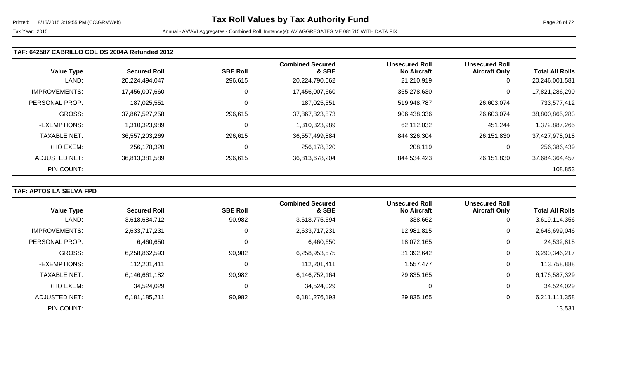### **TAF: 642587 CABRILLO COL DS 2004A Refunded 2012**

| <b>Value Type</b>    | <b>Secured Roll</b> | <b>SBE Roll</b> | <b>Combined Secured</b><br>& SBE | <b>Unsecured Roll</b><br><b>No Aircraft</b> | <b>Unsecured Roll</b><br><b>Aircraft Only</b> | <b>Total All Rolls</b> |
|----------------------|---------------------|-----------------|----------------------------------|---------------------------------------------|-----------------------------------------------|------------------------|
| LAND:                | 20,224,494,047      | 296,615         | 20,224,790,662                   | 21,210,919                                  | 0                                             | 20,246,001,581         |
| <b>IMPROVEMENTS:</b> | 17,456,007,660      | 0               | 17,456,007,660                   | 365,278,630                                 | 0                                             | 17,821,286,290         |
| PERSONAL PROP:       | 187,025,551         | $\Omega$        | 187,025,551                      | 519,948,787                                 | 26,603,074                                    | 733,577,412            |
| GROSS:               | 37,867,527,258      | 296,615         | 37,867,823,873                   | 906,438,336                                 | 26,603,074                                    | 38,800,865,283         |
| -EXEMPTIONS:         | 1,310,323,989       |                 | 1,310,323,989                    | 62,112,032                                  | 451,244                                       | 1,372,887,265          |
| <b>TAXABLE NET:</b>  | 36,557,203,269      | 296,615         | 36,557,499,884                   | 844,326,304                                 | 26,151,830                                    | 37,427,978,018         |
| +HO EXEM:            | 256,178,320         |                 | 256,178,320                      | 208,119                                     | 0                                             | 256,386,439            |
| ADJUSTED NET:        | 36,813,381,589      | 296,615         | 36,813,678,204                   | 844,534,423                                 | 26,151,830                                    | 37,684,364,457         |
| PIN COUNT:           |                     |                 |                                  |                                             |                                               | 108,853                |

### **TAF: APTOS LA SELVA FPD**

| <b>Value Type</b>    | <b>Secured Roll</b> | <b>SBE Roll</b> | <b>Combined Secured</b><br>& SBE | <b>Unsecured Roll</b><br><b>No Aircraft</b> | <b>Unsecured Roll</b><br><b>Aircraft Only</b> | <b>Total All Rolls</b> |
|----------------------|---------------------|-----------------|----------------------------------|---------------------------------------------|-----------------------------------------------|------------------------|
| LAND:                | 3,618,684,712       | 90,982          | 3,618,775,694                    | 338,662                                     | 0                                             | 3,619,114,356          |
|                      |                     |                 |                                  |                                             |                                               |                        |
| <b>IMPROVEMENTS:</b> | 2,633,717,231       | 0               | 2,633,717,231                    | 12,981,815                                  | 0                                             | 2,646,699,046          |
| PERSONAL PROP:       | 6,460,650           | 0               | 6,460,650                        | 18,072,165                                  | 0                                             | 24,532,815             |
| <b>GROSS:</b>        | 6,258,862,593       | 90,982          | 6,258,953,575                    | 31,392,642                                  | 0                                             | 6,290,346,217          |
| -EXEMPTIONS:         | 112,201,411         | 0               | 112,201,411                      | 1,557,477                                   | 0                                             | 113,758,888            |
| <b>TAXABLE NET:</b>  | 6,146,661,182       | 90,982          | 6,146,752,164                    | 29,835,165                                  | 0                                             | 6,176,587,329          |
| +HO EXEM:            | 34,524,029          | 0               | 34,524,029                       |                                             | 0                                             | 34,524,029             |
| ADJUSTED NET:        | 6,181,185,211       | 90,982          | 6,181,276,193                    | 29,835,165                                  | 0                                             | 6,211,111,358          |
| PIN COUNT:           |                     |                 |                                  |                                             |                                               | 13,531                 |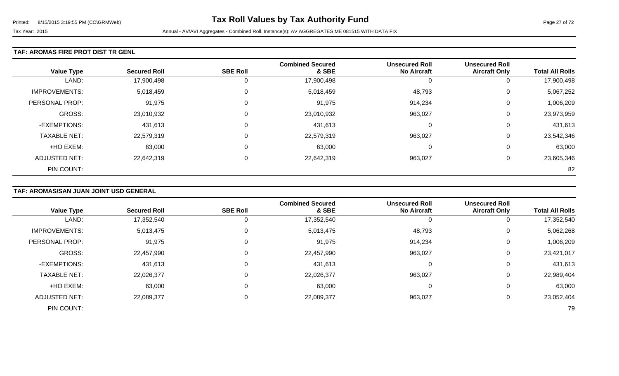#### **TAF: AROMAS FIRE PROT DIST TR GENL**

|                      |                     |                 | <b>Combined Secured</b> | <b>Unsecured Roll</b> | <b>Unsecured Roll</b> |                        |
|----------------------|---------------------|-----------------|-------------------------|-----------------------|-----------------------|------------------------|
| <b>Value Type</b>    | <b>Secured Roll</b> | <b>SBE Roll</b> | & SBE                   | <b>No Aircraft</b>    | <b>Aircraft Only</b>  | <b>Total All Rolls</b> |
| LAND:                | 17,900,498          | 0               | 17,900,498              | -0                    | 0                     | 17,900,498             |
| <b>IMPROVEMENTS:</b> | 5,018,459           | 0               | 5,018,459               | 48,793                | 0                     | 5,067,252              |
| PERSONAL PROP:       | 91,975              | 0               | 91,975                  | 914,234               | 0                     | 1,006,209              |
| <b>GROSS:</b>        | 23,010,932          | 0               | 23,010,932              | 963,027               | 0                     | 23,973,959             |
| -EXEMPTIONS:         | 431,613             | $\Omega$        | 431,613                 | $\Omega$              | 0                     | 431,613                |
| <b>TAXABLE NET:</b>  | 22,579,319          | 0               | 22,579,319              | 963,027               | 0                     | 23,542,346             |
| +HO EXEM:            | 63,000              | $\mathbf 0$     | 63,000                  | 0                     | 0                     | 63,000                 |
| <b>ADJUSTED NET:</b> | 22,642,319          | 0               | 22,642,319              | 963,027               | 0                     | 23,605,346             |
| PIN COUNT:           |                     |                 |                         |                       |                       | 82                     |

# **TAF: AROMAS/SAN JUAN JOINT USD GENERAL**

|                       |                     |                 | <b>Combined Secured</b> | <b>Unsecured Roll</b> | <b>Unsecured Roll</b> |                        |
|-----------------------|---------------------|-----------------|-------------------------|-----------------------|-----------------------|------------------------|
| <b>Value Type</b>     | <b>Secured Roll</b> | <b>SBE Roll</b> | & SBE                   | <b>No Aircraft</b>    | <b>Aircraft Only</b>  | <b>Total All Rolls</b> |
| LAND:                 | 17,352,540          |                 | 17,352,540              |                       | 0                     | 17,352,540             |
| <b>IMPROVEMENTS:</b>  | 5,013,475           |                 | 5,013,475               | 48,793                | 0                     | 5,062,268              |
| <b>PERSONAL PROP:</b> | 91,975              |                 | 91,975                  | 914,234               | 0                     | 1,006,209              |
| GROSS:                | 22,457,990          |                 | 22,457,990              | 963,027               | 0                     | 23,421,017             |
| -EXEMPTIONS:          | 431,613             |                 | 431,613                 | 0                     | 0                     | 431,613                |
| <b>TAXABLE NET:</b>   | 22,026,377          |                 | 22,026,377              | 963,027               | 0                     | 22,989,404             |
| +HO EXEM:             | 63,000              |                 | 63,000                  |                       | 0                     | 63,000                 |
| <b>ADJUSTED NET:</b>  | 22,089,377          |                 | 22,089,377              | 963,027               | 0                     | 23,052,404             |
| PIN COUNT:            |                     |                 |                         |                       |                       | 79                     |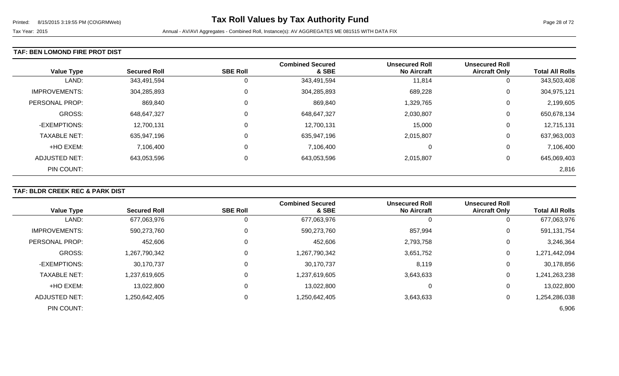### **TAF: BEN LOMOND FIRE PROT DIST**

| <b>Value Type</b>     | <b>Secured Roll</b> | <b>SBE Roll</b> | <b>Combined Secured</b><br>& SBE | <b>Unsecured Roll</b><br><b>No Aircraft</b> | <b>Unsecured Roll</b><br><b>Aircraft Only</b> | <b>Total All Rolls</b> |
|-----------------------|---------------------|-----------------|----------------------------------|---------------------------------------------|-----------------------------------------------|------------------------|
| LAND:                 | 343,491,594         | 0               | 343,491,594                      | 11,814                                      | 0                                             | 343,503,408            |
| <b>IMPROVEMENTS:</b>  | 304,285,893         | $\mathbf 0$     | 304,285,893                      | 689,228                                     | 0                                             | 304,975,121            |
| <b>PERSONAL PROP:</b> | 869,840             | $\mathbf 0$     | 869,840                          | 1,329,765                                   | 0                                             | 2,199,605              |
| GROSS:                | 648,647,327         | $\mathbf 0$     | 648,647,327                      | 2,030,807                                   | 0                                             | 650,678,134            |
| -EXEMPTIONS:          | 12,700,131          | $\mathbf 0$     | 12,700,131                       | 15,000                                      | 0                                             | 12,715,131             |
| <b>TAXABLE NET:</b>   | 635,947,196         | $\mathbf 0$     | 635,947,196                      | 2,015,807                                   | 0                                             | 637,963,003            |
| +HO EXEM:             | 7,106,400           | $\mathbf 0$     | 7,106,400                        | 0                                           | 0                                             | 7,106,400              |
| ADJUSTED NET:         | 643,053,596         | 0               | 643,053,596                      | 2,015,807                                   | 0                                             | 645,069,403            |
| PIN COUNT:            |                     |                 |                                  |                                             |                                               | 2,816                  |

# **TAF: BLDR CREEK REC & PARK DIST**

|                       |                     | <b>SBE Roll</b> | <b>Combined Secured</b><br>& SBE | <b>Unsecured Roll</b><br><b>No Aircraft</b> | <b>Unsecured Roll</b> |                        |
|-----------------------|---------------------|-----------------|----------------------------------|---------------------------------------------|-----------------------|------------------------|
| <b>Value Type</b>     | <b>Secured Roll</b> |                 |                                  |                                             | <b>Aircraft Only</b>  | <b>Total All Rolls</b> |
| LAND:                 | 677,063,976         | O               | 677,063,976                      |                                             | 0                     | 677,063,976            |
| <b>IMPROVEMENTS:</b>  | 590,273,760         | 0               | 590,273,760                      | 857,994                                     | 0                     | 591,131,754            |
| <b>PERSONAL PROP:</b> | 452,606             | 0               | 452,606                          | 2,793,758                                   | 0                     | 3,246,364              |
| <b>GROSS:</b>         | 1,267,790,342       | 0               | 1,267,790,342                    | 3,651,752                                   | 0                     | 1,271,442,094          |
| -EXEMPTIONS:          | 30,170,737          | 0               | 30,170,737                       | 8,119                                       | 0                     | 30,178,856             |
| <b>TAXABLE NET:</b>   | 1,237,619,605       | $\mathbf{0}$    | 1,237,619,605                    | 3,643,633                                   | 0                     | 1,241,263,238          |
| +HO EXEM:             | 13,022,800          | $\mathbf 0$     | 13,022,800                       | 0                                           | 0                     | 13,022,800             |
| ADJUSTED NET:         | 1,250,642,405       | 0               | 1,250,642,405                    | 3,643,633                                   | 0                     | 1,254,286,038          |
| PIN COUNT:            |                     |                 |                                  |                                             |                       | 6,906                  |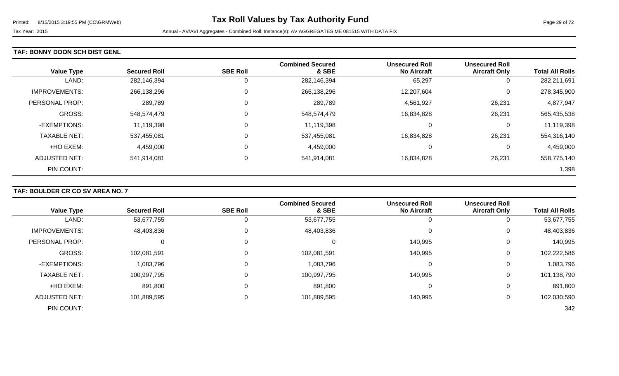### **TAF: BONNY DOON SCH DIST GENL**

| <b>Value Type</b>    | <b>Secured Roll</b> | <b>SBE Roll</b> | <b>Combined Secured</b><br>& SBE | <b>Unsecured Roll</b><br><b>No Aircraft</b> | <b>Unsecured Roll</b><br><b>Aircraft Only</b> | <b>Total All Rolls</b> |
|----------------------|---------------------|-----------------|----------------------------------|---------------------------------------------|-----------------------------------------------|------------------------|
| LAND:                | 282,146,394         | O               | 282,146,394                      | 65,297                                      | 0                                             | 282,211,691            |
| <b>IMPROVEMENTS:</b> | 266,138,296         | 0               | 266,138,296                      | 12,207,604                                  | 0                                             | 278,345,900            |
| PERSONAL PROP:       | 289,789             | 0               | 289,789                          | 4,561,927                                   | 26,231                                        | 4,877,947              |
| <b>GROSS:</b>        | 548,574,479         | 0               | 548,574,479                      | 16,834,828                                  | 26,231                                        | 565,435,538            |
| -EXEMPTIONS:         | 11,119,398          | 0               | 11,119,398                       |                                             | 0                                             | 11,119,398             |
| <b>TAXABLE NET:</b>  | 537,455,081         | 0               | 537,455,081                      | 16,834,828                                  | 26,231                                        | 554,316,140            |
| +HO EXEM:            | 4,459,000           | 0               | 4,459,000                        |                                             | 0                                             | 4,459,000              |
| ADJUSTED NET:        | 541,914,081         | 0               | 541,914,081                      | 16,834,828                                  | 26,231                                        | 558,775,140            |
| PIN COUNT:           |                     |                 |                                  |                                             |                                               | 1,398                  |

# **TAF: BOULDER CR CO SV AREA NO. 7**

|                      |                     |                 | <b>Combined Secured</b> | <b>Unsecured Roll</b> | <b>Unsecured Roll</b> |                        |
|----------------------|---------------------|-----------------|-------------------------|-----------------------|-----------------------|------------------------|
| <b>Value Type</b>    | <b>Secured Roll</b> | <b>SBE Roll</b> | & SBE                   | <b>No Aircraft</b>    | <b>Aircraft Only</b>  | <b>Total All Rolls</b> |
| LAND:                | 53,677,755          | 0               | 53,677,755              |                       | 0                     | 53,677,755             |
| <b>IMPROVEMENTS:</b> | 48,403,836          | 0               | 48,403,836              |                       | $\overline{0}$        | 48,403,836             |
| PERSONAL PROP:       |                     | 0               | 0                       | 140,995               | 0                     | 140,995                |
| GROSS:               | 102,081,591         | 0               | 102,081,591             | 140,995               | 0                     | 102,222,586            |
| -EXEMPTIONS:         | 1,083,796           | 0               | 1,083,796               | 0                     | 0                     | 1,083,796              |
| <b>TAXABLE NET:</b>  | 100,997,795         | 0               | 100,997,795             | 140,995               | 0                     | 101,138,790            |
| +HO EXEM:            | 891,800             | $\mathbf 0$     | 891,800                 | 0                     | 0                     | 891,800                |
| <b>ADJUSTED NET:</b> | 101,889,595         | 0               | 101,889,595             | 140,995               | 0                     | 102,030,590            |
| PIN COUNT:           |                     |                 |                         |                       |                       | 342                    |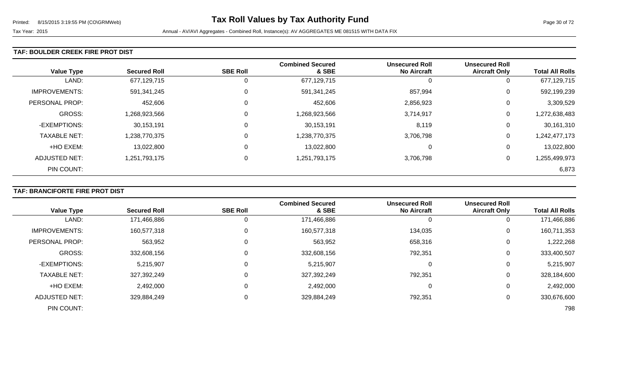#### **TAF: BOULDER CREEK FIRE PROT DIST**

| <b>Value Type</b>     | <b>Secured Roll</b> | <b>SBE Roll</b> | <b>Combined Secured</b><br>& SBE | <b>Unsecured Roll</b><br><b>No Aircraft</b> | <b>Unsecured Roll</b><br><b>Aircraft Only</b> | <b>Total All Rolls</b> |
|-----------------------|---------------------|-----------------|----------------------------------|---------------------------------------------|-----------------------------------------------|------------------------|
| LAND:                 | 677,129,715         | 0               | 677,129,715                      | C                                           | 0                                             | 677,129,715            |
| <b>IMPROVEMENTS:</b>  | 591,341,245         | $\mathbf 0$     | 591,341,245                      | 857,994                                     | 0                                             | 592,199,239            |
| <b>PERSONAL PROP:</b> | 452,606             | 0               | 452,606                          | 2,856,923                                   | 0                                             | 3,309,529              |
| <b>GROSS:</b>         | 1,268,923,566       | 0               | 1,268,923,566                    | 3,714,917                                   | 0                                             | 1,272,638,483          |
| -EXEMPTIONS:          | 30,153,191          | 0               | 30,153,191                       | 8,119                                       | 0                                             | 30,161,310             |
| <b>TAXABLE NET:</b>   | 1,238,770,375       | 0               | 1,238,770,375                    | 3,706,798                                   | 0                                             | 1,242,477,173          |
| +HO EXEM:             | 13,022,800          | $\mathbf 0$     | 13,022,800                       | 0                                           | 0                                             | 13,022,800             |
| ADJUSTED NET:         | 1,251,793,175       | 0               | 1,251,793,175                    | 3,706,798                                   | 0                                             | 1,255,499,973          |
| PIN COUNT:            |                     |                 |                                  |                                             |                                               | 6,873                  |

# **TAF: BRANCIFORTE FIRE PROT DIST**

|                      |                     |                 | <b>Combined Secured</b> | <b>Unsecured Roll</b> | <b>Unsecured Roll</b> |                        |
|----------------------|---------------------|-----------------|-------------------------|-----------------------|-----------------------|------------------------|
| <b>Value Type</b>    | <b>Secured Roll</b> | <b>SBE Roll</b> | & SBE                   | <b>No Aircraft</b>    | <b>Aircraft Only</b>  | <b>Total All Rolls</b> |
| LAND:                | 171,466,886         |                 | 171,466,886             | O                     | 0                     | 171,466,886            |
| <b>IMPROVEMENTS:</b> | 160,577,318         |                 | 160,577,318             | 134,035               | $\overline{0}$        | 160,711,353            |
| PERSONAL PROP:       | 563,952             |                 | 563,952                 | 658,316               | 0                     | 1,222,268              |
| <b>GROSS:</b>        | 332,608,156         |                 | 332,608,156             | 792,351               | 0                     | 333,400,507            |
| -EXEMPTIONS:         | 5,215,907           |                 | 5,215,907               | 0                     | 0                     | 5,215,907              |
| <b>TAXABLE NET:</b>  | 327,392,249         |                 | 327,392,249             | 792,351               | $\overline{0}$        | 328,184,600            |
| +HO EXEM:            | 2,492,000           |                 | 2,492,000               | 0                     | 0                     | 2,492,000              |
| <b>ADJUSTED NET:</b> | 329,884,249         |                 | 329,884,249             | 792,351               | 0                     | 330,676,600            |
| PIN COUNT:           |                     |                 |                         |                       |                       | 798                    |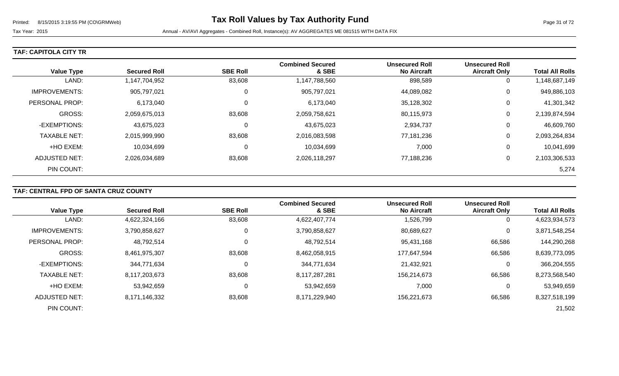Tax Year: 2015 **Annual - AV/AVI Aggregates - Combined Roll, Instance(s): AV AGGREGATES ME 081515 WITH DATA FIX** 

|  |  |  |  | TAF: CAPITOLA CITY TR |  |
|--|--|--|--|-----------------------|--|
|--|--|--|--|-----------------------|--|

| <b>Value Type</b>    | <b>Secured Roll</b> | <b>SBE Roll</b> | <b>Combined Secured</b><br>& SBE | <b>Unsecured Roll</b><br><b>No Aircraft</b> | <b>Unsecured Roll</b><br><b>Aircraft Only</b> | <b>Total All Rolls</b> |
|----------------------|---------------------|-----------------|----------------------------------|---------------------------------------------|-----------------------------------------------|------------------------|
| LAND:                | 1,147,704,952       | 83,608          | 1,147,788,560                    | 898,589                                     | 0                                             | 1,148,687,149          |
| <b>IMPROVEMENTS:</b> | 905,797,021         |                 | 905,797,021                      | 44,089,082                                  | 0                                             | 949,886,103            |
| PERSONAL PROP:       | 6,173,040           |                 | 6,173,040                        | 35,128,302                                  | 0                                             | 41,301,342             |
| GROSS:               | 2,059,675,013       | 83,608          | 2,059,758,621                    | 80,115,973                                  | 0                                             | 2,139,874,594          |
| -EXEMPTIONS:         | 43,675,023          |                 | 43,675,023                       | 2,934,737                                   | 0                                             | 46,609,760             |
| <b>TAXABLE NET:</b>  | 2,015,999,990       | 83,608          | 2,016,083,598                    | 77,181,236                                  | 0                                             | 2,093,264,834          |
| +HO EXEM:            | 10,034,699          |                 | 10,034,699                       | 7,000                                       | 0                                             | 10,041,699             |
| ADJUSTED NET:        | 2,026,034,689       | 83,608          | 2,026,118,297                    | 77,188,236                                  | 0                                             | 2,103,306,533          |
| PIN COUNT:           |                     |                 |                                  |                                             |                                               | 5,274                  |

# **TAF: CENTRAL FPD OF SANTA CRUZ COUNTY**

|                      |                     |                 | <b>Combined Secured</b> | <b>Unsecured Roll</b> | <b>Unsecured Roll</b> |                        |
|----------------------|---------------------|-----------------|-------------------------|-----------------------|-----------------------|------------------------|
| <b>Value Type</b>    | <b>Secured Roll</b> | <b>SBE Roll</b> | & SBE                   | <b>No Aircraft</b>    | <b>Aircraft Only</b>  | <b>Total All Rolls</b> |
| LAND:                | 4,622,324,166       | 83,608          | 4,622,407,774           | 1,526,799             | $\overline{0}$        | 4,623,934,573          |
| <b>IMPROVEMENTS:</b> | 3,790,858,627       | 0               | 3,790,858,627           | 80,689,627            | 0                     | 3,871,548,254          |
| PERSONAL PROP:       | 48,792,514          |                 | 48,792,514              | 95,431,168            | 66,586                | 144,290,268            |
| <b>GROSS:</b>        | 8,461,975,307       | 83,608          | 8,462,058,915           | 177,647,594           | 66,586                | 8,639,773,095          |
| -EXEMPTIONS:         | 344,771,634         |                 | 344,771,634             | 21,432,921            | 0                     | 366,204,555            |
| <b>TAXABLE NET:</b>  | 8,117,203,673       | 83,608          | 8,117,287,281           | 156,214,673           | 66,586                | 8,273,568,540          |
| +HO EXEM:            | 53,942,659          |                 | 53,942,659              | 7,000                 | 0                     | 53,949,659             |
| ADJUSTED NET:        | 8,171,146,332       | 83,608          | 8,171,229,940           | 156,221,673           | 66,586                | 8,327,518,199          |
| PIN COUNT:           |                     |                 |                         |                       |                       | 21,502                 |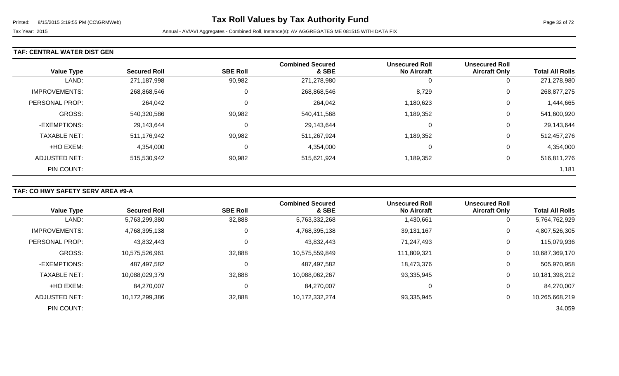### **TAF: CENTRAL WATER DIST GEN**

| <b>Value Type</b>    | <b>Secured Roll</b> | <b>SBE Roll</b> | <b>Combined Secured</b><br>& SBE | <b>Unsecured Roll</b><br><b>No Aircraft</b> | <b>Unsecured Roll</b><br><b>Aircraft Only</b> | <b>Total All Rolls</b> |
|----------------------|---------------------|-----------------|----------------------------------|---------------------------------------------|-----------------------------------------------|------------------------|
| LAND:                | 271,187,998         | 90,982          | 271,278,980                      | 0                                           | 0                                             | 271,278,980            |
| <b>IMPROVEMENTS:</b> | 268,868,546         | 0               | 268,868,546                      | 8,729                                       | 0                                             | 268,877,275            |
| PERSONAL PROP:       | 264,042             | 0               | 264,042                          | 1,180,623                                   | 0                                             | 1,444,665              |
| <b>GROSS:</b>        | 540,320,586         | 90,982          | 540,411,568                      | 1,189,352                                   | 0                                             | 541,600,920            |
| -EXEMPTIONS:         | 29,143,644          | 0               | 29,143,644                       | 0                                           | 0                                             | 29,143,644             |
| <b>TAXABLE NET:</b>  | 511,176,942         | 90,982          | 511,267,924                      | 1,189,352                                   | 0                                             | 512,457,276            |
| +HO EXEM:            | 4,354,000           | 0               | 4,354,000                        | 0                                           | 0                                             | 4,354,000              |
| <b>ADJUSTED NET:</b> | 515,530,942         | 90,982          | 515,621,924                      | 1,189,352                                   | 0                                             | 516,811,276            |
| PIN COUNT:           |                     |                 |                                  |                                             |                                               | 1,181                  |

# **TAF: CO HWY SAFETY SERV AREA #9-A**

|                      |                     |                 | <b>Combined Secured</b> | <b>Unsecured Roll</b> | <b>Unsecured Roll</b> |                        |
|----------------------|---------------------|-----------------|-------------------------|-----------------------|-----------------------|------------------------|
| <b>Value Type</b>    | <b>Secured Roll</b> | <b>SBE Roll</b> | & SBE                   | <b>No Aircraft</b>    | <b>Aircraft Only</b>  | <b>Total All Rolls</b> |
| LAND:                | 5,763,299,380       | 32,888          | 5,763,332,268           | 1,430,661             | 0                     | 5,764,762,929          |
| <b>IMPROVEMENTS:</b> | 4,768,395,138       | 0               | 4,768,395,138           | 39,131,167            | 0                     | 4,807,526,305          |
| PERSONAL PROP:       | 43,832,443          |                 | 43,832,443              | 71,247,493            | 0                     | 115,079,936            |
| <b>GROSS:</b>        | 10,575,526,961      | 32,888          | 10,575,559,849          | 111,809,321           | 0                     | 10,687,369,170         |
| -EXEMPTIONS:         | 487,497,582         |                 | 487,497,582             | 18,473,376            | 0                     | 505,970,958            |
| <b>TAXABLE NET:</b>  | 10,088,029,379      | 32,888          | 10,088,062,267          | 93,335,945            | 0                     | 10,181,398,212         |
| +HO EXEM:            | 84,270,007          |                 | 84,270,007              | 0                     | 0                     | 84,270,007             |
| ADJUSTED NET:        | 10,172,299,386      | 32,888          | 10,172,332,274          | 93,335,945            | 0                     | 10,265,668,219         |
| PIN COUNT:           |                     |                 |                         |                       |                       | 34,059                 |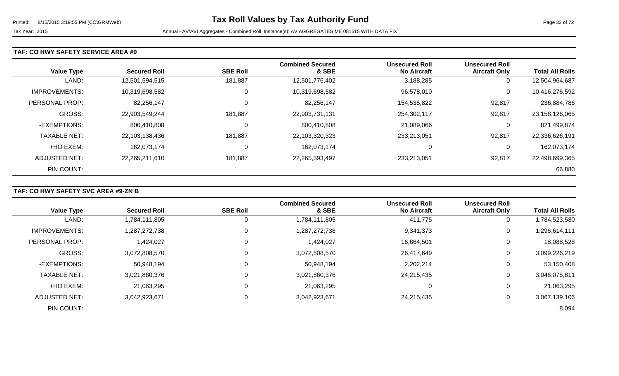### **TAF: CO HWY SAFETY SERVICE AREA #9**

| <b>Value Type</b>    | <b>Secured Roll</b> | <b>SBE Roll</b> | <b>Combined Secured</b><br>& SBE | <b>Unsecured Roll</b><br><b>No Aircraft</b> | <b>Unsecured Roll</b><br><b>Aircraft Only</b> | <b>Total All Rolls</b> |
|----------------------|---------------------|-----------------|----------------------------------|---------------------------------------------|-----------------------------------------------|------------------------|
| LAND:                | 12,501,594,515      | 181,887         | 12,501,776,402                   | 3,188,285                                   | 0                                             | 12,504,964,687         |
| <b>IMPROVEMENTS:</b> | 10,319,698,582      | 0               | 10,319,698,582                   | 96,578,010                                  | 0                                             | 10,416,276,592         |
| PERSONAL PROP:       | 82,256,147          | 0               | 82,256,147                       | 154,535,822                                 | 92,817                                        | 236,884,786            |
| <b>GROSS:</b>        | 22,903,549,244      | 181,887         | 22,903,731,131                   | 254,302,117                                 | 92,817                                        | 23,158,126,065         |
| -EXEMPTIONS:         | 800,410,808         | 0               | 800,410,808                      | 21,089,066                                  | 0                                             | 821,499,874            |
| <b>TAXABLE NET:</b>  | 22,103,138,436      | 181,887         | 22,103,320,323                   | 233,213,051                                 | 92,817                                        | 22,336,626,191         |
| +HO EXEM:            | 162,073,174         | 0               | 162,073,174                      | 0                                           | 0                                             | 162,073,174            |
| ADJUSTED NET:        | 22,265,211,610      | 181,887         | 22,265,393,497                   | 233,213,051                                 | 92,817                                        | 22,498,699,365         |
| PIN COUNT:           |                     |                 |                                  |                                             |                                               | 66,880                 |

# **TAF: CO HWY SAFETY SVC AREA #9-ZN B**

|                      |                     |                 | <b>Combined Secured</b> | <b>Unsecured Roll</b> | <b>Unsecured Roll</b> |                        |
|----------------------|---------------------|-----------------|-------------------------|-----------------------|-----------------------|------------------------|
| <b>Value Type</b>    | <b>Secured Roll</b> | <b>SBE Roll</b> | & SBE                   | <b>No Aircraft</b>    | <b>Aircraft Only</b>  | <b>Total All Rolls</b> |
| LAND:                | 1,784,111,805       | 0               | 1,784,111,805           | 411,775               | 0                     | 1,784,523,580          |
| <b>IMPROVEMENTS:</b> | 1,287,272,738       | 0               | 1,287,272,738           | 9,341,373             | $\mathbf 0$           | 1,296,614,111          |
| PERSONAL PROP:       | 1,424,027           | 0               | 1,424,027               | 16,664,501            | 0                     | 18,088,528             |
| <b>GROSS:</b>        | 3,072,808,570       | 0               | 3,072,808,570           | 26,417,649            | 0                     | 3,099,226,219          |
| -EXEMPTIONS:         | 50,948,194          | $\Omega$        | 50,948,194              | 2,202,214             | 0                     | 53,150,408             |
| <b>TAXABLE NET:</b>  | 3,021,860,376       | 0               | 3,021,860,376           | 24,215,435            | 0                     | 3,046,075,811          |
| +HO EXEM:            | 21,063,295          | $\mathbf{0}$    | 21,063,295              |                       | 0                     | 21,063,295             |
| <b>ADJUSTED NET:</b> | 3,042,923,671       | 0               | 3,042,923,671           | 24,215,435            | 0                     | 3,067,139,106          |
| PIN COUNT:           |                     |                 |                         |                       |                       | 8,094                  |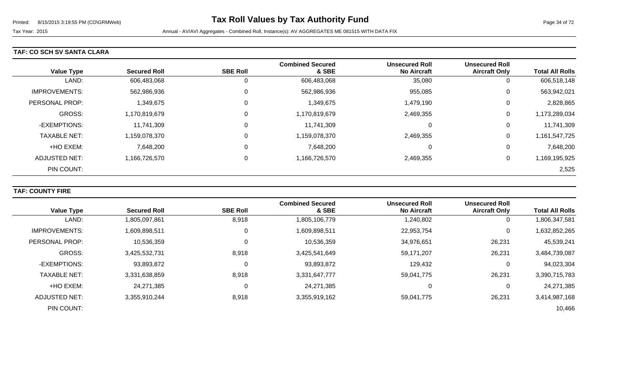#### **TAF: CO SCH SV SANTA CLARA**

| <b>Value Type</b>    | <b>Secured Roll</b> | <b>SBE Roll</b> | <b>Combined Secured</b><br>& SBE | <b>Unsecured Roll</b><br><b>No Aircraft</b> | <b>Unsecured Roll</b><br><b>Aircraft Only</b> | <b>Total All Rolls</b> |
|----------------------|---------------------|-----------------|----------------------------------|---------------------------------------------|-----------------------------------------------|------------------------|
| LAND:                | 606,483,068         | 0               | 606,483,068                      | 35,080                                      | 0                                             | 606,518,148            |
| <b>IMPROVEMENTS:</b> | 562,986,936         | 0               | 562,986,936                      | 955,085                                     | 0                                             | 563,942,021            |
| PERSONAL PROP:       | 1,349,675           | 0               | 1,349,675                        | 1,479,190                                   | 0                                             | 2,828,865              |
| GROSS:               | 1,170,819,679       | 0               | 1,170,819,679                    | 2,469,355                                   | 0                                             | 1,173,289,034          |
| -EXEMPTIONS:         | 11,741,309          | 0               | 11,741,309                       | 0                                           | 0                                             | 11,741,309             |
| <b>TAXABLE NET:</b>  | 1,159,078,370       | 0               | 1,159,078,370                    | 2,469,355                                   | 0                                             | 1,161,547,725          |
| +HO EXEM:            | 7,648,200           | 0               | 7,648,200                        | 0                                           | 0                                             | 7,648,200              |
| ADJUSTED NET:        | 1,166,726,570       | 0               | 1,166,726,570                    | 2,469,355                                   | 0                                             | 1,169,195,925          |
| PIN COUNT:           |                     |                 |                                  |                                             |                                               | 2,525                  |

# **TAF: COUNTY FIRE**

|                      |                     |                 | <b>Combined Secured</b> | <b>Unsecured Roll</b> | <b>Unsecured Roll</b> |                        |
|----------------------|---------------------|-----------------|-------------------------|-----------------------|-----------------------|------------------------|
| <b>Value Type</b>    | <b>Secured Roll</b> | <b>SBE Roll</b> | & SBE                   | <b>No Aircraft</b>    | <b>Aircraft Only</b>  | <b>Total All Rolls</b> |
| LAND:                | 1,805,097,861       | 8,918           | 1,805,106,779           | 1,240,802             | 0                     | 1,806,347,581          |
| <b>IMPROVEMENTS:</b> | 1,609,898,511       | 0               | 1,609,898,511           | 22,953,754            | 0                     | 1,632,852,265          |
| PERSONAL PROP:       | 10,536,359          | $\Omega$        | 10,536,359              | 34,976,651            | 26,231                | 45,539,241             |
| <b>GROSS:</b>        | 3,425,532,731       | 8,918           | 3,425,541,649           | 59,171,207            | 26,231                | 3,484,739,087          |
| -EXEMPTIONS:         | 93,893,872          |                 | 93,893,872              | 129,432               | 0                     | 94,023,304             |
| <b>TAXABLE NET:</b>  | 3,331,638,859       | 8,918           | 3,331,647,777           | 59,041,775            | 26,231                | 3,390,715,783          |
| +HO EXEM:            | 24,271,385          |                 | 24,271,385              | 0                     | 0                     | 24,271,385             |
| ADJUSTED NET:        | 3,355,910,244       | 8,918           | 3,355,919,162           | 59,041,775            | 26,231                | 3,414,987,168          |
| PIN COUNT:           |                     |                 |                         |                       |                       | 10,466                 |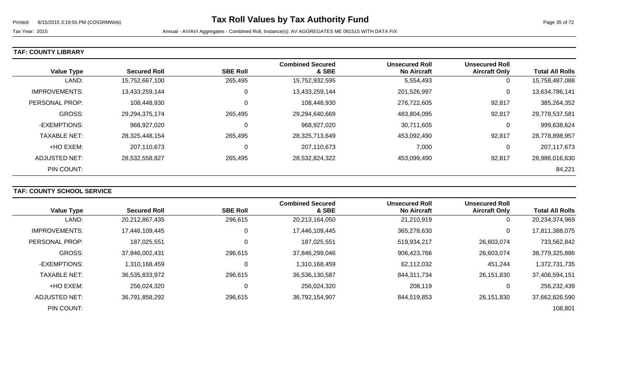### **TAF: COUNTY LIBRARY**

|                      |                     |                 | <b>Combined Secured</b> | <b>Unsecured Roll</b> | <b>Unsecured Roll</b> |                        |
|----------------------|---------------------|-----------------|-------------------------|-----------------------|-----------------------|------------------------|
| <b>Value Type</b>    | <b>Secured Roll</b> | <b>SBE Roll</b> | & SBE                   | <b>No Aircraft</b>    | <b>Aircraft Only</b>  | <b>Total All Rolls</b> |
| LAND:                | 15,752,667,100      | 265,495         | 15,752,932,595          | 5,554,493             | 0                     | 15,758,487,088         |
| <b>IMPROVEMENTS:</b> | 13,433,259,144      | 0               | 13,433,259,144          | 201,526,997           | 0                     | 13,634,786,141         |
| PERSONAL PROP:       | 108,448,930         | 0               | 108,448,930             | 276,722,605           | 92,817                | 385,264,352            |
| <b>GROSS:</b>        | 29,294,375,174      | 265,495         | 29,294,640,669          | 483,804,095           | 92,817                | 29,778,537,581         |
| -EXEMPTIONS:         | 968,927,020         | 0               | 968,927,020             | 30,711,605            | 0                     | 999,638,624            |
| <b>TAXABLE NET:</b>  | 28,325,448,154      | 265,495         | 28,325,713,649          | 453,092,490           | 92,817                | 28,778,898,957         |
| +HO EXEM:            | 207,110,673         | 0               | 207,110,673             | 7,000                 | 0                     | 207,117,673            |
| ADJUSTED NET:        | 28,532,558,827      | 265,495         | 28,532,824,322          | 453,099,490           | 92,817                | 28,986,016,630         |
| PIN COUNT:           |                     |                 |                         |                       |                       | 84,221                 |

# **TAF: COUNTY SCHOOL SERVICE**

|                      |                     |                 | <b>Combined Secured</b> | <b>Unsecured Roll</b> | <b>Unsecured Roll</b> |                        |
|----------------------|---------------------|-----------------|-------------------------|-----------------------|-----------------------|------------------------|
| <b>Value Type</b>    | <b>Secured Roll</b> | <b>SBE Roll</b> | & SBE                   | <b>No Aircraft</b>    | <b>Aircraft Only</b>  | <b>Total All Rolls</b> |
| LAND:                | 20,212,867,435      | 296,615         | 20,213,164,050          | 21,210,919            | 0                     | 20,234,374,969         |
| <b>IMPROVEMENTS:</b> | 17,446,109,445      | 0               | 17,446,109,445          | 365,278,630           | 0                     | 17,811,388,075         |
| PERSONAL PROP:       | 187,025,551         | 0               | 187,025,551             | 519,934,217           | 26,603,074            | 733,562,842            |
| <b>GROSS:</b>        | 37,846,002,431      | 296,615         | 37,846,299,046          | 906,423,766           | 26,603,074            | 38,779,325,886         |
| -EXEMPTIONS:         | 1,310,168,459       | $\Omega$        | 1,310,168,459           | 62,112,032            | 451,244               | 1,372,731,735          |
| <b>TAXABLE NET:</b>  | 36,535,833,972      | 296,615         | 36,536,130,587          | 844,311,734           | 26,151,830            | 37,406,594,151         |
| +HO EXEM:            | 256,024,320         | 0               | 256,024,320             | 208,119               | 0                     | 256,232,439            |
| ADJUSTED NET:        | 36,791,858,292      | 296,615         | 36,792,154,907          | 844,519,853           | 26.151.830            | 37,662,826,590         |
| PIN COUNT:           |                     |                 |                         |                       |                       | 108,801                |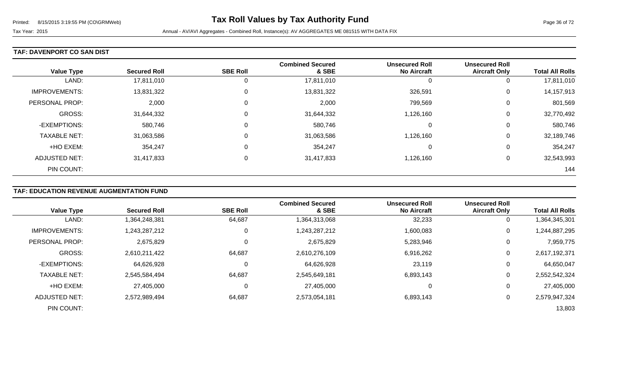### **TAF: DAVENPORT CO SAN DIST**

| <b>Value Type</b>    | <b>Secured Roll</b> | <b>SBE Roll</b> | <b>Combined Secured</b><br>& SBE | <b>Unsecured Roll</b><br><b>No Aircraft</b> | <b>Unsecured Roll</b><br><b>Aircraft Only</b> | <b>Total All Rolls</b> |
|----------------------|---------------------|-----------------|----------------------------------|---------------------------------------------|-----------------------------------------------|------------------------|
| LAND:                | 17,811,010          | 0               | 17,811,010                       | 0                                           | U                                             | 17,811,010             |
| <b>IMPROVEMENTS:</b> | 13,831,322          | 0               | 13,831,322                       | 326,591                                     | 0                                             | 14,157,913             |
| PERSONAL PROP:       | 2,000               | $\overline{0}$  | 2,000                            | 799,569                                     | 0                                             | 801,569                |
| <b>GROSS:</b>        | 31,644,332          | $\overline{0}$  | 31,644,332                       | 1,126,160                                   | 0                                             | 32,770,492             |
| -EXEMPTIONS:         | 580,746             | $\overline{0}$  | 580,746                          | 0                                           | 0                                             | 580,746                |
| <b>TAXABLE NET:</b>  | 31,063,586          | 0               | 31,063,586                       | 1,126,160                                   | 0                                             | 32,189,746             |
| +HO EXEM:            | 354,247             | $\mathbf 0$     | 354,247                          | 0                                           | 0                                             | 354,247                |
| ADJUSTED NET:        | 31,417,833          | 0               | 31,417,833                       | 1,126,160                                   | 0                                             | 32,543,993             |
| PIN COUNT:           |                     |                 |                                  |                                             |                                               | 144                    |

# **TAF: EDUCATION REVENUE AUGMENTATION FUND**

| <b>Value Type</b>     | <b>Secured Roll</b> | <b>SBE Roll</b> | <b>Combined Secured</b><br>& SBE | <b>Unsecured Roll</b><br><b>No Aircraft</b> | <b>Unsecured Roll</b><br><b>Aircraft Only</b> | <b>Total All Rolls</b> |
|-----------------------|---------------------|-----------------|----------------------------------|---------------------------------------------|-----------------------------------------------|------------------------|
| LAND:                 | 1,364,248,381       | 64,687          | 1,364,313,068                    | 32,233                                      | 0                                             | 1,364,345,301          |
| <b>IMPROVEMENTS:</b>  | 1,243,287,212       | 0               | 1,243,287,212                    | 1,600,083                                   | 0                                             | 1,244,887,295          |
| <b>PERSONAL PROP:</b> | 2,675,829           | 0               | 2,675,829                        | 5,283,946                                   | 0                                             | 7,959,775              |
| <b>GROSS:</b>         | 2,610,211,422       | 64,687          | 2,610,276,109                    | 6,916,262                                   | 0                                             | 2,617,192,371          |
| -EXEMPTIONS:          | 64,626,928          | 0               | 64,626,928                       | 23,119                                      | 0                                             | 64,650,047             |
| <b>TAXABLE NET:</b>   | 2,545,584,494       | 64,687          | 2,545,649,181                    | 6,893,143                                   | 0                                             | 2,552,542,324          |
| +HO EXEM:             | 27,405,000          | $\mathbf 0$     | 27,405,000                       | 0                                           | 0                                             | 27,405,000             |
| ADJUSTED NET:         | 2,572,989,494       | 64,687          | 2,573,054,181                    | 6,893,143                                   | 0                                             | 2,579,947,324          |
| PIN COUNT:            |                     |                 |                                  |                                             |                                               | 13,803                 |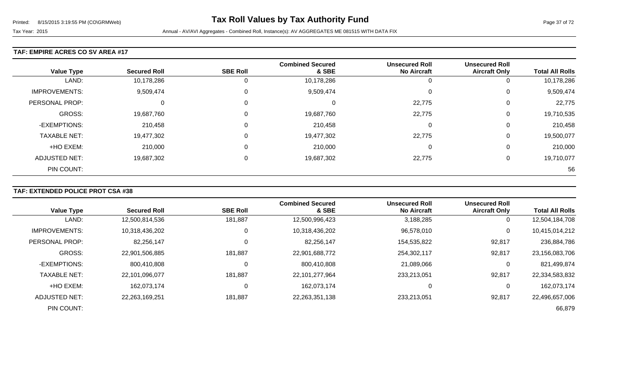#### **TAF: EMPIRE ACRES CO SV AREA #17**

| <b>Value Type</b>    | <b>Secured Roll</b> | <b>SBE Roll</b> | <b>Combined Secured</b><br>& SBE | <b>Unsecured Roll</b><br><b>No Aircraft</b> | <b>Unsecured Roll</b><br><b>Aircraft Only</b> | <b>Total All Rolls</b> |
|----------------------|---------------------|-----------------|----------------------------------|---------------------------------------------|-----------------------------------------------|------------------------|
| LAND:                | 10,178,286          |                 | 10,178,286                       |                                             | 0                                             | 10,178,286             |
| <b>IMPROVEMENTS:</b> | 9,509,474           | $\Omega$        | 9,509,474                        | $\bigcap$                                   | 0                                             | 9,509,474              |
| PERSONAL PROP:       | 0                   |                 | 0                                | 22,775                                      | 0                                             | 22,775                 |
| GROSS:               | 19,687,760          |                 | 19,687,760                       | 22,775                                      | 0                                             | 19,710,535             |
| -EXEMPTIONS:         | 210,458             | $\Omega$        | 210,458                          | 0                                           | 0                                             | 210,458                |
| <b>TAXABLE NET:</b>  | 19,477,302          |                 | 19,477,302                       | 22,775                                      | 0                                             | 19,500,077             |
| +HO EXEM:            | 210,000             |                 | 210,000                          | $\Omega$                                    | 0                                             | 210,000                |
| ADJUSTED NET:        | 19,687,302          |                 | 19,687,302                       | 22,775                                      | 0                                             | 19,710,077             |
| PIN COUNT:           |                     |                 |                                  |                                             |                                               | 56                     |

### **TAF: EXTENDED POLICE PROT CSA #38**

| <b>Value Type</b>    | <b>Secured Roll</b> | <b>SBE Roll</b> | <b>Combined Secured</b><br>& SBE | <b>Unsecured Roll</b><br><b>No Aircraft</b> | <b>Unsecured Roll</b><br><b>Aircraft Only</b> | <b>Total All Rolls</b> |
|----------------------|---------------------|-----------------|----------------------------------|---------------------------------------------|-----------------------------------------------|------------------------|
| LAND:                | 12,500,814,536      | 181,887         | 12,500,996,423                   | 3,188,285                                   | 0                                             | 12,504,184,708         |
| <b>IMPROVEMENTS:</b> | 10,318,436,202      |                 | 10,318,436,202                   | 96,578,010                                  | 0                                             | 10,415,014,212         |
| PERSONAL PROP:       | 82,256,147          |                 | 82,256,147                       | 154,535,822                                 | 92,817                                        | 236,884,786            |
| <b>GROSS:</b>        | 22,901,506,885      | 181,887         | 22,901,688,772                   | 254,302,117                                 | 92,817                                        | 23,156,083,706         |
| -EXEMPTIONS:         | 800,410,808         |                 | 800,410,808                      | 21,089,066                                  | 0                                             | 821,499,874            |
| <b>TAXABLE NET:</b>  | 22,101,096,077      | 181,887         | 22,101,277,964                   | 233,213,051                                 | 92,817                                        | 22,334,583,832         |
| +HO EXEM:            | 162,073,174         | 0               | 162,073,174                      | 0                                           | 0                                             | 162,073,174            |
| ADJUSTED NET:        | 22,263,169,251      | 181,887         | 22,263,351,138                   | 233.213.051                                 | 92,817                                        | 22,496,657,006         |
| PIN COUNT:           |                     |                 |                                  |                                             |                                               | 66,879                 |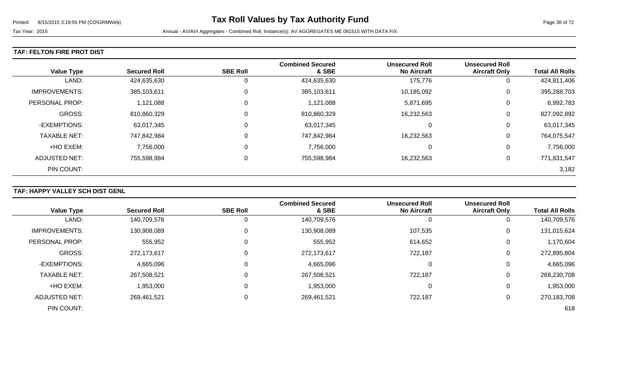### **TAF: FELTON FIRE PROT DIST**

| <b>Value Type</b>    | <b>Secured Roll</b> | <b>SBE Roll</b> | <b>Combined Secured</b><br>& SBE | <b>Unsecured Roll</b><br><b>No Aircraft</b> | <b>Unsecured Roll</b><br><b>Aircraft Only</b> | <b>Total All Rolls</b> |
|----------------------|---------------------|-----------------|----------------------------------|---------------------------------------------|-----------------------------------------------|------------------------|
| LAND:                | 424,635,630         | 0               | 424,635,630                      | 175,776                                     | 0                                             | 424,811,406            |
| <b>IMPROVEMENTS:</b> | 385,103,611         | 0               | 385,103,611                      | 10,185,092                                  | 0                                             | 395,288,703            |
| PERSONAL PROP:       | 1,121,088           | 0               | 1,121,088                        | 5,871,695                                   | 0                                             | 6,992,783              |
| <b>GROSS:</b>        | 810,860,329         | 0               | 810,860,329                      | 16,232,563                                  | 0                                             | 827,092,892            |
| -EXEMPTIONS:         | 63,017,345          | 0               | 63,017,345                       | 0                                           | 0                                             | 63,017,345             |
| <b>TAXABLE NET:</b>  | 747,842,984         | 0               | 747,842,984                      | 16,232,563                                  | 0                                             | 764,075,547            |
| +HO EXEM:            | 7,756,000           | 0               | 7,756,000                        | 0                                           | 0                                             | 7,756,000              |
| ADJUSTED NET:        | 755,598,984         | 0               | 755,598,984                      | 16,232,563                                  | 0                                             | 771,831,547            |
| PIN COUNT:           |                     |                 |                                  |                                             |                                               | 3,182                  |

# **TAF: HAPPY VALLEY SCH DIST GENL**

|                      |                     |                 | <b>Combined Secured</b> | <b>Unsecured Roll</b> | <b>Unsecured Roll</b> |                        |
|----------------------|---------------------|-----------------|-------------------------|-----------------------|-----------------------|------------------------|
| <b>Value Type</b>    | <b>Secured Roll</b> | <b>SBE Roll</b> | & SBE                   | <b>No Aircraft</b>    | <b>Aircraft Only</b>  | <b>Total All Rolls</b> |
| LAND:                | 140,709,576         |                 | 140,709,576             |                       | 0                     | 140,709,576            |
| IMPROVEMENTS:        | 130,908,089         | 0               | 130,908,089             | 107,535               | 0                     | 131,015,624            |
| PERSONAL PROP:       | 555,952             | 0               | 555,952                 | 614,652               | 0                     | 1,170,604              |
| GROSS:               | 272,173,617         |                 | 272,173,617             | 722,187               | 0                     | 272,895,804            |
| -EXEMPTIONS:         | 4,665,096           | 0               | 4,665,096               | $\Omega$              | 0                     | 4,665,096              |
| <b>TAXABLE NET:</b>  | 267,508,521         |                 | 267,508,521             | 722,187               | 0                     | 268,230,708            |
| +HO EXEM:            | 1,953,000           | 0               | 1,953,000               | 0                     | 0                     | 1,953,000              |
| <b>ADJUSTED NET:</b> | 269,461,521         | 0               | 269,461,521             | 722,187               | 0                     | 270,183,708            |
| PIN COUNT:           |                     |                 |                         |                       |                       | 618                    |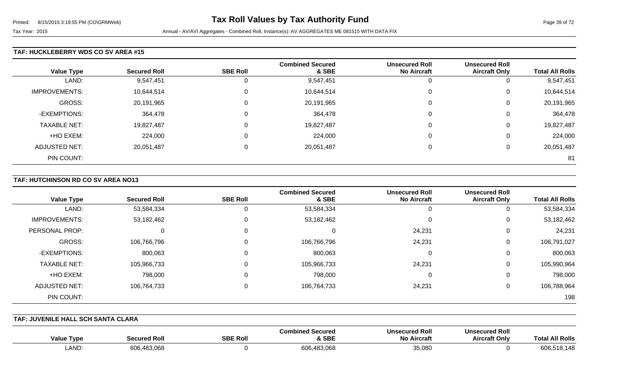### **TAF: HUCKLEBERRY WDS CO SV AREA #15**

| <b>Value Type</b>    | <b>Secured Roll</b> | <b>SBE Roll</b> | <b>Combined Secured</b><br>& SBE | <b>Unsecured Roll</b><br><b>No Aircraft</b> | <b>Unsecured Roll</b><br><b>Aircraft Only</b> | <b>Total All Rolls</b> |
|----------------------|---------------------|-----------------|----------------------------------|---------------------------------------------|-----------------------------------------------|------------------------|
|                      |                     |                 |                                  |                                             |                                               |                        |
| LAND:                | 9,547,451           | 0               | 9,547,451                        | υ                                           | υ                                             | 9,547,451              |
| <b>IMPROVEMENTS:</b> | 10,644,514          | 0               | 10,644,514                       | $\mathbf 0$                                 | U                                             | 10,644,514             |
| <b>GROSS:</b>        | 20,191,965          | 0               | 20,191,965                       | 0                                           | U                                             | 20,191,965             |
| -EXEMPTIONS:         | 364,478             | 0               | 364,478                          | 0                                           | 0                                             | 364,478                |
| <b>TAXABLE NET:</b>  | 19,827,487          | $\mathbf 0$     | 19,827,487                       | $\Omega$                                    | U                                             | 19,827,487             |
| +HO EXEM:            | 224,000             | 0               | 224,000                          | 0                                           | 0                                             | 224,000                |
| <b>ADJUSTED NET:</b> | 20,051,487          | 0               | 20,051,487                       | $\Omega$                                    | U                                             | 20,051,487             |
| PIN COUNT:           |                     |                 |                                  |                                             |                                               | 81                     |

### **TAF: HUTCHINSON RD CO SV AREA NO13**

| <b>Value Type</b>    | <b>Secured Roll</b> | <b>SBE Roll</b> | <b>Combined Secured</b><br>& SBE | <b>Unsecured Roll</b><br><b>No Aircraft</b> | <b>Unsecured Roll</b><br><b>Aircraft Only</b> | <b>Total All Rolls</b> |
|----------------------|---------------------|-----------------|----------------------------------|---------------------------------------------|-----------------------------------------------|------------------------|
| LAND:                | 53,584,334          | 0               | 53,584,334                       | 0                                           | 0                                             | 53,584,334             |
| <b>IMPROVEMENTS:</b> | 53,182,462          | 0               | 53,182,462                       | 0                                           | 0                                             | 53,182,462             |
| PERSONAL PROP:       |                     | $\Omega$        | 0                                | 24,231                                      | 0                                             | 24,231                 |
| GROSS:               | 106,766,796         | 0               | 106,766,796                      | 24,231                                      | 0                                             | 106,791,027            |
| -EXEMPTIONS:         | 800,063             | $\Omega$        | 800,063                          | 0                                           | 0                                             | 800,063                |
| <b>TAXABLE NET:</b>  | 105,966,733         | 0               | 105,966,733                      | 24,231                                      | 0                                             | 105,990,964            |
| +HO EXEM:            | 798,000             | 0               | 798,000                          | 0                                           | 0                                             | 798,000                |
| ADJUSTED NET:        | 106,764,733         | $\mathbf 0$     | 106,764,733                      | 24,231                                      | 0                                             | 106,788,964            |
| PIN COUNT:           |                     |                 |                                  |                                             |                                               | 198                    |

**TAF: JUVENILE HALL SCH SANTA CLARA** 

| Type<br>Value | Secured Ro      | <b>SBE Roll</b> | <b>Secured</b><br>Combined<br>& SBE | <b>Unsecured Roll</b><br><b>No Aircraft</b> | secured Roll<br>Uns<br><b>Aircraft Only</b> | <b>All Rolls</b><br>Tota |
|---------------|-----------------|-----------------|-------------------------------------|---------------------------------------------|---------------------------------------------|--------------------------|
| <b>LAND</b>   | 606<br>.483,068 |                 | 606,483,068                         | 35,080                                      |                                             | 606.<br>518.148          |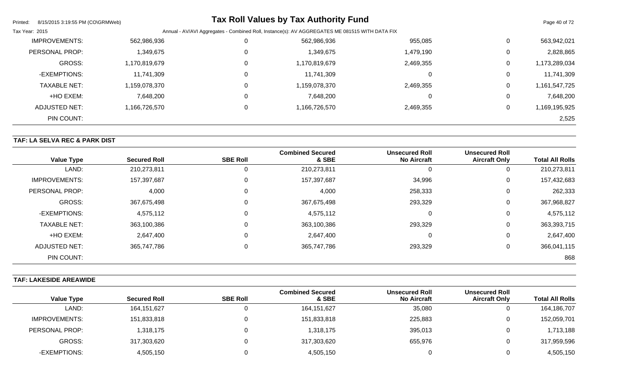| Printed:<br>8/15/2015 3:19:55 PM (CO\GRMWeb) |                                                                                                |   | <b>Tax Roll Values by Tax Authority Fund</b> |           |                | Page 40 of 72 |
|----------------------------------------------|------------------------------------------------------------------------------------------------|---|----------------------------------------------|-----------|----------------|---------------|
| Tax Year: 2015                               | Annual - AV/AVI Aggregates - Combined Roll, Instance(s): AV AGGREGATES ME 081515 WITH DATA FIX |   |                                              |           |                |               |
| <b>IMPROVEMENTS:</b>                         | 562,986,936                                                                                    | 0 | 562,986,936                                  | 955,085   | $\mathbf{0}$   | 563,942,021   |
| <b>PERSONAL PROP:</b>                        | 1,349,675                                                                                      | 0 | 1,349,675                                    | 1,479,190 | $\mathbf{0}$   | 2,828,865     |
| <b>GROSS:</b>                                | 1,170,819,679                                                                                  | 0 | 1,170,819,679                                | 2,469,355 | 0              | 1,173,289,034 |
| -EXEMPTIONS:                                 | 11,741,309                                                                                     | 0 | 11,741,309                                   | 0         | $\mathbf 0$    | 11,741,309    |
| <b>TAXABLE NET:</b>                          | 1,159,078,370                                                                                  | 0 | 1,159,078,370                                | 2,469,355 | 0              | 1,161,547,725 |
| +HO EXEM:                                    | 7,648,200                                                                                      | 0 | 7,648,200                                    |           | $\overline{0}$ | 7,648,200     |
| ADJUSTED NET:                                | 1,166,726,570                                                                                  | 0 | 1,166,726,570                                | 2,469,355 | 0              | 1,169,195,925 |
| PIN COUNT:                                   |                                                                                                |   |                                              |           |                | 2,525         |

# **TAF: LA SELVA REC & PARK DIST**

| <b>Value Type</b>    | <b>Secured Roll</b> | <b>SBE Roll</b> | <b>Combined Secured</b><br>& SBE | <b>Unsecured Roll</b><br><b>No Aircraft</b> | <b>Unsecured Roll</b><br><b>Aircraft Only</b> | <b>Total All Rolls</b> |
|----------------------|---------------------|-----------------|----------------------------------|---------------------------------------------|-----------------------------------------------|------------------------|
| LAND:                | 210,273,811         | 0               | 210,273,811                      |                                             | U                                             | 210,273,811            |
| <b>IMPROVEMENTS:</b> | 157,397,687         | $\overline{0}$  | 157,397,687                      | 34,996                                      | 0                                             | 157,432,683            |
| PERSONAL PROP:       | 4,000               | 0               | 4,000                            | 258,333                                     | 0                                             | 262,333                |
| <b>GROSS:</b>        | 367,675,498         | $\mathbf 0$     | 367,675,498                      | 293,329                                     | 0                                             | 367,968,827            |
| -EXEMPTIONS:         | 4,575,112           | 0               | 4,575,112                        | 0                                           | 0                                             | 4,575,112              |
| <b>TAXABLE NET:</b>  | 363,100,386         | $\mathbf 0$     | 363,100,386                      | 293,329                                     | 0                                             | 363,393,715            |
| +HO EXEM:            | 2,647,400           | 0               | 2,647,400                        | 0                                           | 0                                             | 2,647,400              |
| ADJUSTED NET:        | 365,747,786         | 0               | 365,747,786                      | 293,329                                     | 0                                             | 366,041,115            |
| PIN COUNT:           |                     |                 |                                  |                                             |                                               | 868                    |

### **TAF: LAKESIDE AREAWIDE**

|                   |                     |                 | <b>Combined Secured</b> | <b>Unsecured Roll</b> | <b>Unsecured Roll</b> |                        |
|-------------------|---------------------|-----------------|-------------------------|-----------------------|-----------------------|------------------------|
| <b>Value Type</b> | <b>Secured Roll</b> | <b>SBE Roll</b> | & SBE                   | <b>No Aircraft</b>    | <b>Aircraft Only</b>  | <b>Total All Rolls</b> |
| LAND:             | 164,151,627         |                 | 164, 151, 627           | 35,080                | O                     | 164,186,707            |
| IMPROVEMENTS:     | 151,833,818         |                 | 151,833,818             | 225,883               | 0                     | 152,059,701            |
| PERSONAL PROP:    | 1,318,175           |                 | 1,318,175               | 395,013               | 0                     | 1,713,188              |
| GROSS:            | 317,303,620         |                 | 317,303,620             | 655,976               | 0                     | 317,959,596            |
| -EXEMPTIONS:      | 4,505,150           |                 | 4,505,150               |                       | 0                     | 4,505,150              |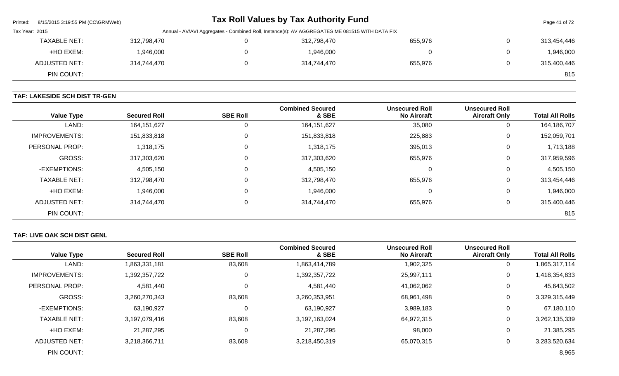| Printed:       | 8/15/2015 3:19:55 PM (CO\GRMWeb) |                                                                                                |  | <b>Tax Roll Values by Tax Authority Fund</b> |         |                | Page 41 of 72 |  |  |
|----------------|----------------------------------|------------------------------------------------------------------------------------------------|--|----------------------------------------------|---------|----------------|---------------|--|--|
| Tax Year: 2015 |                                  | Annual - AV/AVI Aggregates - Combined Roll, Instance(s): AV AGGREGATES ME 081515 WITH DATA FIX |  |                                              |         |                |               |  |  |
|                | <b>TAXABLE NET:</b>              | 312,798,470                                                                                    |  | 312,798,470                                  | 655,976 | $\mathbf{0}$   | 313,454,446   |  |  |
|                | +HO EXEM:                        | 1,946,000                                                                                      |  | 1,946,000                                    |         | $\overline{0}$ | 1,946,000     |  |  |
|                | ADJUSTED NET:                    | 314,744,470                                                                                    |  | 314,744,470                                  | 655,976 | $\mathbf{0}$   | 315,400,446   |  |  |
|                | PIN COUNT:                       |                                                                                                |  |                                              |         |                | 815           |  |  |

# **TAF: LAKESIDE SCH DIST TR-GEN**

| <b>Value Type</b>    | <b>Secured Roll</b> | <b>SBE Roll</b> | <b>Combined Secured</b><br>& SBE | <b>Unsecured Roll</b><br><b>No Aircraft</b> | <b>Unsecured Roll</b><br><b>Aircraft Only</b> | <b>Total All Rolls</b> |
|----------------------|---------------------|-----------------|----------------------------------|---------------------------------------------|-----------------------------------------------|------------------------|
| LAND:                | 164, 151, 627       | 0               | 164, 151, 627                    | 35,080                                      | 0                                             | 164,186,707            |
| <b>IMPROVEMENTS:</b> | 151,833,818         | 0               | 151,833,818                      | 225,883                                     | 0                                             | 152,059,701            |
| PERSONAL PROP:       | 1,318,175           | 0               | 1,318,175                        | 395,013                                     | 0                                             | 1,713,188              |
| <b>GROSS:</b>        | 317,303,620         | 0               | 317,303,620                      | 655,976                                     | 0                                             | 317,959,596            |
| -EXEMPTIONS:         | 4,505,150           | $\mathbf 0$     | 4,505,150                        | 0                                           | 0                                             | 4,505,150              |
| <b>TAXABLE NET:</b>  | 312,798,470         | $\Omega$        | 312,798,470                      | 655,976                                     | 0                                             | 313,454,446            |
| +HO EXEM:            | 1,946,000           | $\mathbf 0$     | 1,946,000                        | 0                                           | 0                                             | 1,946,000              |
| ADJUSTED NET:        | 314,744,470         | $\Omega$        | 314,744,470                      | 655,976                                     | 0                                             | 315,400,446            |
| PIN COUNT:           |                     |                 |                                  |                                             |                                               | 815                    |

# **TAF: LIVE OAK SCH DIST GENL**

| <b>Value Type</b>    | <b>Secured Roll</b> | <b>SBE Roll</b> | <b>Combined Secured</b><br>& SBE | <b>Unsecured Roll</b><br><b>No Aircraft</b> | <b>Unsecured Roll</b><br><b>Aircraft Only</b> | <b>Total All Rolls</b> |
|----------------------|---------------------|-----------------|----------------------------------|---------------------------------------------|-----------------------------------------------|------------------------|
| LAND:                | 1,863,331,181       | 83,608          | 1,863,414,789                    | 1,902,325                                   | 0                                             | 1,865,317,114          |
| <b>IMPROVEMENTS:</b> | 1,392,357,722       | 0               | 1,392,357,722                    | 25,997,111                                  | 0                                             | 1,418,354,833          |
| PERSONAL PROP:       | 4,581,440           | 0               | 4,581,440                        | 41,062,062                                  | 0                                             | 45,643,502             |
| <b>GROSS:</b>        | 3,260,270,343       | 83,608          | 3,260,353,951                    | 68,961,498                                  | 0                                             | 3,329,315,449          |
| -EXEMPTIONS:         | 63,190,927          | $\mathbf 0$     | 63,190,927                       | 3,989,183                                   | 0                                             | 67,180,110             |
| <b>TAXABLE NET:</b>  | 3,197,079,416       | 83,608          | 3,197,163,024                    | 64,972,315                                  | 0                                             | 3,262,135,339          |
| +HO EXEM:            | 21,287,295          | 0               | 21,287,295                       | 98,000                                      | 0                                             | 21,385,295             |
| ADJUSTED NET:        | 3,218,366,711       | 83,608          | 3,218,450,319                    | 65,070,315                                  | 0                                             | 3,283,520,634          |
| PIN COUNT:           |                     |                 |                                  |                                             |                                               | 8,965                  |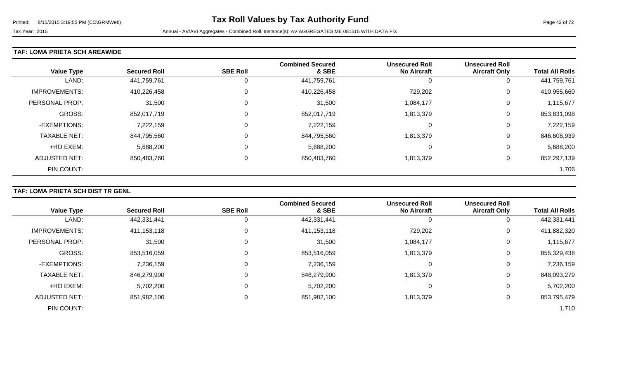### **TAF: LOMA PRIETA SCH AREAWIDE**

| <b>Value Type</b>    | <b>Secured Roll</b> | <b>SBE Roll</b> | <b>Combined Secured</b><br>& SBE | <b>Unsecured Roll</b><br><b>No Aircraft</b> | <b>Unsecured Roll</b><br><b>Aircraft Only</b> | <b>Total All Rolls</b> |
|----------------------|---------------------|-----------------|----------------------------------|---------------------------------------------|-----------------------------------------------|------------------------|
| LAND:                | 441,759,761         | 0               | 441,759,761                      |                                             | 0                                             | 441,759,761            |
| <b>IMPROVEMENTS:</b> | 410,226,458         | $\Omega$        | 410,226,458                      | 729,202                                     | 0                                             | 410,955,660            |
| PERSONAL PROP:       | 31,500              | $\Omega$        | 31,500                           | 1,084,177                                   | 0                                             | 1,115,677              |
| GROSS:               | 852,017,719         |                 | 852,017,719                      | 1,813,379                                   | 0                                             | 853,831,098            |
| -EXEMPTIONS:         | 7,222,159           | $\Omega$        | 7,222,159                        | $\Omega$                                    | 0                                             | 7,222,159              |
| <b>TAXABLE NET:</b>  | 844,795,560         | 0               | 844,795,560                      | 1,813,379                                   | 0                                             | 846,608,939            |
| +HO EXEM:            | 5,688,200           | $\Omega$        | 5,688,200                        | -0                                          | 0                                             | 5,688,200              |
| ADJUSTED NET:        | 850,483,760         | 0               | 850,483,760                      | 1,813,379                                   | 0                                             | 852,297,139            |
| PIN COUNT:           |                     |                 |                                  |                                             |                                               | 1,706                  |

# **TAF: LOMA PRIETA SCH DIST TR GENL**

|                      |                     |                 | <b>Combined Secured</b> | <b>Unsecured Roll</b> | <b>Unsecured Roll</b> |                        |
|----------------------|---------------------|-----------------|-------------------------|-----------------------|-----------------------|------------------------|
| <b>Value Type</b>    | <b>Secured Roll</b> | <b>SBE Roll</b> | & SBE                   | <b>No Aircraft</b>    | <b>Aircraft Only</b>  | <b>Total All Rolls</b> |
| LAND:                | 442,331,441         |                 | 442,331,441             | 0                     | O                     | 442,331,441            |
| <b>IMPROVEMENTS:</b> | 411,153,118         | 0               | 411,153,118             | 729,202               | 0                     | 411,882,320            |
| PERSONAL PROP:       | 31,500              | 0               | 31,500                  | 1,084,177             | 0                     | 1,115,677              |
| <b>GROSS:</b>        | 853,516,059         |                 | 853,516,059             | 1,813,379             | 0                     | 855,329,438            |
| -EXEMPTIONS:         | 7,236,159           |                 | 7,236,159               | 0                     | 0                     | 7,236,159              |
| <b>TAXABLE NET:</b>  | 846,279,900         |                 | 846,279,900             | 1,813,379             | 0                     | 848,093,279            |
| +HO EXEM:            | 5,702,200           |                 | 5,702,200               | 0                     | 0                     | 5,702,200              |
| <b>ADJUSTED NET:</b> | 851,982,100         |                 | 851,982,100             | 1,813,379             | 0                     | 853,795,479            |
| PIN COUNT:           |                     |                 |                         |                       |                       | 1,710                  |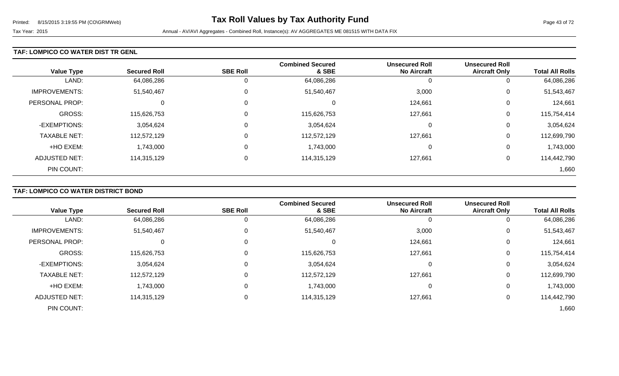### **TAF: LOMPICO CO WATER DIST TR GENL**

| <b>Value Type</b>    | <b>Secured Roll</b> | <b>SBE Roll</b> | <b>Combined Secured</b><br>& SBE | <b>Unsecured Roll</b><br><b>No Aircraft</b> | <b>Unsecured Roll</b><br><b>Aircraft Only</b> | <b>Total All Rolls</b> |
|----------------------|---------------------|-----------------|----------------------------------|---------------------------------------------|-----------------------------------------------|------------------------|
| LAND:                | 64,086,286          | U               | 64,086,286                       | U                                           | υ                                             | 64,086,286             |
| <b>IMPROVEMENTS:</b> | 51,540,467          | 0               | 51,540,467                       | 3,000                                       | U                                             | 51,543,467             |
| PERSONAL PROP:       | 0                   | $\overline{0}$  |                                  | 124,661                                     | 0                                             | 124,661                |
| <b>GROSS:</b>        | 115,626,753         | $\overline{0}$  | 115,626,753                      | 127,661                                     | 0                                             | 115,754,414            |
| -EXEMPTIONS:         | 3,054,624           | $\overline{0}$  | 3,054,624                        | $\Omega$                                    | 0                                             | 3,054,624              |
| <b>TAXABLE NET:</b>  | 112,572,129         | $\overline{0}$  | 112,572,129                      | 127,661                                     | 0                                             | 112,699,790            |
| +HO EXEM:            | ,743,000            | $\overline{0}$  | 1,743,000                        | 0                                           | 0                                             | 1,743,000              |
| <b>ADJUSTED NET:</b> | 114,315,129         | $\mathbf 0$     | 114,315,129                      | 127,661                                     | 0                                             | 114,442,790            |
| PIN COUNT:           |                     |                 |                                  |                                             |                                               | 1,660                  |

# **TAF: LOMPICO CO WATER DISTRICT BOND**

|                      | <b>Secured Roll</b> | <b>SBE Roll</b> | <b>Combined Secured</b><br>& SBE | <b>Unsecured Roll</b><br><b>No Aircraft</b> | <b>Unsecured Roll</b><br><b>Aircraft Only</b> | <b>Total All Rolls</b> |
|----------------------|---------------------|-----------------|----------------------------------|---------------------------------------------|-----------------------------------------------|------------------------|
| <b>Value Type</b>    |                     |                 |                                  |                                             |                                               |                        |
| LAND:                | 64,086,286          |                 | 64,086,286                       | 0                                           |                                               | 64,086,286             |
| <b>IMPROVEMENTS:</b> | 51,540,467          | 0               | 51,540,467                       | 3,000                                       | 0                                             | 51,543,467             |
| PERSONAL PROP:       |                     | 0               | 0                                | 124,661                                     | 0                                             | 124,661                |
| <b>GROSS:</b>        | 115,626,753         | $\Omega$        | 115,626,753                      | 127,661                                     | 0                                             | 115,754,414            |
| -EXEMPTIONS:         | 3,054,624           | 0               | 3,054,624                        | 0                                           | 0                                             | 3,054,624              |
| <b>TAXABLE NET:</b>  | 112,572,129         | 0               | 112,572,129                      | 127,661                                     | 0                                             | 112,699,790            |
| +HO EXEM:            | 1,743,000           | 0               | 1,743,000                        | 0                                           | 0                                             | 1,743,000              |
| <b>ADJUSTED NET:</b> | 114,315,129         | 0               | 114,315,129                      | 127,661                                     | 0                                             | 114,442,790            |
| PIN COUNT:           |                     |                 |                                  |                                             |                                               | 1,660                  |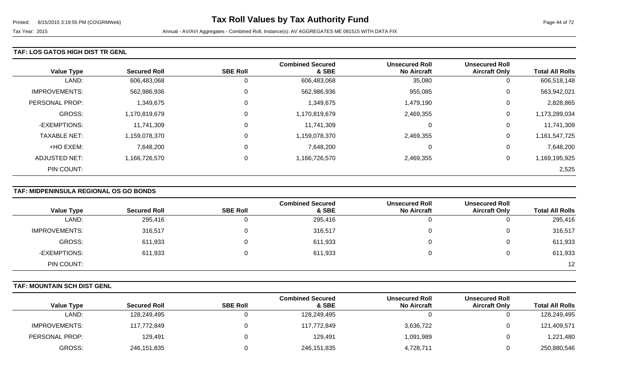### **TAF: LOS GATOS HIGH DIST TR GENL**

| <b>Value Type</b>    | <b>Secured Roll</b> | <b>SBE Roll</b> | <b>Combined Secured</b><br>& SBE | <b>Unsecured Roll</b><br><b>No Aircraft</b> | <b>Unsecured Roll</b><br><b>Aircraft Only</b> | <b>Total All Rolls</b> |
|----------------------|---------------------|-----------------|----------------------------------|---------------------------------------------|-----------------------------------------------|------------------------|
| LAND:                | 606,483,068         | U               | 606,483,068                      | 35,080                                      | U                                             | 606,518,148            |
| <b>IMPROVEMENTS:</b> | 562,986,936         | 0               | 562,986,936                      | 955,085                                     | 0                                             | 563,942,021            |
| PERSONAL PROP:       | ,349,675            | $\overline{0}$  | 1,349,675                        | 1,479,190                                   | 0                                             | 2,828,865              |
| GROSS:               | 1,170,819,679       | $\overline{0}$  | 1,170,819,679                    | 2,469,355                                   | 0                                             | 1,173,289,034          |
| -EXEMPTIONS:         | 11,741,309          | $\overline{0}$  | 11,741,309                       | $\Omega$                                    | 0                                             | 11,741,309             |
| <b>TAXABLE NET:</b>  | 1,159,078,370       | $\overline{0}$  | 1,159,078,370                    | 2,469,355                                   | 0                                             | 1,161,547,725          |
| +HO EXEM:            | 7,648,200           | $\overline{0}$  | 7,648,200                        | $\Omega$                                    | 0                                             | 7,648,200              |
| ADJUSTED NET:        | 1,166,726,570       | 0               | 1,166,726,570                    | 2,469,355                                   | 0                                             | 1,169,195,925          |
| PIN COUNT:           |                     |                 |                                  |                                             |                                               | 2,525                  |

# **TAF: MIDPENINSULA REGIONAL OS GO BONDS**

| <b>Value Type</b>    | <b>Secured Roll</b> | <b>SBE Roll</b> | <b>Combined Secured</b><br>& SBE | <b>Unsecured Roll</b><br><b>No Aircraft</b> | <b>Unsecured Roll</b><br><b>Aircraft Only</b> | <b>Total All Rolls</b> |
|----------------------|---------------------|-----------------|----------------------------------|---------------------------------------------|-----------------------------------------------|------------------------|
| LAND:                | 295,416             |                 | 295,416                          |                                             |                                               | 295,416                |
| <b>IMPROVEMENTS:</b> | 316,517             |                 | 316,517                          |                                             | 0                                             | 316,517                |
| GROSS:               | 611,933             |                 | 611,933                          |                                             |                                               | 611,933                |
| -EXEMPTIONS:         | 611,933             |                 | 611,933                          |                                             |                                               | 611,933                |
| PIN COUNT:           |                     |                 |                                  |                                             |                                               | 12                     |

### **TAF: MOUNTAIN SCH DIST GENL**

|                      |                     |                 | <b>Combined Secured</b> | <b>Unsecured Roll</b> | <b>Unsecured Roll</b> |                        |
|----------------------|---------------------|-----------------|-------------------------|-----------------------|-----------------------|------------------------|
| <b>Value Type</b>    | <b>Secured Roll</b> | <b>SBE Roll</b> | & SBE                   | <b>No Aircraft</b>    | <b>Aircraft Only</b>  | <b>Total All Rolls</b> |
| LAND:                | 128,249,495         |                 | 128,249,495             |                       |                       | 128,249,495            |
| <b>IMPROVEMENTS:</b> | 117,772,849         |                 | 117,772,849             | 3,636,722             | O                     | 121,409,571            |
| PERSONAL PROP:       | 129,491             |                 | 129,491                 | 1,091,989             |                       | 1,221,480              |
| <b>GROSS:</b>        | 246,151,835         |                 | 246,151,835             | 4,728,711             |                       | 250,880,546            |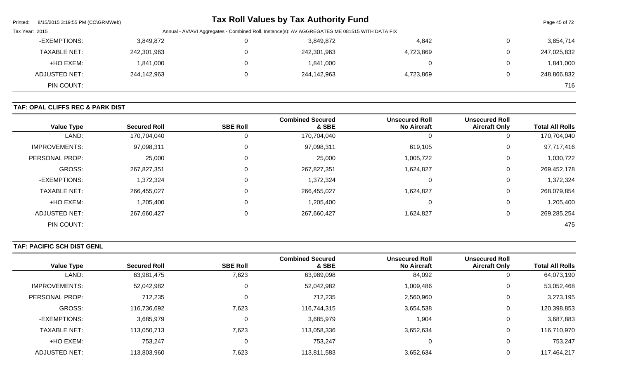| Printed:       | 8/15/2015 3:19:55 PM (CO\GRMWeb) |                                                                                                |  | <b>Tax Roll Values by Tax Authority Fund</b> |           |                | Page 45 of 72 |  |
|----------------|----------------------------------|------------------------------------------------------------------------------------------------|--|----------------------------------------------|-----------|----------------|---------------|--|
| Tax Year: 2015 |                                  | Annual - AV/AVI Aggregates - Combined Roll, Instance(s): AV AGGREGATES ME 081515 WITH DATA FIX |  |                                              |           |                |               |  |
|                | -EXEMPTIONS:                     | 3,849,872                                                                                      |  | 3,849,872                                    | 4,842     | $\mathbf 0$    | 3,854,714     |  |
|                | TAXABLE NET:                     | 242,301,963                                                                                    |  | 242,301,963                                  | 4,723,869 | $\overline{0}$ | 247,025,832   |  |
|                | +HO EXEM:                        | 1,841,000                                                                                      |  | 1,841,000                                    |           | $\overline{0}$ | 1,841,000     |  |
|                | <b>ADJUSTED NET:</b>             | 244,142,963                                                                                    |  | 244,142,963                                  | 4,723,869 | $\overline{0}$ | 248,866,832   |  |
|                | PIN COUNT:                       |                                                                                                |  |                                              |           |                | 716           |  |

### **TAF: OPAL CLIFFS REC & PARK DIST**

| <b>Value Type</b>     | <b>Secured Roll</b> | <b>SBE Roll</b> | <b>Combined Secured</b><br>& SBE | <b>Unsecured Roll</b><br><b>No Aircraft</b> | <b>Unsecured Roll</b><br><b>Aircraft Only</b> | <b>Total All Rolls</b> |
|-----------------------|---------------------|-----------------|----------------------------------|---------------------------------------------|-----------------------------------------------|------------------------|
| LAND:                 | 170,704,040         | 0               | 170,704,040                      |                                             | 0                                             | 170,704,040            |
| <b>IMPROVEMENTS:</b>  | 97,098,311          | 0               | 97,098,311                       | 619,105                                     | 0                                             | 97,717,416             |
| <b>PERSONAL PROP:</b> | 25,000              | 0               | 25,000                           | 1,005,722                                   | 0                                             | 1,030,722              |
| <b>GROSS:</b>         | 267,827,351         | 0               | 267,827,351                      | 1,624,827                                   | 0                                             | 269,452,178            |
| -EXEMPTIONS:          | 1,372,324           | 0               | 1,372,324                        | -0                                          | 0                                             | 1,372,324              |
| <b>TAXABLE NET:</b>   | 266,455,027         | 0               | 266,455,027                      | 1,624,827                                   | 0                                             | 268,079,854            |
| +HO EXEM:             | 1,205,400           | $\mathbf 0$     | 1,205,400                        | 0                                           | 0                                             | 1,205,400              |
| <b>ADJUSTED NET:</b>  | 267,660,427         | 0               | 267,660,427                      | 1,624,827                                   | 0                                             | 269,285,254            |
| PIN COUNT:            |                     |                 |                                  |                                             |                                               | 475                    |

# **TAF: PACIFIC SCH DIST GENL**

|                      |                     | <b>SBE Roll</b> | <b>Combined Secured</b><br>& SBE | <b>Unsecured Roll</b> | <b>Unsecured Roll</b> | <b>Total All Rolls</b> |
|----------------------|---------------------|-----------------|----------------------------------|-----------------------|-----------------------|------------------------|
| <b>Value Type</b>    | <b>Secured Roll</b> |                 |                                  | <b>No Aircraft</b>    | <b>Aircraft Only</b>  |                        |
| LAND:                | 63,981,475          | 7,623           | 63,989,098                       | 84,092                | 0                     | 64,073,190             |
| <b>IMPROVEMENTS:</b> | 52,042,982          | 0               | 52,042,982                       | 1,009,486             | 0                     | 53,052,468             |
| PERSONAL PROP:       | 712,235             |                 | 712,235                          | 2,560,960             | 0                     | 3,273,195              |
| GROSS:               | 116,736,692         | 7,623           | 116,744,315                      | 3,654,538             | 0                     | 120,398,853            |
| -EXEMPTIONS:         | 3,685,979           | 0               | 3,685,979                        | 1,904                 | 0                     | 3,687,883              |
| <b>TAXABLE NET:</b>  | 113,050,713         | 7,623           | 113,058,336                      | 3,652,634             | 0                     | 116,710,970            |
| +HO EXEM:            | 753,247             | 0               | 753,247                          |                       | 0                     | 753,247                |
| <b>ADJUSTED NET:</b> | 113,803,960         | 7,623           | 113,811,583                      | 3,652,634             | 0                     | 117,464,217            |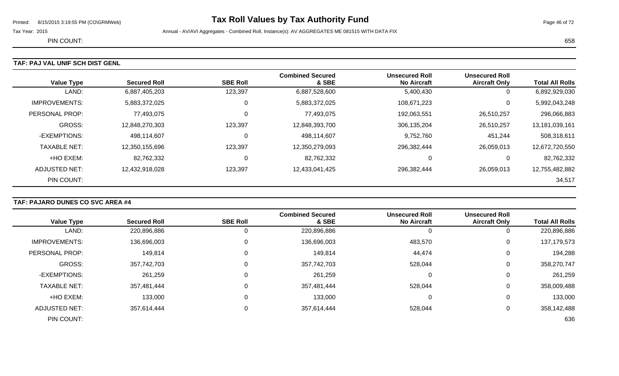# Printed: 8/15/2015 3:19:55 PM (CO\GRMWeb) **Tax Roll Values by Tax Authority Fund** Page 46 of 72

Tax Year: 2015 **Annual - AV/AVI Aggregates - Combined Roll**, Instance(s): AV AGGREGATES ME 081515 WITH DATA FIX

PIN COUNT: 658

| <b>Value Type</b>    | <b>Secured Roll</b> | <b>SBE Roll</b> | <b>Combined Secured</b><br>& SBE | <b>Unsecured Roll</b><br><b>No Aircraft</b> | <b>Unsecured Roll</b><br><b>Aircraft Only</b> | <b>Total All Rolls</b> |
|----------------------|---------------------|-----------------|----------------------------------|---------------------------------------------|-----------------------------------------------|------------------------|
| LAND:                | 6,887,405,203       | 123,397         | 6,887,528,600                    | 5,400,430                                   | 0                                             | 6,892,929,030          |
| <b>IMPROVEMENTS:</b> | 5,883,372,025       | 0               | 5,883,372,025                    | 108,671,223                                 | 0                                             | 5,992,043,248          |
| PERSONAL PROP:       | 77,493,075          | 0               | 77,493,075                       | 192,063,551                                 | 26,510,257                                    | 296,066,883            |
| GROSS:               | 12,848,270,303      | 123,397         | 12,848,393,700                   | 306,135,204                                 | 26,510,257                                    | 13,181,039,161         |
| -EXEMPTIONS:         | 498,114,607         | 0               | 498,114,607                      | 9,752,760                                   | 451,244                                       | 508,318,611            |
| <b>TAXABLE NET:</b>  | 12,350,155,696      | 123,397         | 12,350,279,093                   | 296,382,444                                 | 26,059,013                                    | 12,672,720,550         |
| +HO EXEM:            | 82,762,332          | 0               | 82,762,332                       |                                             | 0                                             | 82,762,332             |
| ADJUSTED NET:        | 12,432,918,028      | 123,397         | 12,433,041,425                   | 296,382,444                                 | 26,059,013                                    | 12,755,482,882         |
| PIN COUNT:           |                     |                 |                                  |                                             |                                               | 34,517                 |

### **TAF: PAJARO DUNES CO SVC AREA #4**

|                      |                     |                 | <b>Combined Secured</b> | <b>Unsecured Roll</b> | <b>Unsecured Roll</b> |                        |
|----------------------|---------------------|-----------------|-------------------------|-----------------------|-----------------------|------------------------|
| <b>Value Type</b>    | <b>Secured Roll</b> | <b>SBE Roll</b> | & SBE                   | <b>No Aircraft</b>    | <b>Aircraft Only</b>  | <b>Total All Rolls</b> |
| LAND:                | 220,896,886         |                 | 220,896,886             |                       | 0                     | 220,896,886            |
| <b>IMPROVEMENTS:</b> | 136,696,003         |                 | 136,696,003             | 483,570               | 0                     | 137, 179, 573          |
| PERSONAL PROP:       | 149,814             |                 | 149,814                 | 44,474                | 0                     | 194,288                |
| GROSS:               | 357,742,703         |                 | 357,742,703             | 528,044               | 0                     | 358,270,747            |
| -EXEMPTIONS:         | 261,259             |                 | 261,259                 |                       | 0                     | 261,259                |
| <b>TAXABLE NET:</b>  | 357,481,444         |                 | 357,481,444             | 528,044               | 0                     | 358,009,488            |
| +HO EXEM:            | 133,000             |                 | 133,000                 | 0                     | 0                     | 133,000                |
| <b>ADJUSTED NET:</b> | 357,614,444         |                 | 357,614,444             | 528,044               | 0                     | 358,142,488            |
| PIN COUNT:           |                     |                 |                         |                       |                       | 636                    |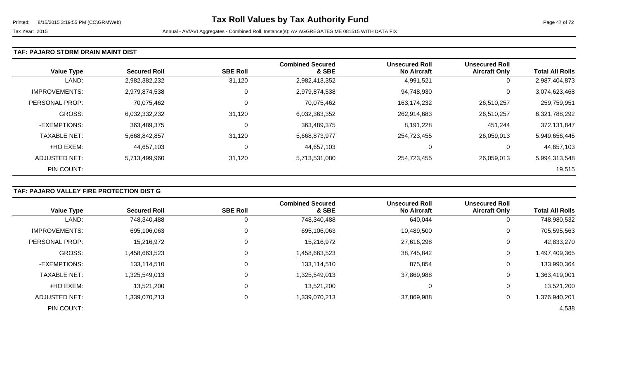### **TAF: PAJARO STORM DRAIN MAINT DIST**

| <b>Value Type</b>    | <b>Secured Roll</b> | <b>SBE Roll</b> | <b>Combined Secured</b><br>& SBE | <b>Unsecured Roll</b><br><b>No Aircraft</b> | <b>Unsecured Roll</b><br><b>Aircraft Only</b> | <b>Total All Rolls</b> |
|----------------------|---------------------|-----------------|----------------------------------|---------------------------------------------|-----------------------------------------------|------------------------|
| LAND:                | 2,982,382,232       | 31,120          | 2,982,413,352                    | 4,991,521                                   | 0                                             | 2,987,404,873          |
| <b>IMPROVEMENTS:</b> | 2,979,874,538       | 0               | 2,979,874,538                    | 94,748,930                                  | 0                                             | 3,074,623,468          |
| PERSONAL PROP:       | 70,075,462          | 0               | 70,075,462                       | 163,174,232                                 | 26,510,257                                    | 259,759,951            |
| <b>GROSS:</b>        | 6,032,332,232       | 31,120          | 6,032,363,352                    | 262,914,683                                 | 26,510,257                                    | 6,321,788,292          |
| -EXEMPTIONS:         | 363,489,375         | 0               | 363,489,375                      | 8,191,228                                   | 451,244                                       | 372,131,847            |
| <b>TAXABLE NET:</b>  | 5,668,842,857       | 31,120          | 5,668,873,977                    | 254,723,455                                 | 26,059,013                                    | 5,949,656,445          |
| +HO EXEM:            | 44,657,103          | 0               | 44,657,103                       | 0                                           | 0                                             | 44,657,103             |
| ADJUSTED NET:        | 5,713,499,960       | 31,120          | 5,713,531,080                    | 254,723,455                                 | 26,059,013                                    | 5,994,313,548          |
| PIN COUNT:           |                     |                 |                                  |                                             |                                               | 19,515                 |

# **TAF: PAJARO VALLEY FIRE PROTECTION DIST G**

|                      |                     |                 | <b>Combined Secured</b> | <b>Unsecured Roll</b> | <b>Unsecured Roll</b> |                        |
|----------------------|---------------------|-----------------|-------------------------|-----------------------|-----------------------|------------------------|
| <b>Value Type</b>    | <b>Secured Roll</b> | <b>SBE Roll</b> | & SBE                   | <b>No Aircraft</b>    | <b>Aircraft Only</b>  | <b>Total All Rolls</b> |
| LAND:                | 748,340,488         | 0               | 748,340,488             | 640,044               | 0                     | 748,980,532            |
| <b>IMPROVEMENTS:</b> | 695,106,063         | 0               | 695,106,063             | 10,489,500            | 0                     | 705,595,563            |
| PERSONAL PROP:       | 15,216,972          | 0               | 15,216,972              | 27,616,298            | 0                     | 42,833,270             |
| <b>GROSS:</b>        | 1,458,663,523       | $\mathbf 0$     | 1,458,663,523           | 38,745,842            | 0                     | 1,497,409,365          |
| -EXEMPTIONS:         | 133,114,510         | 0               | 133,114,510             | 875,854               | 0                     | 133,990,364            |
| <b>TAXABLE NET:</b>  | 1,325,549,013       | $\mathbf{0}$    | 1,325,549,013           | 37,869,988            | $\mathbf 0$           | 1,363,419,001          |
| +HO EXEM:            | 13,521,200          | 0               | 13,521,200              | 0                     | 0                     | 13,521,200             |
| <b>ADJUSTED NET:</b> | 1,339,070,213       | 0               | 1,339,070,213           | 37,869,988            | 0                     | 1,376,940,201          |
| PIN COUNT:           |                     |                 |                         |                       |                       | 4,538                  |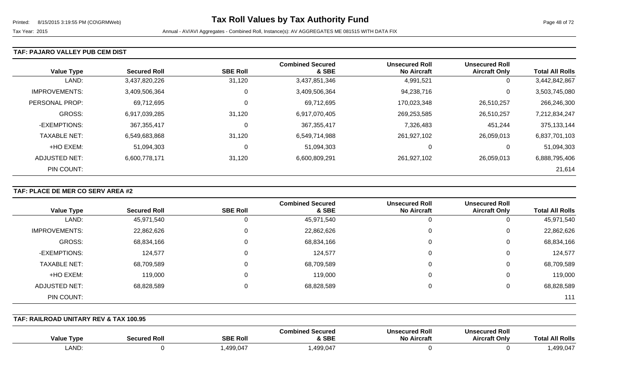### **TAF: PAJARO VALLEY PUB CEM DIST**

|                      |                     |                 | <b>Combined Secured</b> | <b>Unsecured Roll</b> | <b>Unsecured Roll</b> |                        |
|----------------------|---------------------|-----------------|-------------------------|-----------------------|-----------------------|------------------------|
| <b>Value Type</b>    | <b>Secured Roll</b> | <b>SBE Roll</b> | & SBE                   | <b>No Aircraft</b>    | <b>Aircraft Only</b>  | <b>Total All Rolls</b> |
| LAND:                | 3,437,820,226       | 31,120          | 3,437,851,346           | 4,991,521             | 0                     | 3,442,842,867          |
| <b>IMPROVEMENTS:</b> | 3,409,506,364       | 0               | 3,409,506,364           | 94,238,716            | 0                     | 3,503,745,080          |
| PERSONAL PROP:       | 69,712,695          | $\mathbf 0$     | 69,712,695              | 170,023,348           | 26,510,257            | 266,246,300            |
| <b>GROSS:</b>        | 6,917,039,285       | 31,120          | 6,917,070,405           | 269,253,585           | 26,510,257            | 7,212,834,247          |
| -EXEMPTIONS:         | 367,355,417         | 0               | 367, 355, 417           | 7,326,483             | 451,244               | 375,133,144            |
| <b>TAXABLE NET:</b>  | 6,549,683,868       | 31,120          | 6,549,714,988           | 261,927,102           | 26,059,013            | 6,837,701,103          |
| +HO EXEM:            | 51,094,303          | 0               | 51,094,303              | 0                     | 0                     | 51,094,303             |
| ADJUSTED NET:        | 6,600,778,171       | 31,120          | 6,600,809,291           | 261,927,102           | 26,059,013            | 6,888,795,406          |
| PIN COUNT:           |                     |                 |                         |                       |                       | 21,614                 |

### **TAF: PLACE DE MER CO SERV AREA #2**

|                      |                     |                 | <b>Combined Secured</b> | <b>Unsecured Roll</b> | <b>Unsecured Roll</b> |                        |
|----------------------|---------------------|-----------------|-------------------------|-----------------------|-----------------------|------------------------|
| <b>Value Type</b>    | <b>Secured Roll</b> | <b>SBE Roll</b> | & SBE                   | <b>No Aircraft</b>    | <b>Aircraft Only</b>  | <b>Total All Rolls</b> |
| LAND:                | 45,971,540          |                 | 45,971,540              |                       | O                     | 45,971,540             |
| <b>IMPROVEMENTS:</b> | 22,862,626          |                 | 22,862,626              | 0                     | 0                     | 22,862,626             |
| <b>GROSS:</b>        | 68,834,166          |                 | 68,834,166              | 0                     | 0                     | 68,834,166             |
| -EXEMPTIONS:         | 124,577             |                 | 124,577                 |                       | 0                     | 124,577                |
| <b>TAXABLE NET:</b>  | 68,709,589          |                 | 68,709,589              | 0                     | 0                     | 68,709,589             |
| +HO EXEM:            | 119,000             |                 | 119,000                 | 0                     | 0                     | 119,000                |
| ADJUSTED NET:        | 68,828,589          |                 | 68,828,589              |                       | 0                     | 68,828,589             |
| PIN COUNT:           |                     |                 |                         |                       |                       | 111                    |

#### **TAF: RAILROAD UNITARY REV & TAX 100.95**

| <b>Value Type</b> | Secured Rol | <b>SBE Roll</b> | <b>Combined Secured</b><br>& SBE | <b>Unsecured Roll</b><br><b>No Aircraft</b> | <b>Unsecured Roll</b><br><b>Aircraft Only</b> | –<br><b>All Rolls</b><br>Γota |
|-------------------|-------------|-----------------|----------------------------------|---------------------------------------------|-----------------------------------------------|-------------------------------|
| LAND:             |             | 499,047         | ,499,047                         |                                             |                                               | ,499,047                      |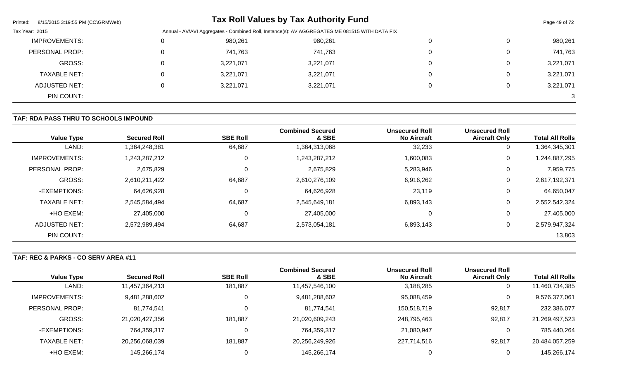| Printed:<br>8/15/2015 3:19:55 PM (CO\GRMWeb)                                                                     |          |           | <b>Tax Roll Values by Tax Authority Fund</b> |  |              | Page 49 of 72 |
|------------------------------------------------------------------------------------------------------------------|----------|-----------|----------------------------------------------|--|--------------|---------------|
| Annual - AV/AVI Aggregates - Combined Roll, Instance(s): AV AGGREGATES ME 081515 WITH DATA FIX<br>Tax Year: 2015 |          |           |                                              |  |              |               |
| <b>IMPROVEMENTS:</b>                                                                                             | $\Omega$ | 980,261   | 980,261                                      |  | $\Omega$     | 980,261       |
| PERSONAL PROP:                                                                                                   | $\Omega$ | 741,763   | 741,763                                      |  | 0            | 741,763       |
| GROSS:                                                                                                           | $\Omega$ | 3,221,071 | 3,221,071                                    |  | 0            | 3,221,071     |
| <b>TAXABLE NET:</b>                                                                                              | $\Omega$ | 3,221,071 | 3,221,071                                    |  | $\mathbf{0}$ | 3,221,071     |
| <b>ADJUSTED NET:</b>                                                                                             | 0        | 3,221,071 | 3,221,071                                    |  | 0            | 3,221,071     |
| PIN COUNT:                                                                                                       |          |           |                                              |  |              | 3             |

# **TAF: RDA PASS THRU TO SCHOOLS IMPOUND**

| <b>Value Type</b>    | <b>Secured Roll</b> | <b>SBE Roll</b> | <b>Combined Secured</b><br>& SBE | <b>Unsecured Roll</b><br><b>No Aircraft</b> | <b>Unsecured Roll</b><br><b>Aircraft Only</b> | <b>Total All Rolls</b> |
|----------------------|---------------------|-----------------|----------------------------------|---------------------------------------------|-----------------------------------------------|------------------------|
| LAND:                | 1,364,248,381       | 64,687          | 1,364,313,068                    | 32,233                                      | 0                                             | 1,364,345,301          |
| <b>IMPROVEMENTS:</b> | 1,243,287,212       | 0               | 1,243,287,212                    | 1,600,083                                   | 0                                             | 1,244,887,295          |
| PERSONAL PROP:       | 2,675,829           | 0               | 2,675,829                        | 5,283,946                                   | 0                                             | 7,959,775              |
| <b>GROSS:</b>        | 2,610,211,422       | 64,687          | 2,610,276,109                    | 6,916,262                                   | 0                                             | 2,617,192,371          |
| -EXEMPTIONS:         | 64,626,928          | $\mathbf 0$     | 64,626,928                       | 23,119                                      | $\mathbf 0$                                   | 64,650,047             |
| <b>TAXABLE NET:</b>  | 2,545,584,494       | 64,687          | 2,545,649,181                    | 6,893,143                                   | 0                                             | 2,552,542,324          |
| +HO EXEM:            | 27,405,000          | $\mathbf 0$     | 27,405,000                       | 0                                           | 0                                             | 27,405,000             |
| ADJUSTED NET:        | 2,572,989,494       | 64,687          | 2,573,054,181                    | 6,893,143                                   | $\mathbf 0$                                   | 2,579,947,324          |
| PIN COUNT:           |                     |                 |                                  |                                             |                                               | 13,803                 |

**TAF: REC & PARKS - CO SERV AREA #11** 

|                      |                     |                 | <b>Combined Secured</b> | <b>Unsecured Roll</b> | <b>Unsecured Roll</b> |                        |
|----------------------|---------------------|-----------------|-------------------------|-----------------------|-----------------------|------------------------|
| <b>Value Type</b>    | <b>Secured Roll</b> | <b>SBE Roll</b> | & SBE                   | <b>No Aircraft</b>    | <b>Aircraft Only</b>  | <b>Total All Rolls</b> |
| LAND:                | 11,457,364,213      | 181,887         | 11,457,546,100          | 3,188,285             | 0                     | 11,460,734,385         |
| <b>IMPROVEMENTS:</b> | 9,481,288,602       |                 | 9,481,288,602           | 95,088,459            | 0                     | 9,576,377,061          |
| PERSONAL PROP:       | 81,774,541          |                 | 81,774,541              | 150,518,719           | 92,817                | 232,386,077            |
| GROSS:               | 21,020,427,356      | 181,887         | 21,020,609,243          | 248,795,463           | 92,817                | 21,269,497,523         |
| -EXEMPTIONS:         | 764,359,317         |                 | 764,359,317             | 21,080,947            | 0                     | 785,440,264            |
| <b>TAXABLE NET:</b>  | 20,256,068,039      | 181,887         | 20,256,249,926          | 227,714,516           | 92,817                | 20,484,057,259         |
| +HO EXEM:            | 145,266,174         |                 | 145,266,174             |                       |                       | 145,266,174            |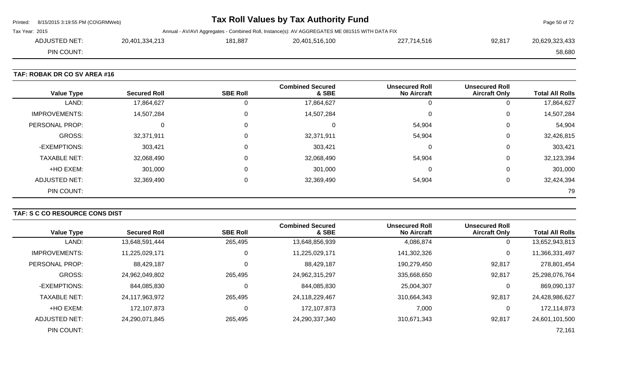|                | Printed: 8/15/2015 3:19:55 PM (CO\GRMWeb) |                |         | Tax Roll Values by Tax Authority Fund                                                          |             |        | Page 50 of 72  |
|----------------|-------------------------------------------|----------------|---------|------------------------------------------------------------------------------------------------|-------------|--------|----------------|
| Tax Year: 2015 |                                           |                |         | Annual - AV/AVI Aggregates - Combined Roll, Instance(s): AV AGGREGATES ME 081515 WITH DATA FIX |             |        |                |
|                | ADJUSTED NET:                             | 20,401,334,213 | 181,887 | 20,401,516,100                                                                                 | 227,714,516 | 92,817 | 20,629,323,433 |
|                | PIN COUNT:                                |                |         |                                                                                                |             |        | 58,680         |
|                |                                           |                |         |                                                                                                |             |        |                |

### **TAF: ROBAK DR CO SV AREA #16**

| <b>Value Type</b>    | <b>Secured Roll</b> | <b>SBE Roll</b> | <b>Combined Secured</b><br>& SBE | <b>Unsecured Roll</b><br><b>No Aircraft</b> | <b>Unsecured Roll</b><br><b>Aircraft Only</b> | <b>Total All Rolls</b> |
|----------------------|---------------------|-----------------|----------------------------------|---------------------------------------------|-----------------------------------------------|------------------------|
| LAND:                | 17,864,627          | 0               | 17,864,627                       |                                             | 0                                             | 17,864,627             |
| <b>IMPROVEMENTS:</b> | 14,507,284          | $\mathbf 0$     | 14,507,284                       |                                             | 0                                             | 14,507,284             |
| PERSONAL PROP:       | 0                   | 0               |                                  | 54,904                                      | 0                                             | 54,904                 |
| GROSS:               | 32,371,911          | 0               | 32,371,911                       | 54,904                                      | 0                                             | 32,426,815             |
| -EXEMPTIONS:         | 303,421             | $\mathbf 0$     | 303,421                          |                                             | 0                                             | 303,421                |
| <b>TAXABLE NET:</b>  | 32,068,490          | $\mathbf 0$     | 32,068,490                       | 54,904                                      | $\mathbf 0$                                   | 32,123,394             |
| +HO EXEM:            | 301,000             | 0               | 301,000                          |                                             | $\mathbf 0$                                   | 301,000                |
| ADJUSTED NET:        | 32,369,490          | 0               | 32,369,490                       | 54,904                                      | 0                                             | 32,424,394             |
| PIN COUNT:           |                     |                 |                                  |                                             |                                               | 79                     |

# **TAF: S C CO RESOURCE CONS DIST**

| <b>Value Type</b>     | <b>Secured Roll</b> | <b>SBE Roll</b> | <b>Combined Secured</b><br>& SBE | <b>Unsecured Roll</b><br><b>No Aircraft</b> | <b>Unsecured Roll</b><br><b>Aircraft Only</b> | <b>Total All Rolls</b> |
|-----------------------|---------------------|-----------------|----------------------------------|---------------------------------------------|-----------------------------------------------|------------------------|
| LAND:                 | 13,648,591,444      | 265,495         | 13,648,856,939                   | 4,086,874                                   | 0                                             | 13,652,943,813         |
| <b>IMPROVEMENTS:</b>  | 11,225,029,171      | 0               | 11,225,029,171                   | 141,302,326                                 | 0                                             | 11,366,331,497         |
| <b>PERSONAL PROP:</b> | 88,429,187          | C               | 88,429,187                       | 190,279,450                                 | 92,817                                        | 278,801,454            |
| GROSS:                | 24,962,049,802      | 265,495         | 24,962,315,297                   | 335,668,650                                 | 92,817                                        | 25,298,076,764         |
| -EXEMPTIONS:          | 844,085,830         | 0               | 844,085,830                      | 25,004,307                                  | 0                                             | 869,090,137            |
| <b>TAXABLE NET:</b>   | 24,117,963,972      | 265,495         | 24,118,229,467                   | 310,664,343                                 | 92,817                                        | 24,428,986,627         |
| +HO EXEM:             | 172,107,873         | C               | 172,107,873                      | 7,000                                       | 0                                             | 172,114,873            |
| ADJUSTED NET:         | 24,290,071,845      | 265,495         | 24,290,337,340                   | 310,671,343                                 | 92,817                                        | 24,601,101,500         |
| PIN COUNT:            |                     |                 |                                  |                                             |                                               | 72,161                 |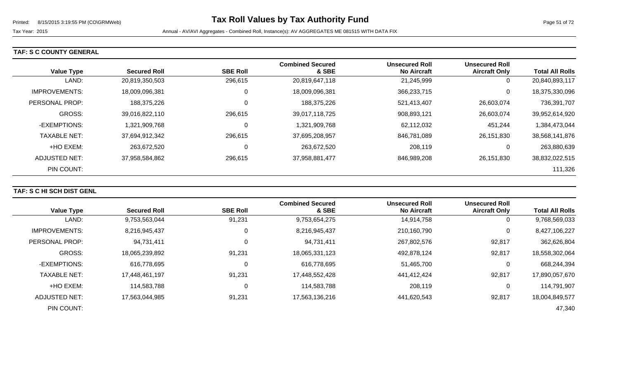# **TAF: S C COUNTY GENERAL**

|                      |                     |                 | <b>Combined Secured</b> | <b>Unsecured Roll</b> | <b>Unsecured Roll</b> |                        |
|----------------------|---------------------|-----------------|-------------------------|-----------------------|-----------------------|------------------------|
| <b>Value Type</b>    | <b>Secured Roll</b> | <b>SBE Roll</b> | & SBE                   | <b>No Aircraft</b>    | <b>Aircraft Only</b>  | <b>Total All Rolls</b> |
| LAND:                | 20,819,350,503      | 296,615         | 20,819,647,118          | 21,245,999            | 0                     | 20,840,893,117         |
| <b>IMPROVEMENTS:</b> | 18,009,096,381      | 0               | 18,009,096,381          | 366,233,715           | 0                     | 18,375,330,096         |
| PERSONAL PROP:       | 188,375,226         | 0               | 188,375,226             | 521,413,407           | 26,603,074            | 736,391,707            |
| <b>GROSS:</b>        | 39,016,822,110      | 296,615         | 39,017,118,725          | 908,893,121           | 26,603,074            | 39,952,614,920         |
| -EXEMPTIONS:         | 1,321,909,768       | 0               | 1,321,909,768           | 62,112,032            | 451,244               | 1,384,473,044          |
| <b>TAXABLE NET:</b>  | 37,694,912,342      | 296,615         | 37,695,208,957          | 846,781,089           | 26,151,830            | 38,568,141,876         |
| +HO EXEM:            | 263,672,520         | 0               | 263,672,520             | 208,119               | 0                     | 263,880,639            |
| ADJUSTED NET:        | 37,958,584,862      | 296,615         | 37,958,881,477          | 846,989,208           | 26,151,830            | 38,832,022,515         |
| PIN COUNT:           |                     |                 |                         |                       |                       | 111,326                |

### **TAF: S C HI SCH DIST GENL**

| <b>Value Type</b>    | <b>Secured Roll</b> | <b>SBE Roll</b> | <b>Combined Secured</b><br>& SBE | <b>Unsecured Roll</b><br><b>No Aircraft</b> | <b>Unsecured Roll</b><br><b>Aircraft Only</b> | <b>Total All Rolls</b> |
|----------------------|---------------------|-----------------|----------------------------------|---------------------------------------------|-----------------------------------------------|------------------------|
| LAND:                | 9,753,563,044       | 91,231          | 9,753,654,275                    | 14,914,758                                  | 0                                             | 9,768,569,033          |
| <b>IMPROVEMENTS:</b> | 8,216,945,437       | 0               | 8,216,945,437                    | 210,160,790                                 | 0                                             | 8,427,106,227          |
| PERSONAL PROP:       | 94,731,411          | $\Omega$        | 94,731,411                       | 267,802,576                                 | 92,817                                        | 362,626,804            |
| <b>GROSS:</b>        | 18,065,239,892      | 91,231          | 18,065,331,123                   | 492,878,124                                 | 92,817                                        | 18,558,302,064         |
| -EXEMPTIONS:         | 616,778,695         | C               | 616,778,695                      | 51,465,700                                  | 0                                             | 668,244,394            |
| <b>TAXABLE NET:</b>  | 17,448,461,197      | 91,231          | 17,448,552,428                   | 441,412,424                                 | 92,817                                        | 17,890,057,670         |
| +HO EXEM:            | 114,583,788         | 0               | 114,583,788                      | 208,119                                     | 0                                             | 114,791,907            |
| ADJUSTED NET:        | 17,563,044,985      | 91,231          | 17,563,136,216                   | 441.620.543                                 | 92,817                                        | 18,004,849,577         |
| PIN COUNT:           |                     |                 |                                  |                                             |                                               | 47,340                 |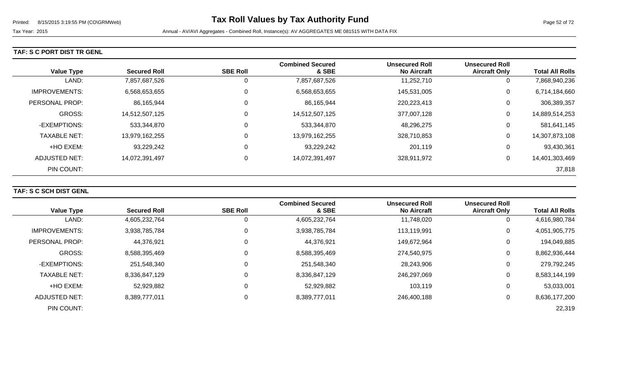### **TAF: S C PORT DIST TR GENL**

| <b>Value Type</b>    | <b>Secured Roll</b> | <b>SBE Roll</b> | <b>Combined Secured</b><br>& SBE | <b>Unsecured Roll</b><br><b>No Aircraft</b> | <b>Unsecured Roll</b><br><b>Aircraft Only</b> | <b>Total All Rolls</b> |
|----------------------|---------------------|-----------------|----------------------------------|---------------------------------------------|-----------------------------------------------|------------------------|
| LAND:                | 7,857,687,526       | O               | 7,857,687,526                    | 11,252,710                                  | 0                                             | 7,868,940,236          |
| <b>IMPROVEMENTS:</b> | 6,568,653,655       | 0               | 6,568,653,655                    | 145,531,005                                 | 0                                             | 6,714,184,660          |
| PERSONAL PROP:       | 86,165,944          | 0               | 86,165,944                       | 220, 223, 413                               | 0                                             | 306,389,357            |
| <b>GROSS:</b>        | 14,512,507,125      | 0               | 14,512,507,125                   | 377,007,128                                 | 0                                             | 14,889,514,253         |
| -EXEMPTIONS:         | 533,344,870         | 0               | 533,344,870                      | 48,296,275                                  | 0                                             | 581,641,145            |
| <b>TAXABLE NET:</b>  | 13,979,162,255      | 0               | 13,979,162,255                   | 328,710,853                                 | 0                                             | 14,307,873,108         |
| +HO EXEM:            | 93,229,242          | 0               | 93,229,242                       | 201,119                                     | 0                                             | 93,430,361             |
| ADJUSTED NET:        | 14,072,391,497      | 0               | 14,072,391,497                   | 328,911,972                                 | 0                                             | 14,401,303,469         |
| PIN COUNT:           |                     |                 |                                  |                                             |                                               | 37,818                 |

### **TAF: S C SCH DIST GENL**

|                      |                     |                 | <b>Combined Secured</b> | <b>Unsecured Roll</b> | <b>Unsecured Roll</b> |                        |
|----------------------|---------------------|-----------------|-------------------------|-----------------------|-----------------------|------------------------|
| <b>Value Type</b>    | <b>Secured Roll</b> | <b>SBE Roll</b> | & SBE                   | <b>No Aircraft</b>    | <b>Aircraft Only</b>  | <b>Total All Rolls</b> |
| LAND:                | 4,605,232,764       | 0               | 4,605,232,764           | 11,748,020            | 0                     | 4,616,980,784          |
| <b>IMPROVEMENTS:</b> | 3,938,785,784       | 0               | 3,938,785,784           | 113,119,991           | 0                     | 4,051,905,775          |
| PERSONAL PROP:       | 44,376,921          | 0               | 44,376,921              | 149,672,964           | $\Omega$              | 194,049,885            |
| <b>GROSS:</b>        | 8,588,395,469       | 0               | 8,588,395,469           | 274,540,975           | 0                     | 8,862,936,444          |
| -EXEMPTIONS:         | 251,548,340         | 0               | 251,548,340             | 28,243,906            | 0                     | 279,792,245            |
| <b>TAXABLE NET:</b>  | 8,336,847,129       | 0               | 8,336,847,129           | 246,297,069           | 0                     | 8,583,144,199          |
| +HO EXEM:            | 52,929,882          | 0               | 52,929,882              | 103,119               | 0                     | 53,033,001             |
| ADJUSTED NET:        | 8,389,777,011       | 0               | 8,389,777,011           | 246,400,188           | 0                     | 8,636,177,200          |
| PIN COUNT:           |                     |                 |                         |                       |                       | 22,319                 |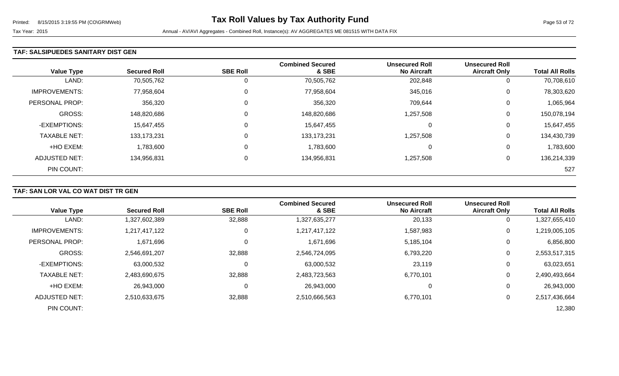#### **TAF: SALSIPUEDES SANITARY DIST GEN**

| <b>Value Type</b>    | <b>Secured Roll</b> | <b>SBE Roll</b> | <b>Combined Secured</b><br>& SBE | <b>Unsecured Roll</b><br><b>No Aircraft</b> | <b>Unsecured Roll</b><br><b>Aircraft Only</b> | <b>Total All Rolls</b> |
|----------------------|---------------------|-----------------|----------------------------------|---------------------------------------------|-----------------------------------------------|------------------------|
| LAND:                | 70,505,762          | 0               | 70,505,762                       | 202,848                                     | 0                                             | 70,708,610             |
| <b>IMPROVEMENTS:</b> | 77,958,604          | $\overline{0}$  | 77,958,604                       | 345,016                                     | 0                                             | 78,303,620             |
| PERSONAL PROP:       | 356,320             | 0               | 356,320                          | 709,644                                     | 0                                             | 1,065,964              |
| <b>GROSS:</b>        | 148,820,686         | $\overline{0}$  | 148,820,686                      | 1,257,508                                   | 0                                             | 150,078,194            |
| -EXEMPTIONS:         | 15,647,455          | 0               | 15,647,455                       | 0                                           | 0                                             | 15,647,455             |
| <b>TAXABLE NET:</b>  | 133, 173, 231       | $\overline{0}$  | 133, 173, 231                    | 1,257,508                                   | 0                                             | 134,430,739            |
| +HO EXEM:            | 1,783,600           | $\overline{0}$  | 1,783,600                        | 0                                           | 0                                             | 1,783,600              |
| <b>ADJUSTED NET:</b> | 134,956,831         | 0               | 134,956,831                      | 1,257,508                                   | 0                                             | 136,214,339            |
| PIN COUNT:           |                     |                 |                                  |                                             |                                               | 527                    |

# **TAF: SAN LOR VAL CO WAT DIST TR GEN**

| <b>Value Type</b>     | <b>Secured Roll</b> | <b>SBE Roll</b> | <b>Combined Secured</b><br>& SBE | <b>Unsecured Roll</b><br><b>No Aircraft</b> | <b>Unsecured Roll</b><br><b>Aircraft Only</b> | <b>Total All Rolls</b> |
|-----------------------|---------------------|-----------------|----------------------------------|---------------------------------------------|-----------------------------------------------|------------------------|
| LAND:                 | 1,327,602,389       | 32,888          | 1,327,635,277                    | 20,133                                      | 0                                             | 1,327,655,410          |
| <b>IMPROVEMENTS:</b>  | 1,217,417,122       | 0               | 1,217,417,122                    | 1,587,983                                   | 0                                             | 1,219,005,105          |
| <b>PERSONAL PROP:</b> | 1,671,696           | 0               | 1,671,696                        | 5,185,104                                   | 0                                             | 6,856,800              |
| <b>GROSS:</b>         | 2,546,691,207       | 32,888          | 2,546,724,095                    | 6,793,220                                   | 0                                             | 2,553,517,315          |
| -EXEMPTIONS:          | 63,000,532          | 0               | 63,000,532                       | 23,119                                      | 0                                             | 63,023,651             |
| <b>TAXABLE NET:</b>   | 2,483,690,675       | 32,888          | 2,483,723,563                    | 6,770,101                                   | 0                                             | 2,490,493,664          |
| +HO EXEM:             | 26,943,000          | $\mathbf 0$     | 26,943,000                       | 0                                           | 0                                             | 26,943,000             |
| ADJUSTED NET:         | 2,510,633,675       | 32,888          | 2,510,666,563                    | 6,770,101                                   | 0                                             | 2,517,436,664          |
| PIN COUNT:            |                     |                 |                                  |                                             |                                               | 12,380                 |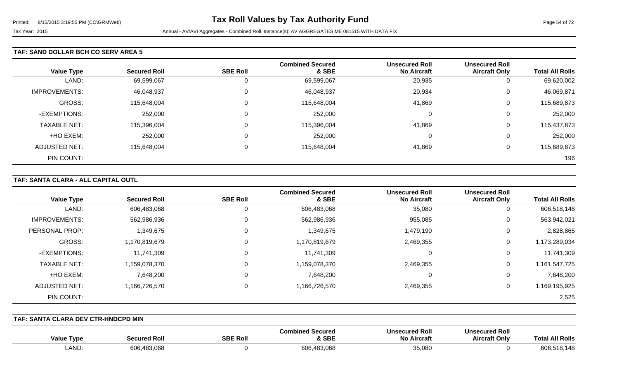#### **TAF: SAND DOLLAR BCH CO SERV AREA 5**

|                      |                     |                 | <b>Combined Secured</b> | <b>Unsecured Roll</b> | <b>Unsecured Roll</b> |                        |
|----------------------|---------------------|-----------------|-------------------------|-----------------------|-----------------------|------------------------|
| <b>Value Type</b>    | <b>Secured Roll</b> | <b>SBE Roll</b> | & SBE                   | <b>No Aircraft</b>    | <b>Aircraft Only</b>  | <b>Total All Rolls</b> |
| LAND:                | 69,599,067          | 0               | 69,599,067              | 20,935                | U                     | 69,620,002             |
| <b>IMPROVEMENTS:</b> | 46,048,937          | 0               | 46,048,937              | 20,934                | U                     | 46,069,871             |
| GROSS:               | 115,648,004         | $\Omega$        | 115,648,004             | 41,869                | U                     | 115,689,873            |
| -EXEMPTIONS:         | 252,000             | 0               | 252,000                 | 0                     | 0                     | 252,000                |
| <b>TAXABLE NET:</b>  | 115,396,004         | 0               | 115,396,004             | 41,869                | U                     | 115,437,873            |
| +HO EXEM:            | 252,000             | 0               | 252,000                 | 0                     | ⌒<br>U                | 252,000                |
| ADJUSTED NET:        | 115,648,004         | 0               | 115,648,004             | 41,869                | U                     | 115,689,873            |
| PIN COUNT:           |                     |                 |                         |                       |                       | 196                    |

### **TAF: SANTA CLARA - ALL CAPITAL OUTL**

| <b>Value Type</b>    | <b>Secured Roll</b> | <b>SBE Roll</b> | <b>Combined Secured</b><br>& SBE | <b>Unsecured Roll</b><br><b>No Aircraft</b> | <b>Unsecured Roll</b><br><b>Aircraft Only</b> | <b>Total All Rolls</b> |
|----------------------|---------------------|-----------------|----------------------------------|---------------------------------------------|-----------------------------------------------|------------------------|
| LAND:                | 606,483,068         | 0               | 606,483,068                      | 35,080                                      | 0                                             | 606,518,148            |
| <b>IMPROVEMENTS:</b> | 562,986,936         | 0               | 562,986,936                      | 955,085                                     | 0                                             | 563,942,021            |
| PERSONAL PROP:       | 1,349,675           | 0               | 1,349,675                        | 1,479,190                                   | 0                                             | 2,828,865              |
| GROSS:               | 1,170,819,679       | 0               | 1,170,819,679                    | 2,469,355                                   | 0                                             | 1,173,289,034          |
| -EXEMPTIONS:         | 11,741,309          | 0               | 11,741,309                       | 0                                           | 0                                             | 11,741,309             |
| <b>TAXABLE NET:</b>  | 1,159,078,370       | 0               | 1,159,078,370                    | 2,469,355                                   | 0                                             | 1,161,547,725          |
| +HO EXEM:            | 7,648,200           | 0               | 7,648,200                        | 0                                           | 0                                             | 7,648,200              |
| ADJUSTED NET:        | 1,166,726,570       | 0               | 1,166,726,570                    | 2,469,355                                   | 0                                             | 1,169,195,925          |
| PIN COUNT:           |                     |                 |                                  |                                             |                                               | 2,525                  |

**TAF: SANTA CLARA DEV CTR-HNDCPD MIN** 

| <b>Value Type</b> | i Roll.<br>-00<br><b>TIPA.</b><br>ucu | <b>SBE Roll</b> | Combined Secured<br><b>SBE</b> | <b>Unsecured Roll</b><br><b>No Aircraft</b> | secured Roll<br>Uns<br><b>Aircraft Onlv</b> | <b>NI Rolls</b><br>Tot: |
|-------------------|---------------------------------------|-----------------|--------------------------------|---------------------------------------------|---------------------------------------------|-------------------------|
| LAND:             | 3.068<br>606.48                       |                 | 606,483,068                    | 35,080                                      |                                             | 606.<br>518.148         |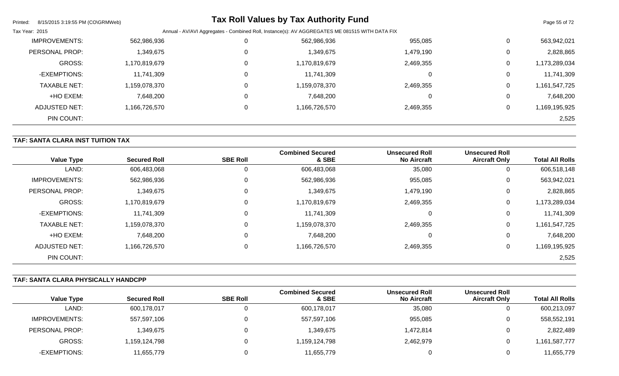| Printed:<br>8/15/2015 3:19:55 PM (CO\GRMWeb) |               |          | <b>Tax Roll Values by Tax Authority Fund</b> |                                                                                                |              | Page 55 of 72 |  |
|----------------------------------------------|---------------|----------|----------------------------------------------|------------------------------------------------------------------------------------------------|--------------|---------------|--|
| Tax Year: 2015                               |               |          |                                              | Annual - AV/AVI Aggregates - Combined Roll, Instance(s): AV AGGREGATES ME 081515 WITH DATA FIX |              |               |  |
| <b>IMPROVEMENTS:</b>                         | 562,986,936   | 0        | 562,986,936                                  | 955,085                                                                                        | 0            | 563,942,021   |  |
| PERSONAL PROP:                               | 1,349,675     | $\Omega$ | 1,349,675                                    | 1,479,190                                                                                      | $\mathbf{0}$ | 2,828,865     |  |
| <b>GROSS:</b>                                | 1,170,819,679 | 0        | 1,170,819,679                                | 2,469,355                                                                                      | 0            | 1,173,289,034 |  |
| -EXEMPTIONS:                                 | 11,741,309    | 0        | 11,741,309                                   |                                                                                                | 0            | 11,741,309    |  |
| <b>TAXABLE NET:</b>                          | 1,159,078,370 | $\Omega$ | 1,159,078,370                                | 2,469,355                                                                                      | 0            | 1,161,547,725 |  |
| +HO EXEM:                                    | 7,648,200     | 0        | 7,648,200                                    |                                                                                                | 0            | 7,648,200     |  |
| ADJUSTED NET:                                | 1,166,726,570 | $\Omega$ | 1,166,726,570                                | 2,469,355                                                                                      | 0            | 1,169,195,925 |  |
| PIN COUNT:                                   |               |          |                                              |                                                                                                |              | 2,525         |  |

# **TAF: SANTA CLARA INST TUITION TAX**

| <b>Value Type</b>    | <b>Secured Roll</b> | <b>SBE Roll</b> | <b>Combined Secured</b><br>& SBE | <b>Unsecured Roll</b><br><b>No Aircraft</b> | <b>Unsecured Roll</b><br><b>Aircraft Only</b> | <b>Total All Rolls</b> |
|----------------------|---------------------|-----------------|----------------------------------|---------------------------------------------|-----------------------------------------------|------------------------|
| LAND:                | 606,483,068         | 0               | 606,483,068                      | 35,080                                      | U                                             | 606,518,148            |
| <b>IMPROVEMENTS:</b> | 562,986,936         | 0               | 562,986,936                      | 955,085                                     | U                                             | 563,942,021            |
| PERSONAL PROP:       | 1,349,675           | 0               | 1,349,675                        | 1,479,190                                   | U                                             | 2,828,865              |
| <b>GROSS:</b>        | 1,170,819,679       | 0               | 1,170,819,679                    | 2,469,355                                   | 0                                             | 1,173,289,034          |
| -EXEMPTIONS:         | 11,741,309          | 0               | 11,741,309                       | $\Omega$                                    | 0                                             | 11,741,309             |
| <b>TAXABLE NET:</b>  | 1,159,078,370       | $\mathbf 0$     | 1,159,078,370                    | 2,469,355                                   | 0                                             | 1,161,547,725          |
| +HO EXEM:            | 7,648,200           | 0               | 7,648,200                        | $\Omega$                                    | 0                                             | 7,648,200              |
| ADJUSTED NET:        | 1,166,726,570       | 0               | 1,166,726,570                    | 2,469,355                                   | 0                                             | 1,169,195,925          |
| PIN COUNT:           |                     |                 |                                  |                                             |                                               | 2,525                  |

### **TAF: SANTA CLARA PHYSICALLY HANDCPP**

|                   |                     |                 | <b>Combined Secured</b> | <b>Unsecured Roll</b> | <b>Unsecured Roll</b> |                        |
|-------------------|---------------------|-----------------|-------------------------|-----------------------|-----------------------|------------------------|
| <b>Value Type</b> | <b>Secured Roll</b> | <b>SBE Roll</b> | & SBE                   | <b>No Aircraft</b>    | <b>Aircraft Only</b>  | <b>Total All Rolls</b> |
| LAND:             | 600,178,017         |                 | 600,178,017             | 35,080                | ັ                     | 600,213,097            |
| IMPROVEMENTS:     | 557,597,106         |                 | 557,597,106             | 955,085               | ັ                     | 558,552,191            |
| PERSONAL PROP:    | 349,675,            |                 | 1,349,675               | .472,814 ا            |                       | 2,822,489              |
| GROSS:            | 1,159,124,798       |                 | 1,159,124,798           | 2,462,979             |                       | ,161,587,777           |
| -EXEMPTIONS:      | 11,655,779          |                 | 11,655,779              |                       |                       | 11,655,779             |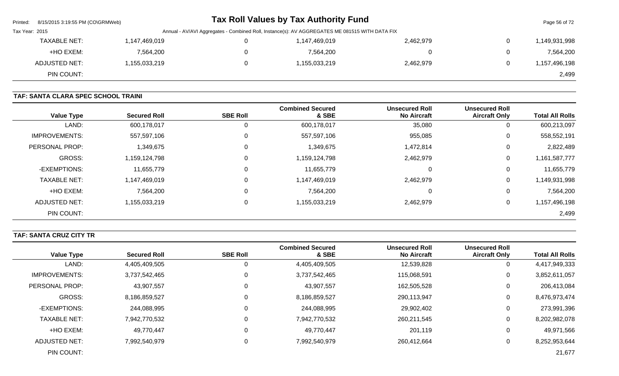| Printed:       | 8/15/2015 3:19:55 PM (CO\GRMWeb)                                                               |               |  | <b>Tax Roll Values by Tax Authority Fund</b> |           |                | Page 56 of 72 |
|----------------|------------------------------------------------------------------------------------------------|---------------|--|----------------------------------------------|-----------|----------------|---------------|
| Tax Year: 2015 | Annual - AV/AVI Aggregates - Combined Roll, Instance(s): AV AGGREGATES ME 081515 WITH DATA FIX |               |  |                                              |           |                |               |
|                | <b>TAXABLE NET:</b>                                                                            | 1,147,469,019 |  | 1,147,469,019                                | 2,462,979 | $\overline{0}$ | 1,149,931,998 |
|                | +HO EXEM:                                                                                      | 7,564,200     |  | 7,564,200                                    |           | $\overline{0}$ | 7,564,200     |
|                | ADJUSTED NET:                                                                                  | 1,155,033,219 |  | 1,155,033,219                                | 2,462,979 | $\mathbf{0}$   | 1,157,496,198 |
|                | PIN COUNT:                                                                                     |               |  |                                              |           |                | 2,499         |

# **TAF: SANTA CLARA SPEC SCHOOL TRAINI**

| <b>Value Type</b>    | <b>Secured Roll</b> | <b>SBE Roll</b> | <b>Combined Secured</b><br>& SBE | <b>Unsecured Roll</b><br><b>No Aircraft</b> | <b>Unsecured Roll</b><br><b>Aircraft Only</b> | <b>Total All Rolls</b> |
|----------------------|---------------------|-----------------|----------------------------------|---------------------------------------------|-----------------------------------------------|------------------------|
| LAND:                | 600,178,017         | 0               | 600,178,017                      | 35,080                                      | 0                                             | 600,213,097            |
| <b>IMPROVEMENTS:</b> | 557,597,106         | 0               | 557,597,106                      | 955,085                                     | 0                                             | 558,552,191            |
| PERSONAL PROP:       | 1,349,675           | 0               | 1,349,675                        | 1,472,814                                   | 0                                             | 2,822,489              |
| <b>GROSS:</b>        | 1,159,124,798       | 0               | 1,159,124,798                    | 2,462,979                                   | 0                                             | 1,161,587,777          |
| -EXEMPTIONS:         | 11,655,779          | 0               | 11,655,779                       | $\Omega$                                    | 0                                             | 11,655,779             |
| <b>TAXABLE NET:</b>  | 1,147,469,019       | $\Omega$        | 1,147,469,019                    | 2,462,979                                   | 0                                             | 1,149,931,998          |
| +HO EXEM:            | 7,564,200           | $\mathbf 0$     | 7,564,200                        | 0                                           | 0                                             | 7,564,200              |
| <b>ADJUSTED NET:</b> | 1,155,033,219       | $\Omega$        | 1,155,033,219                    | 2,462,979                                   | 0                                             | 1,157,496,198          |
| PIN COUNT:           |                     |                 |                                  |                                             |                                               | 2,499                  |

# **TAF: SANTA CRUZ CITY TR**

|                      |                     |                 | <b>Combined Secured</b> | <b>Unsecured Roll</b> | <b>Unsecured Roll</b> |                        |
|----------------------|---------------------|-----------------|-------------------------|-----------------------|-----------------------|------------------------|
| <b>Value Type</b>    | <b>Secured Roll</b> | <b>SBE Roll</b> | & SBE                   | <b>No Aircraft</b>    | <b>Aircraft Only</b>  | <b>Total All Rolls</b> |
| LAND:                | 4,405,409,505       |                 | 4,405,409,505           | 12,539,828            | 0                     | 4,417,949,333          |
| <b>IMPROVEMENTS:</b> | 3,737,542,465       |                 | 3,737,542,465           | 115,068,591           | 0                     | 3,852,611,057          |
| PERSONAL PROP:       | 43,907,557          |                 | 43,907,557              | 162,505,528           | 0                     | 206,413,084            |
| <b>GROSS:</b>        | 8,186,859,527       |                 | 8,186,859,527           | 290,113,947           | 0                     | 8,476,973,474          |
| -EXEMPTIONS:         | 244,088,995         |                 | 244,088,995             | 29,902,402            | 0                     | 273,991,396            |
| <b>TAXABLE NET:</b>  | 7,942,770,532       |                 | 7,942,770,532           | 260,211,545           | 0                     | 8,202,982,078          |
| +HO EXEM:            | 49,770,447          |                 | 49,770,447              | 201,119               | 0                     | 49,971,566             |
| ADJUSTED NET:        | 7,992,540,979       |                 | 7,992,540,979           | 260,412,664           | 0                     | 8,252,953,644          |
| PIN COUNT:           |                     |                 |                         |                       |                       | 21,677                 |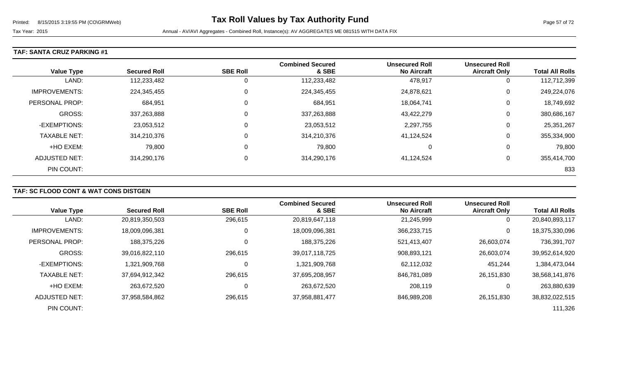### **TAF: SANTA CRUZ PARKING #1**

| <b>Value Type</b>    | <b>Secured Roll</b> | <b>SBE Roll</b> | <b>Combined Secured</b><br>& SBE | <b>Unsecured Roll</b><br><b>No Aircraft</b> | <b>Unsecured Roll</b><br><b>Aircraft Only</b> | <b>Total All Rolls</b> |
|----------------------|---------------------|-----------------|----------------------------------|---------------------------------------------|-----------------------------------------------|------------------------|
| LAND:                | 112,233,482         | 0               | 112,233,482                      | 478,917                                     | 0                                             | 112,712,399            |
| <b>IMPROVEMENTS:</b> | 224,345,455         | $\mathbf 0$     | 224,345,455                      | 24,878,621                                  | 0                                             | 249,224,076            |
| PERSONAL PROP:       | 684,951             | 0               | 684,951                          | 18,064,741                                  | 0                                             | 18,749,692             |
| <b>GROSS:</b>        | 337,263,888         | 0               | 337,263,888                      | 43,422,279                                  | 0                                             | 380,686,167            |
| -EXEMPTIONS:         | 23,053,512          | 0               | 23,053,512                       | 2,297,755                                   | 0                                             | 25,351,267             |
| <b>TAXABLE NET:</b>  | 314,210,376         | 0               | 314,210,376                      | 41,124,524                                  | 0                                             | 355,334,900            |
| +HO EXEM:            | 79,800              | 0               | 79,800                           | $\Omega$                                    | 0                                             | 79,800                 |
| ADJUSTED NET:        | 314,290,176         | 0               | 314,290,176                      | 41,124,524                                  | 0                                             | 355,414,700            |
| PIN COUNT:           |                     |                 |                                  |                                             |                                               | 833                    |

### **TAF: SC FLOOD CONT & WAT CONS DISTGEN**

| <b>Value Type</b>    | <b>Secured Roll</b> | <b>SBE Roll</b> | <b>Combined Secured</b><br>& SBE | <b>Unsecured Roll</b><br><b>No Aircraft</b> | <b>Unsecured Roll</b><br><b>Aircraft Only</b> | <b>Total All Rolls</b> |
|----------------------|---------------------|-----------------|----------------------------------|---------------------------------------------|-----------------------------------------------|------------------------|
| LAND:                | 20,819,350,503      | 296,615         | 20,819,647,118                   | 21,245,999                                  | 0                                             | 20,840,893,117         |
| <b>IMPROVEMENTS:</b> | 18,009,096,381      | 0               | 18,009,096,381                   | 366,233,715                                 | 0                                             | 18,375,330,096         |
| PERSONAL PROP:       | 188,375,226         | 0               | 188,375,226                      | 521,413,407                                 | 26,603,074                                    | 736,391,707            |
| <b>GROSS:</b>        | 39,016,822,110      | 296,615         | 39.017.118.725                   | 908,893,121                                 | 26,603,074                                    | 39,952,614,920         |
| -EXEMPTIONS:         | 1,321,909,768       | 0               | 1,321,909,768                    | 62,112,032                                  | 451,244                                       | 1,384,473,044          |
| <b>TAXABLE NET:</b>  | 37,694,912,342      | 296,615         | 37,695,208,957                   | 846,781,089                                 | 26,151,830                                    | 38,568,141,876         |
| +HO EXEM:            | 263,672,520         | 0               | 263,672,520                      | 208,119                                     | 0                                             | 263,880,639            |
| ADJUSTED NET:        | 37,958,584,862      | 296,615         | 37,958,881,477                   | 846.989.208                                 | 26,151,830                                    | 38,832,022,515         |
| PIN COUNT:           |                     |                 |                                  |                                             |                                               | 111,326                |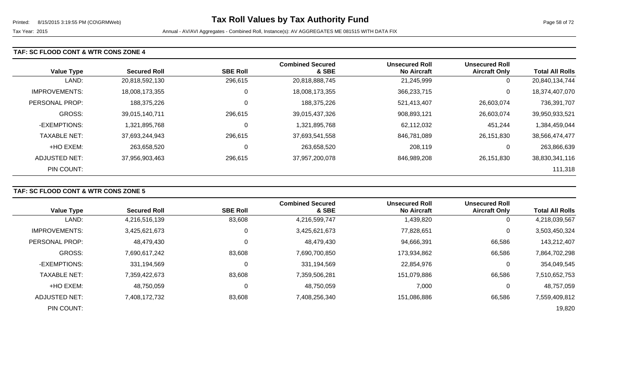### **TAF: SC FLOOD CONT & WTR CONS ZONE 4**

| <b>Value Type</b>    | <b>Secured Roll</b> | <b>SBE Roll</b> | <b>Combined Secured</b><br>& SBE | <b>Unsecured Roll</b><br><b>No Aircraft</b> | <b>Unsecured Roll</b><br><b>Aircraft Only</b> | <b>Total All Rolls</b> |
|----------------------|---------------------|-----------------|----------------------------------|---------------------------------------------|-----------------------------------------------|------------------------|
| LAND:                | 20,818,592,130      | 296,615         | 20,818,888,745                   | 21,245,999                                  | 0                                             | 20,840,134,744         |
| <b>IMPROVEMENTS:</b> | 18,008,173,355      | U               | 18,008,173,355                   | 366,233,715                                 | 0                                             | 18,374,407,070         |
| PERSONAL PROP:       | 188,375,226         | 0               | 188,375,226                      | 521,413,407                                 | 26,603,074                                    | 736,391,707            |
| <b>GROSS:</b>        | 39,015,140,711      | 296,615         | 39,015,437,326                   | 908,893,121                                 | 26,603,074                                    | 39,950,933,521         |
| -EXEMPTIONS:         | 1,321,895,768       | U               | 1,321,895,768                    | 62,112,032                                  | 451,244                                       | 1,384,459,044          |
| <b>TAXABLE NET:</b>  | 37,693,244,943      | 296,615         | 37,693,541,558                   | 846,781,089                                 | 26.151.830                                    | 38,566,474,477         |
| +HO EXEM:            | 263,658,520         | U               | 263,658,520                      | 208,119                                     | 0                                             | 263,866,639            |
| ADJUSTED NET:        | 37,956,903,463      | 296,615         | 37,957,200,078                   | 846,989,208                                 | 26,151,830                                    | 38,830,341,116         |
| PIN COUNT:           |                     |                 |                                  |                                             |                                               | 111,318                |

### **TAF: SC FLOOD CONT & WTR CONS ZONE 5**

|                      |                     |                 | <b>Combined Secured</b> | <b>Unsecured Roll</b> | <b>Unsecured Roll</b> |                        |
|----------------------|---------------------|-----------------|-------------------------|-----------------------|-----------------------|------------------------|
| <b>Value Type</b>    | <b>Secured Roll</b> | <b>SBE Roll</b> | & SBE                   | <b>No Aircraft</b>    | <b>Aircraft Only</b>  | <b>Total All Rolls</b> |
| LAND:                | 4,216,516,139       | 83,608          | 4,216,599,747           | 1,439,820             | $\overline{0}$        | 4,218,039,567          |
| <b>IMPROVEMENTS:</b> | 3,425,621,673       | 0               | 3,425,621,673           | 77,828,651            | 0                     | 3,503,450,324          |
| PERSONAL PROP:       | 48,479,430          | 0               | 48,479,430              | 94,666,391            | 66,586                | 143,212,407            |
| GROSS:               | 7,690,617,242       | 83,608          | 7,690,700,850           | 173,934,862           | 66,586                | 7,864,702,298          |
| -EXEMPTIONS:         | 331,194,569         | 0               | 331,194,569             | 22,854,976            | 0                     | 354,049,545            |
| <b>TAXABLE NET:</b>  | 7,359,422,673       | 83,608          | 7,359,506,281           | 151,079,886           | 66,586                | 7,510,652,753          |
| +HO EXEM:            | 48,750,059          | 0               | 48,750,059              | 7,000                 | $\overline{0}$        | 48,757,059             |
| <b>ADJUSTED NET:</b> | 7,408,172,732       | 83,608          | 7,408,256,340           | 151,086,886           | 66,586                | 7,559,409,812          |
| PIN COUNT:           |                     |                 |                         |                       |                       | 19,820                 |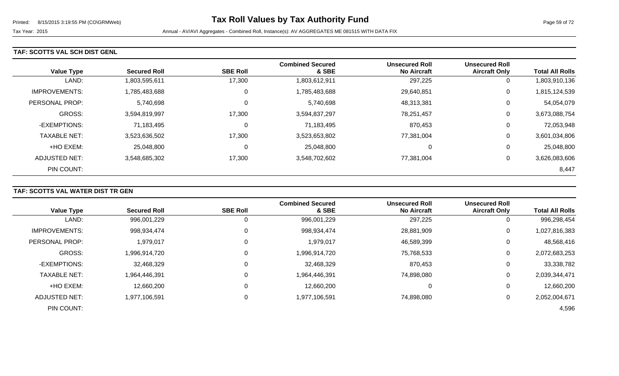#### **TAF: SCOTTS VAL SCH DIST GENL**

| <b>Value Type</b>    | <b>Secured Roll</b> | <b>SBE Roll</b> | <b>Combined Secured</b><br>& SBE | <b>Unsecured Roll</b><br><b>No Aircraft</b> | <b>Unsecured Roll</b><br><b>Aircraft Only</b> | <b>Total All Rolls</b> |
|----------------------|---------------------|-----------------|----------------------------------|---------------------------------------------|-----------------------------------------------|------------------------|
| LAND:                | 1,803,595,611       | 17,300          | 1,803,612,911                    | 297,225                                     | 0                                             | 1,803,910,136          |
| <b>IMPROVEMENTS:</b> | 1,785,483,688       | 0               | 1,785,483,688                    | 29,640,851                                  | 0                                             | 1,815,124,539          |
| PERSONAL PROP:       | 5,740,698           | 0               | 5,740,698                        | 48,313,381                                  | 0                                             | 54,054,079             |
| <b>GROSS:</b>        | 3,594,819,997       | 17,300          | 3,594,837,297                    | 78,251,457                                  | 0                                             | 3,673,088,754          |
| -EXEMPTIONS:         | 71,183,495          | 0               | 71,183,495                       | 870,453                                     | 0                                             | 72,053,948             |
| <b>TAXABLE NET:</b>  | 3,523,636,502       | 17,300          | 3,523,653,802                    | 77,381,004                                  | 0                                             | 3,601,034,806          |
| +HO EXEM:            | 25,048,800          | 0               | 25,048,800                       | 0                                           | 0                                             | 25,048,800             |
| ADJUSTED NET:        | 3,548,685,302       | 17,300          | 3,548,702,602                    | 77,381,004                                  | 0                                             | 3,626,083,606          |
| PIN COUNT:           |                     |                 |                                  |                                             |                                               | 8,447                  |

### **TAF: SCOTTS VAL WATER DIST TR GEN**

|                      |                     |                 | <b>Combined Secured</b> | <b>Unsecured Roll</b> | <b>Unsecured Roll</b> |                        |
|----------------------|---------------------|-----------------|-------------------------|-----------------------|-----------------------|------------------------|
| <b>Value Type</b>    | <b>Secured Roll</b> | <b>SBE Roll</b> | & SBE                   | <b>No Aircraft</b>    | <b>Aircraft Only</b>  | <b>Total All Rolls</b> |
| LAND:                | 996,001,229         | 0               | 996,001,229             | 297,225               | 0                     | 996,298,454            |
| <b>IMPROVEMENTS:</b> | 998,934,474         | $\Omega$        | 998,934,474             | 28,881,909            | 0                     | 1,027,816,383          |
| PERSONAL PROP:       | 1,979,017           | 0               | 1,979,017               | 46,589,399            | 0                     | 48,568,416             |
| <b>GROSS:</b>        | 1,996,914,720       | 0               | 1,996,914,720           | 75,768,533            | 0                     | 2,072,683,253          |
| -EXEMPTIONS:         | 32,468,329          | 0               | 32,468,329              | 870,453               | 0                     | 33,338,782             |
| <b>TAXABLE NET:</b>  | 1,964,446,391       | $\Omega$        | 1,964,446,391           | 74,898,080            | 0                     | 2,039,344,471          |
| +HO EXEM:            | 12,660,200          | $\mathbf 0$     | 12,660,200              |                       | 0                     | 12,660,200             |
| ADJUSTED NET:        | 1,977,106,591       | 0               | 1,977,106,591           | 74,898,080            | 0                     | 2,052,004,671          |
| PIN COUNT:           |                     |                 |                         |                       |                       | 4,596                  |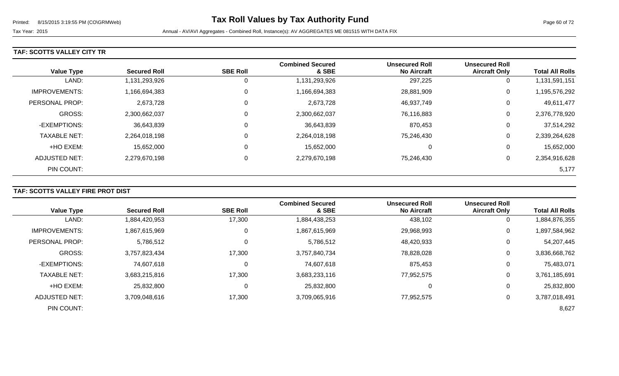### **TAF: SCOTTS VALLEY CITY TR**

|                      |                     |                 | <b>Combined Secured</b> | <b>Unsecured Roll</b> | <b>Unsecured Roll</b> |                        |
|----------------------|---------------------|-----------------|-------------------------|-----------------------|-----------------------|------------------------|
| <b>Value Type</b>    | <b>Secured Roll</b> | <b>SBE Roll</b> | & SBE                   | <b>No Aircraft</b>    | <b>Aircraft Only</b>  | <b>Total All Rolls</b> |
| LAND:                | 1,131,293,926       |                 | 1,131,293,926           | 297,225               | 0                     | 1,131,591,151          |
| <b>IMPROVEMENTS:</b> | 1,166,694,383       | 0               | 1,166,694,383           | 28,881,909            | 0                     | 1,195,576,292          |
| PERSONAL PROP:       | 2,673,728           | 0               | 2,673,728               | 46,937,749            | 0                     | 49,611,477             |
| <b>GROSS:</b>        | 2,300,662,037       |                 | 2,300,662,037           | 76,116,883            | 0                     | 2,376,778,920          |
| -EXEMPTIONS:         | 36,643,839          | 0               | 36,643,839              | 870,453               | 0                     | 37,514,292             |
| <b>TAXABLE NET:</b>  | 2,264,018,198       | $\mathbf 0$     | 2,264,018,198           | 75,246,430            | 0                     | 2,339,264,628          |
| +HO EXEM:            | 15,652,000          | $\Omega$        | 15,652,000              |                       | 0                     | 15,652,000             |
| ADJUSTED NET:        | 2,279,670,198       | 0               | 2,279,670,198           | 75,246,430            | 0                     | 2,354,916,628          |
| PIN COUNT:           |                     |                 |                         |                       |                       | 5,177                  |

# **TAF: SCOTTS VALLEY FIRE PROT DIST**

| <b>Value Type</b>     | <b>Secured Roll</b> | <b>SBE Roll</b> | <b>Combined Secured</b><br>& SBE | <b>Unsecured Roll</b><br><b>No Aircraft</b> | <b>Unsecured Roll</b><br><b>Aircraft Only</b> | <b>Total All Rolls</b> |
|-----------------------|---------------------|-----------------|----------------------------------|---------------------------------------------|-----------------------------------------------|------------------------|
| LAND:                 | 1,884,420,953       | 17,300          | 1,884,438,253                    | 438,102                                     | 0                                             | 1,884,876,355          |
| <b>IMPROVEMENTS:</b>  | 1,867,615,969       | 0               | 1,867,615,969                    | 29,968,993                                  | 0                                             | 1,897,584,962          |
| <b>PERSONAL PROP:</b> | 5,786,512           | 0               | 5,786,512                        | 48,420,933                                  | 0                                             | 54,207,445             |
| <b>GROSS:</b>         | 3,757,823,434       | 17,300          | 3,757,840,734                    | 78,828,028                                  | 0                                             | 3,836,668,762          |
| -EXEMPTIONS:          | 74,607,618          | $\Omega$        | 74,607,618                       | 875,453                                     | 0                                             | 75,483,071             |
| <b>TAXABLE NET:</b>   | 3,683,215,816       | 17,300          | 3,683,233,116                    | 77,952,575                                  | 0                                             | 3,761,185,691          |
| +HO EXEM:             | 25,832,800          | 0               | 25,832,800                       |                                             | 0                                             | 25,832,800             |
| ADJUSTED NET:         | 3,709,048,616       | 17,300          | 3,709,065,916                    | 77,952,575                                  | 0                                             | 3,787,018,491          |
| PIN COUNT:            |                     |                 |                                  |                                             |                                               | 8,627                  |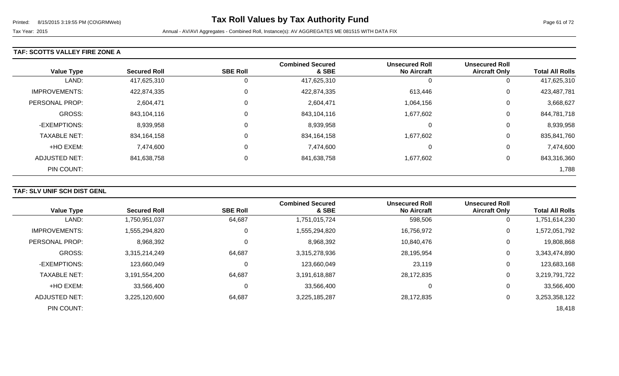### **TAF: SCOTTS VALLEY FIRE ZONE A**

| <b>Value Type</b>     | <b>Secured Roll</b> | <b>SBE Roll</b> | <b>Combined Secured</b><br>& SBE | <b>Unsecured Roll</b><br><b>No Aircraft</b> | <b>Unsecured Roll</b><br><b>Aircraft Only</b> | <b>Total All Rolls</b> |
|-----------------------|---------------------|-----------------|----------------------------------|---------------------------------------------|-----------------------------------------------|------------------------|
| LAND:                 | 417,625,310         | O               | 417,625,310                      | 0                                           | 0                                             | 417,625,310            |
| <b>IMPROVEMENTS:</b>  | 422,874,335         | 0               | 422,874,335                      | 613,446                                     | 0                                             | 423,487,781            |
| <b>PERSONAL PROP:</b> | 2,604,471           | 0               | 2,604,471                        | 1,064,156                                   | 0                                             | 3,668,627              |
| <b>GROSS:</b>         | 843,104,116         | 0               | 843,104,116                      | 1,677,602                                   | 0                                             | 844,781,718            |
| -EXEMPTIONS:          | 8,939,958           | 0               | 8,939,958                        | 0                                           | 0                                             | 8,939,958              |
| <b>TAXABLE NET:</b>   | 834,164,158         | 0               | 834,164,158                      | 1,677,602                                   | 0                                             | 835,841,760            |
| +HO EXEM:             | 7,474,600           | 0               | 7,474,600                        | 0                                           | 0                                             | 7,474,600              |
| <b>ADJUSTED NET:</b>  | 841,638,758         | 0               | 841,638,758                      | 1,677,602                                   | 0                                             | 843,316,360            |
| PIN COUNT:            |                     |                 |                                  |                                             |                                               | 1,788                  |

### **TAF: SLV UNIF SCH DIST GENL**

| <b>Value Type</b>     | <b>Secured Roll</b> | <b>SBE Roll</b> | <b>Combined Secured</b><br>& SBE | <b>Unsecured Roll</b><br><b>No Aircraft</b> | <b>Unsecured Roll</b><br><b>Aircraft Only</b> | <b>Total All Rolls</b> |
|-----------------------|---------------------|-----------------|----------------------------------|---------------------------------------------|-----------------------------------------------|------------------------|
| LAND:                 | 1,750,951,037       | 64,687          | 1,751,015,724                    | 598,506                                     |                                               | 1,751,614,230          |
| <b>IMPROVEMENTS:</b>  | 1,555,294,820       |                 | 1,555,294,820                    | 16,756,972                                  | 0                                             | 1,572,051,792          |
| <b>PERSONAL PROP:</b> | 8,968,392           |                 | 8,968,392                        | 10,840,476                                  | 0                                             | 19,808,868             |
| <b>GROSS:</b>         | 3,315,214,249       | 64,687          | 3,315,278,936                    | 28,195,954                                  | $\Omega$                                      | 3,343,474,890          |
| -EXEMPTIONS:          | 123,660,049         |                 | 123,660,049                      | 23,119                                      | 0                                             | 123,683,168            |
| <b>TAXABLE NET:</b>   | 3,191,554,200       | 64,687          | 3,191,618,887                    | 28,172,835                                  | $\Omega$                                      | 3,219,791,722          |
| +HO EXEM:             | 33,566,400          |                 | 33,566,400                       | 0                                           | $\Omega$                                      | 33,566,400             |
| ADJUSTED NET:         | 3,225,120,600       | 64,687          | 3,225,185,287                    | 28,172,835                                  |                                               | 3,253,358,122          |
| PIN COUNT:            |                     |                 |                                  |                                             |                                               | 18,418                 |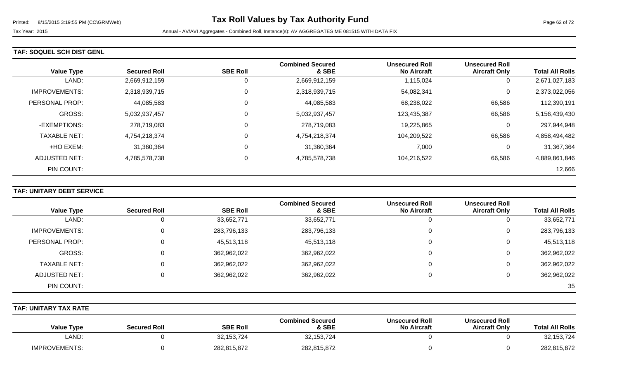#### **TAF: SOQUEL SCH DIST GENL**

|                       |                     |                 | <b>Combined Secured</b> | <b>Unsecured Roll</b> | <b>Unsecured Roll</b> |                        |
|-----------------------|---------------------|-----------------|-------------------------|-----------------------|-----------------------|------------------------|
| <b>Value Type</b>     | <b>Secured Roll</b> | <b>SBE Roll</b> | & SBE                   | <b>No Aircraft</b>    | <b>Aircraft Only</b>  | <b>Total All Rolls</b> |
| LAND:                 | 2,669,912,159       | 0               | 2,669,912,159           | 1,115,024             | 0                     | 2,671,027,183          |
| <b>IMPROVEMENTS:</b>  | 2,318,939,715       | 0               | 2,318,939,715           | 54,082,341            | 0                     | 2,373,022,056          |
| <b>PERSONAL PROP:</b> | 44,085,583          | 0               | 44,085,583              | 68,238,022            | 66,586                | 112,390,191            |
| <b>GROSS:</b>         | 5,032,937,457       | 0               | 5,032,937,457           | 123,435,387           | 66,586                | 5,156,439,430          |
| -EXEMPTIONS:          | 278,719,083         | 0               | 278,719,083             | 19,225,865            | 0                     | 297,944,948            |
| <b>TAXABLE NET:</b>   | 4,754,218,374       | 0               | 4,754,218,374           | 104,209,522           | 66,586                | 4,858,494,482          |
| +HO EXEM:             | 31,360,364          | 0               | 31,360,364              | 7,000                 | 0                     | 31,367,364             |
| ADJUSTED NET:         | 4,785,578,738       | $\mathbf 0$     | 4,785,578,738           | 104,216,522           | 66,586                | 4,889,861,846          |
| PIN COUNT:            |                     |                 |                         |                       |                       | 12,666                 |

### **TAF: UNITARY DEBT SERVICE**

|                      |                     |                 | <b>Combined Secured</b> | <b>Unsecured Roll</b> | <b>Unsecured Roll</b> |                        |
|----------------------|---------------------|-----------------|-------------------------|-----------------------|-----------------------|------------------------|
| <b>Value Type</b>    | <b>Secured Roll</b> | <b>SBE Roll</b> | & SBE                   | <b>No Aircraft</b>    | <b>Aircraft Only</b>  | <b>Total All Rolls</b> |
| LAND:                |                     | 33,652,771      | 33,652,771              | 0                     |                       | 33,652,771             |
| <b>IMPROVEMENTS:</b> |                     | 283,796,133     | 283,796,133             | 0                     | 0                     | 283,796,133            |
| PERSONAL PROP:       |                     | 45,513,118      | 45,513,118              | 0                     | 0                     | 45,513,118             |
| GROSS:               |                     | 362,962,022     | 362,962,022             | 0                     | 0                     | 362,962,022            |
| <b>TAXABLE NET:</b>  | 0                   | 362,962,022     | 362,962,022             | 0                     | 0                     | 362,962,022            |
| ADJUSTED NET:        |                     | 362,962,022     | 362,962,022             | $\Omega$              |                       | 362,962,022            |
| PIN COUNT:           |                     |                 |                         |                       |                       | 35                     |

### **TAF: UNITARY TAX RATE**

| <b>Value Type</b>    | <b>Secured Roll</b> | <b>SBE Roll</b> | <b>Combined Secured</b><br>& SBE | <b>Unsecured Roll</b><br><b>No Aircraft</b> | <b>Unsecured Roll</b><br><b>Aircraft Only</b> | <b>Total All Rolls</b> |
|----------------------|---------------------|-----------------|----------------------------------|---------------------------------------------|-----------------------------------------------|------------------------|
| ∟AND <sup>.</sup>    |                     | 32, 153, 724    | 32, 153, 724                     |                                             |                                               | 32,153,724             |
| <b>IMPROVEMENTS:</b> |                     | 282,815,872     | 282,815,872                      |                                             |                                               | 282,815,872            |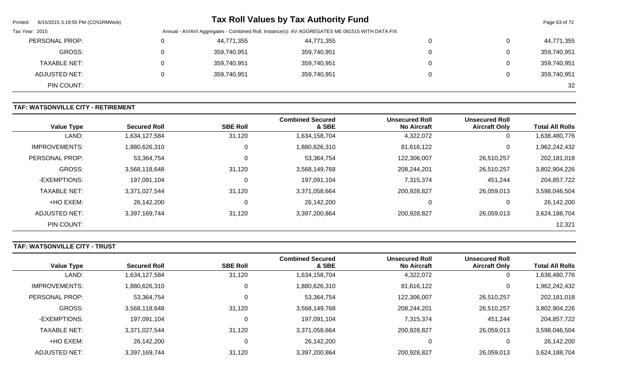| 8/15/2015 3:19:55 PM (CO\GRMWeb)<br>Printed: |             | <b>Tax Roll Values by Tax Authority Fund</b>                                                   |   | Page 63 of 72 |
|----------------------------------------------|-------------|------------------------------------------------------------------------------------------------|---|---------------|
| Tax Year: 2015                               |             | Annual - AV/AVI Aggregates - Combined Roll, Instance(s): AV AGGREGATES ME 081515 WITH DATA FIX |   |               |
| PERSONAL PROP:                               | 44,771,355  | 44,771,355                                                                                     | 0 | 44,771,355    |
| GROSS:                                       | 359,740,951 | 359,740,951                                                                                    | 0 | 359,740,951   |
| <b>TAXABLE NET:</b>                          | 359,740,951 | 359,740,951                                                                                    | 0 | 359,740,951   |
| <b>ADJUSTED NET:</b>                         | 359,740,951 | 359,740,951                                                                                    | 0 | 359,740,951   |
| PIN COUNT:                                   |             |                                                                                                |   | 32            |

### **TAF: WATSONVILLE CITY - RETIREMENT**

| <b>Value Type</b>    | <b>Secured Roll</b> | <b>SBE Roll</b> | <b>Combined Secured</b><br>& SBE | <b>Unsecured Roll</b><br><b>No Aircraft</b> | <b>Unsecured Roll</b><br><b>Aircraft Only</b> | <b>Total All Rolls</b> |
|----------------------|---------------------|-----------------|----------------------------------|---------------------------------------------|-----------------------------------------------|------------------------|
| LAND:                | 1,634,127,584       | 31,120          | 1,634,158,704                    | 4,322,072                                   | 0                                             | 1,638,480,776          |
| <b>IMPROVEMENTS:</b> | 1,880,626,310       | $\mathbf 0$     | 1,880,626,310                    | 81,616,122                                  | 0                                             | 1,962,242,432          |
| PERSONAL PROP:       | 53,364,754          | $\mathbf 0$     | 53,364,754                       | 122,306,007                                 | 26,510,257                                    | 202,181,018            |
| <b>GROSS:</b>        | 3,568,118,648       | 31,120          | 3,568,149,768                    | 208,244,201                                 | 26,510,257                                    | 3,802,904,226          |
| -EXEMPTIONS:         | 197,091,104         | $\mathbf 0$     | 197,091,104                      | 7,315,374                                   | 451,244                                       | 204,857,722            |
| <b>TAXABLE NET:</b>  | 3,371,027,544       | 31,120          | 3,371,058,664                    | 200,928,827                                 | 26,059,013                                    | 3,598,046,504          |
| +HO EXEM:            | 26,142,200          | 0               | 26,142,200                       | 0                                           | 0                                             | 26,142,200             |
| ADJUSTED NET:        | 3,397,169,744       | 31,120          | 3,397,200,864                    | 200,928,827                                 | 26,059,013                                    | 3,624,188,704          |
| PIN COUNT:           |                     |                 |                                  |                                             |                                               | 12,321                 |

# **TAF: WATSONVILLE CITY - TRUST**

|                      |                     |                 | <b>Combined Secured</b> | <b>Unsecured Roll</b> | <b>Unsecured Roll</b> |                        |
|----------------------|---------------------|-----------------|-------------------------|-----------------------|-----------------------|------------------------|
| <b>Value Type</b>    | <b>Secured Roll</b> | <b>SBE Roll</b> | & SBE                   | <b>No Aircraft</b>    | <b>Aircraft Only</b>  | <b>Total All Rolls</b> |
| LAND:                | 1,634,127,584       | 31,120          | 1,634,158,704           | 4,322,072             | 0                     | 1,638,480,776          |
| <b>IMPROVEMENTS:</b> | 1,880,626,310       | 0               | 1,880,626,310           | 81,616,122            | 0                     | 1,962,242,432          |
| PERSONAL PROP:       | 53,364,754          |                 | 53,364,754              | 122,306,007           | 26,510,257            | 202,181,018            |
| GROSS:               | 3,568,118,648       | 31,120          | 3,568,149,768           | 208,244,201           | 26,510,257            | 3,802,904,226          |
| -EXEMPTIONS:         | 197,091,104         | 0               | 197,091,104             | 7,315,374             | 451,244               | 204,857,722            |
| <b>TAXABLE NET:</b>  | 3,371,027,544       | 31,120          | 3,371,058,664           | 200,928,827           | 26,059,013            | 3,598,046,504          |
| +HO EXEM:            | 26,142,200          | 0               | 26,142,200              | υ                     | 0                     | 26,142,200             |
| ADJUSTED NET:        | 3,397,169,744       | 31,120          | 3,397,200,864           | 200,928,827           | 26,059,013            | 3,624,188,704          |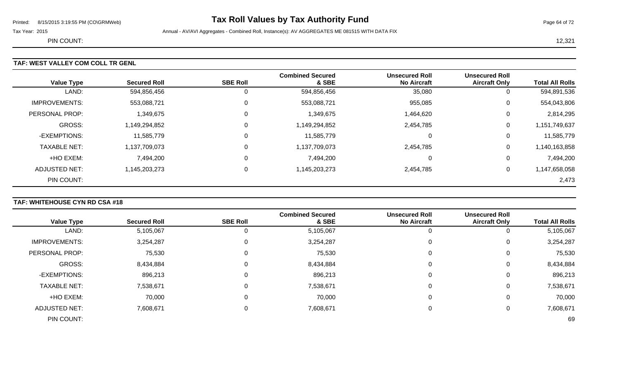# Printed: 8/15/2015 3:19:55 PM (CO\GRMWeb) **Tax Roll Values by Tax Authority Fund** Page 64 of 72

Tax Year: 2015 **Annual - AV/AVI Aggregates - Combined Roll**, Instance(s): AV AGGREGATES ME 081515 WITH DATA FIX

PIN COUNT: 12,321

| <b>Value Type</b>     | <b>Secured Roll</b> | <b>SBE Roll</b> | <b>Combined Secured</b><br>& SBE | <b>Unsecured Roll</b><br><b>No Aircraft</b> | <b>Unsecured Roll</b><br><b>Aircraft Only</b> | <b>Total All Rolls</b> |
|-----------------------|---------------------|-----------------|----------------------------------|---------------------------------------------|-----------------------------------------------|------------------------|
| LAND:                 | 594,856,456         |                 | 594,856,456                      | 35,080                                      | 0                                             | 594,891,536            |
| <b>IMPROVEMENTS:</b>  | 553,088,721         | 0               | 553,088,721                      | 955,085                                     | 0                                             | 554,043,806            |
| <b>PERSONAL PROP:</b> | 1,349,675           | 0               | 1,349,675                        | 1,464,620                                   | $\mathbf 0$                                   | 2,814,295              |
| <b>GROSS:</b>         | 1,149,294,852       |                 | 1,149,294,852                    | 2,454,785                                   | $\mathbf 0$                                   | 1,151,749,637          |
| -EXEMPTIONS:          | 11,585,779          | 0               | 11,585,779                       |                                             | 0                                             | 11,585,779             |
| <b>TAXABLE NET:</b>   | 1,137,709,073       |                 | 1,137,709,073                    | 2,454,785                                   | $\mathbf 0$                                   | 1,140,163,858          |
| +HO EXEM:             | 7,494,200           | 0               | 7,494,200                        |                                             | 0                                             | 7,494,200              |
| <b>ADJUSTED NET:</b>  | 1,145,203,273       | 0               | 1,145,203,273                    | 2,454,785                                   | 0                                             | 1,147,658,058          |
| PIN COUNT:            |                     |                 |                                  |                                             |                                               | 2,473                  |

### **TAF: WHITEHOUSE CYN RD CSA #18**

|                      |                     |                 | <b>Combined Secured</b> | <b>Unsecured Roll</b> | <b>Unsecured Roll</b> |                        |
|----------------------|---------------------|-----------------|-------------------------|-----------------------|-----------------------|------------------------|
| <b>Value Type</b>    | <b>Secured Roll</b> | <b>SBE Roll</b> | & SBE                   | <b>No Aircraft</b>    | <b>Aircraft Only</b>  | <b>Total All Rolls</b> |
| LAND:                | 5,105,067           |                 | 5,105,067               |                       | υ                     | 5,105,067              |
| <b>IMPROVEMENTS:</b> | 3,254,287           | 0               | 3,254,287               | $\Omega$              | 0                     | 3,254,287              |
| PERSONAL PROP:       | 75,530              | 0               | 75,530                  | $\Omega$              | 0                     | 75,530                 |
| <b>GROSS:</b>        | 8,434,884           |                 | 8,434,884               | 0                     | 0                     | 8,434,884              |
| -EXEMPTIONS:         | 896,213             | 0               | 896,213                 | 0                     | 0                     | 896,213                |
| <b>TAXABLE NET:</b>  | 7,538,671           |                 | 7,538,671               | 0                     | 0                     | 7,538,671              |
| +HO EXEM:            | 70,000              | 0               | 70,000                  | $\Omega$              | 0                     | 70,000                 |
| <b>ADJUSTED NET:</b> | 7,608,671           |                 | 7,608,671               | 0                     | 0                     | 7,608,671              |
| PIN COUNT:           |                     |                 |                         |                       |                       | 69                     |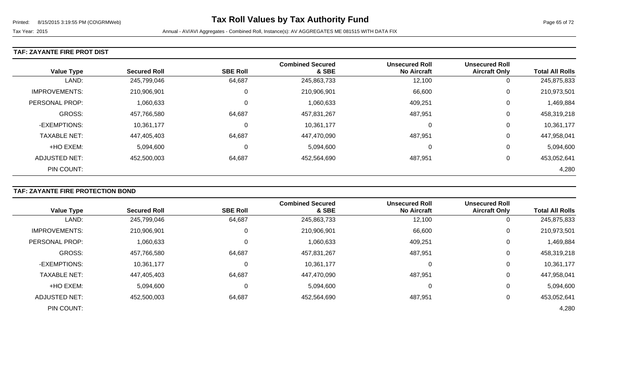#### **TAF: ZAYANTE FIRE PROT DIST**

|                      |                     |                 | <b>Combined Secured</b> | <b>Unsecured Roll</b> | <b>Unsecured Roll</b> |                        |
|----------------------|---------------------|-----------------|-------------------------|-----------------------|-----------------------|------------------------|
| <b>Value Type</b>    | <b>Secured Roll</b> | <b>SBE Roll</b> | & SBE                   | <b>No Aircraft</b>    | <b>Aircraft Only</b>  | <b>Total All Rolls</b> |
| LAND:                | 245,799,046         | 64,687          | 245,863,733             | 12,100                | 0                     | 245,875,833            |
| <b>IMPROVEMENTS:</b> | 210,906,901         | 0               | 210,906,901             | 66,600                | 0                     | 210,973,501            |
| PERSONAL PROP:       | 1,060,633           | 0               | 1,060,633               | 409,251               | 0                     | 1,469,884              |
| <b>GROSS:</b>        | 457,766,580         | 64,687          | 457,831,267             | 487,951               | 0                     | 458,319,218            |
| -EXEMPTIONS:         | 10,361,177          | C               | 10,361,177              | 0                     | 0                     | 10,361,177             |
| <b>TAXABLE NET:</b>  | 447,405,403         | 64,687          | 447,470,090             | 487,951               | 0                     | 447,958,041            |
| +HO EXEM:            | 5,094,600           | 0               | 5,094,600               | 0                     | 0                     | 5,094,600              |
| <b>ADJUSTED NET:</b> | 452,500,003         | 64,687          | 452,564,690             | 487,951               | 0                     | 453,052,641            |
| PIN COUNT:           |                     |                 |                         |                       |                       | 4,280                  |

### **TAF: ZAYANTE FIRE PROTECTION BOND**

|                      |                     |                 | <b>Combined Secured</b> | <b>Unsecured Roll</b> | <b>Unsecured Roll</b> |                        |
|----------------------|---------------------|-----------------|-------------------------|-----------------------|-----------------------|------------------------|
| <b>Value Type</b>    | <b>Secured Roll</b> | <b>SBE Roll</b> | & SBE                   | <b>No Aircraft</b>    | <b>Aircraft Only</b>  | <b>Total All Rolls</b> |
| LAND:                | 245,799,046         | 64,687          | 245,863,733             | 12,100                | 0                     | 245,875,833            |
| <b>IMPROVEMENTS:</b> | 210,906,901         | 0               | 210,906,901             | 66,600                | 0                     | 210,973,501            |
| PERSONAL PROP:       | 1,060,633           | 0               | 1,060,633               | 409,251               | 0                     | 1,469,884              |
| <b>GROSS:</b>        | 457,766,580         | 64,687          | 457,831,267             | 487,951               | 0                     | 458,319,218            |
| -EXEMPTIONS:         | 10,361,177          | 0               | 10,361,177              |                       | 0                     | 10,361,177             |
| <b>TAXABLE NET:</b>  | 447,405,403         | 64,687          | 447,470,090             | 487,951               | 0                     | 447,958,041            |
| +HO EXEM:            | 5,094,600           | 0               | 5,094,600               | 0                     | 0                     | 5,094,600              |
| <b>ADJUSTED NET:</b> | 452,500,003         | 64,687          | 452,564,690             | 487,951               | 0                     | 453,052,641            |
| PIN COUNT:           |                     |                 |                         |                       |                       | 4,280                  |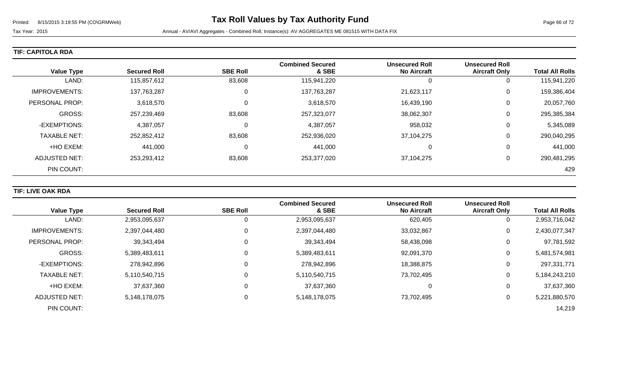| TIF: CAPITOLA RDA |  |
|-------------------|--|
|-------------------|--|

| <b>Value Type</b>     | <b>Secured Roll</b> | <b>SBE Roll</b> | <b>Combined Secured</b><br>& SBE | <b>Unsecured Roll</b><br><b>No Aircraft</b> | <b>Unsecured Roll</b><br><b>Aircraft Only</b> | <b>Total All Rolls</b> |
|-----------------------|---------------------|-----------------|----------------------------------|---------------------------------------------|-----------------------------------------------|------------------------|
| LAND:                 | 115,857,612         | 83,608          | 115,941,220                      |                                             | 0                                             | 115,941,220            |
| <b>IMPROVEMENTS:</b>  | 137,763,287         | 0               | 137,763,287                      | 21,623,117                                  | 0                                             | 159,386,404            |
| <b>PERSONAL PROP:</b> | 3,618,570           | 0               | 3,618,570                        | 16,439,190                                  | 0                                             | 20,057,760             |
| <b>GROSS:</b>         | 257,239,469         | 83,608          | 257,323,077                      | 38,062,307                                  | 0                                             | 295,385,384            |
| -EXEMPTIONS:          | 4,387,057           | 0               | 4,387,057                        | 958,032                                     | 0                                             | 5,345,089              |
| <b>TAXABLE NET:</b>   | 252,852,412         | 83,608          | 252,936,020                      | 37,104,275                                  | 0                                             | 290,040,295            |
| +HO EXEM:             | 441,000             | 0               | 441,000                          | 0                                           | 0                                             | 441,000                |
| <b>ADJUSTED NET:</b>  | 253,293,412         | 83,608          | 253,377,020                      | 37,104,275                                  | 0                                             | 290,481,295            |
| PIN COUNT:            |                     |                 |                                  |                                             |                                               | 429                    |

### **TIF: LIVE OAK RDA**

|                      |                     |                 | <b>Combined Secured</b> | <b>Unsecured Roll</b> | <b>Unsecured Roll</b> |                        |
|----------------------|---------------------|-----------------|-------------------------|-----------------------|-----------------------|------------------------|
| <b>Value Type</b>    | <b>Secured Roll</b> | <b>SBE Roll</b> | & SBE                   | <b>No Aircraft</b>    | <b>Aircraft Only</b>  | <b>Total All Rolls</b> |
| LAND:                | 2,953,095,637       | 0               | 2,953,095,637           | 620,405               | 0                     | 2,953,716,042          |
| <b>IMPROVEMENTS:</b> | 2,397,044,480       | 0               | 2,397,044,480           | 33,032,867            | 0                     | 2,430,077,347          |
| PERSONAL PROP:       | 39,343,494          | 0               | 39,343,494              | 58,438,098            | 0                     | 97,781,592             |
| <b>GROSS:</b>        | 5,389,483,611       | $\Omega$        | 5,389,483,611           | 92,091,370            | 0                     | 5,481,574,981          |
| -EXEMPTIONS:         | 278,942,896         | 0               | 278,942,896             | 18,388,875            | 0                     | 297,331,771            |
| <b>TAXABLE NET:</b>  | 5,110,540,715       | $\Omega$        | 5,110,540,715           | 73,702,495            | $\mathbf 0$           | 5,184,243,210          |
| +HO EXEM:            | 37,637,360          | $\Omega$        | 37,637,360              | 0                     | 0                     | 37,637,360             |
| <b>ADJUSTED NET:</b> | 5,148,178,075       | 0               | 5,148,178,075           | 73,702,495            | 0                     | 5,221,880,570          |
| PIN COUNT:           |                     |                 |                         |                       |                       | 14,219                 |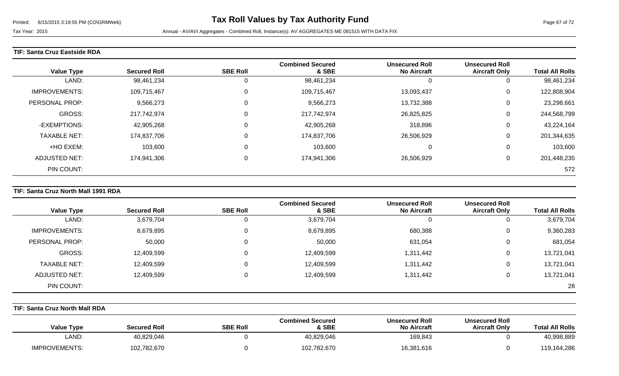### **TIF: Santa Cruz Eastside RDA**

| <b>Value Type</b>    | <b>Secured Roll</b> | <b>SBE Roll</b> | <b>Combined Secured</b><br>& SBE | <b>Unsecured Roll</b><br><b>No Aircraft</b> | <b>Unsecured Roll</b><br><b>Aircraft Only</b> | <b>Total All Rolls</b> |
|----------------------|---------------------|-----------------|----------------------------------|---------------------------------------------|-----------------------------------------------|------------------------|
| LAND:                | 98,461,234          | 0               | 98,461,234                       |                                             | 0                                             | 98,461,234             |
| <b>IMPROVEMENTS:</b> | 109,715,467         | 0               | 109,715,467                      | 13,093,437                                  | 0                                             | 122,808,904            |
| PERSONAL PROP:       | 9,566,273           | 0               | 9,566,273                        | 13,732,388                                  | 0                                             | 23,298,661             |
| GROSS:               | 217,742,974         | $\pmb{0}$       | 217,742,974                      | 26,825,825                                  | 0                                             | 244,568,799            |
| -EXEMPTIONS:         | 42,905,268          | 0               | 42,905,268                       | 318,896                                     | 0                                             | 43,224,164             |
| <b>TAXABLE NET:</b>  | 174,837,706         | 0               | 174,837,706                      | 26,506,929                                  | 0                                             | 201,344,635            |
| +HO EXEM:            | 103,600             | 0               | 103,600                          | $\Omega$                                    | 0                                             | 103,600                |
| <b>ADJUSTED NET:</b> | 174,941,306         | $\pmb{0}$       | 174,941,306                      | 26,506,929                                  | 0                                             | 201,448,235            |
| PIN COUNT:           |                     |                 |                                  |                                             |                                               | 572                    |

### **TIF: Santa Cruz North Mall 1991 RDA**

|                      |                     |                 | <b>Combined Secured</b> | <b>Unsecured Roll</b> | <b>Unsecured Roll</b> |                        |
|----------------------|---------------------|-----------------|-------------------------|-----------------------|-----------------------|------------------------|
| <b>Value Type</b>    | <b>Secured Roll</b> | <b>SBE Roll</b> | & SBE                   | <b>No Aircraft</b>    | <b>Aircraft Only</b>  | <b>Total All Rolls</b> |
| LAND:                | 3,679,704           |                 | 3,679,704               | 0                     |                       | 3,679,704              |
| <b>IMPROVEMENTS:</b> | 8,679,895           | 0               | 8,679,895               | 680,388               | 0                     | 9,360,283              |
| PERSONAL PROP:       | 50,000              |                 | 50,000                  | 631,054               | 0                     | 681,054                |
| GROSS:               | 12,409,599          |                 | 12,409,599              | 1,311,442             | 0                     | 13,721,041             |
| <b>TAXABLE NET:</b>  | 12,409,599          | 0               | 12,409,599              | 311,442.              | 0                     | 13,721,041             |
| ADJUSTED NET:        | 12,409,599          |                 | 12,409,599              | 1,311,442             |                       | 13,721,041             |
| PIN COUNT:           |                     |                 |                         |                       |                       | 28                     |

### **TIF: Santa Cruz North Mall RDA**

| <b>Value Type</b>    | <b>Secured Roll</b> | <b>SBE Roll</b> | <b>Combined Secured</b><br>& SBE | <b>Unsecured Roll</b><br><b>No Aircraft</b> | <b>Unsecured Roll</b><br><b>Aircraft Only</b> | <b>Total All Rolls</b> |
|----------------------|---------------------|-----------------|----------------------------------|---------------------------------------------|-----------------------------------------------|------------------------|
| LAND:                | 40,829,046          |                 | 40,829,046                       | 169,843                                     |                                               | 40,998,889             |
| <b>IMPROVEMENTS:</b> | 102,782,670         |                 | 102,782,670                      | 16,381,616                                  |                                               | 119,164,286            |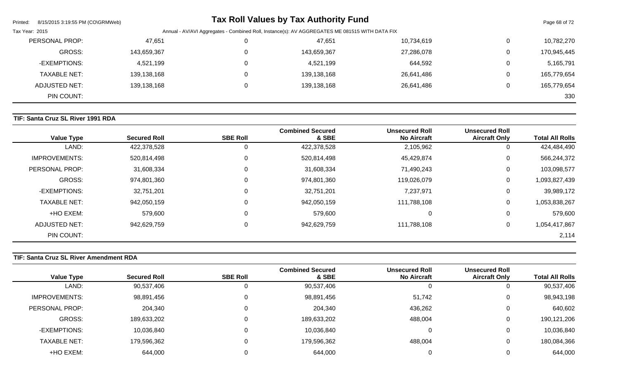| Printed:<br>8/15/2015 3:19:55 PM (CO\GRMWeb) |             |          | <b>Tax Roll Values by Tax Authority Fund</b>                                                   |            |   | Page 68 of 72 |
|----------------------------------------------|-------------|----------|------------------------------------------------------------------------------------------------|------------|---|---------------|
| Tax Year: 2015                               |             |          | Annual - AV/AVI Aggregates - Combined Roll, Instance(s): AV AGGREGATES ME 081515 WITH DATA FIX |            |   |               |
| PERSONAL PROP:                               | 47,651      |          | 47,651                                                                                         | 10,734,619 |   | 10,782,270    |
| <b>GROSS:</b>                                | 143,659,367 | 0        | 143,659,367                                                                                    | 27,286,078 | 0 | 170,945,445   |
| -EXEMPTIONS:                                 | 4,521,199   | $\Omega$ | 4,521,199                                                                                      | 644,592    | 0 | 5,165,791     |
| <b>TAXABLE NET:</b>                          | 139,138,168 | 0        | 139,138,168                                                                                    | 26,641,486 | 0 | 165,779,654   |
| ADJUSTED NET:                                | 139,138,168 | 0        | 139,138,168                                                                                    | 26,641,486 | 0 | 165,779,654   |
| PIN COUNT:                                   |             |          |                                                                                                |            |   | 330           |

# **TIF: Santa Cruz SL River 1991 RDA**

| <b>Value Type</b>    | <b>Secured Roll</b> | <b>SBE Roll</b> | <b>Combined Secured</b><br>& SBE | <b>Unsecured Roll</b><br><b>No Aircraft</b> | <b>Unsecured Roll</b><br><b>Aircraft Only</b> | <b>Total All Rolls</b> |
|----------------------|---------------------|-----------------|----------------------------------|---------------------------------------------|-----------------------------------------------|------------------------|
| LAND:                | 422,378,528         | 0               | 422,378,528                      | 2,105,962                                   | 0                                             | 424,484,490            |
| <b>IMPROVEMENTS:</b> | 520,814,498         | 0               | 520,814,498                      | 45,429,874                                  | $\overline{0}$                                | 566,244,372            |
| PERSONAL PROP:       | 31,608,334          | 0               | 31,608,334                       | 71,490,243                                  | 0                                             | 103,098,577            |
| <b>GROSS:</b>        | 974,801,360         | 0               | 974,801,360                      | 119,026,079                                 | $\mathbf 0$                                   | 1,093,827,439          |
| -EXEMPTIONS:         | 32,751,201          | 0               | 32,751,201                       | 7,237,971                                   | 0                                             | 39,989,172             |
| <b>TAXABLE NET:</b>  | 942,050,159         | 0               | 942,050,159                      | 111,788,108                                 | $\mathbf 0$                                   | 1,053,838,267          |
| +HO EXEM:            | 579,600             | 0               | 579,600                          |                                             | 0                                             | 579,600                |
| <b>ADJUSTED NET:</b> | 942,629,759         | 0               | 942,629,759                      | 111,788,108                                 | $\mathbf 0$                                   | 1,054,417,867          |
| PIN COUNT:           |                     |                 |                                  |                                             |                                               | 2,114                  |

# **TIF: Santa Cruz SL River Amendment RDA**

|                     |                     |                 | <b>Combined Secured</b> | <b>Unsecured Roll</b> | <b>Unsecured Roll</b> |                        |
|---------------------|---------------------|-----------------|-------------------------|-----------------------|-----------------------|------------------------|
| <b>Value Type</b>   | <b>Secured Roll</b> | <b>SBE Roll</b> | & SBE                   | <b>No Aircraft</b>    | <b>Aircraft Only</b>  | <b>Total All Rolls</b> |
| LAND:               | 90,537,406          |                 | 90,537,406              |                       | 0                     | 90,537,406             |
| IMPROVEMENTS:       | 98,891,456          |                 | 98,891,456              | 51,742                | $\overline{0}$        | 98,943,198             |
| PERSONAL PROP:      | 204,340             |                 | 204,340                 | 436,262               | 0                     | 640,602                |
| GROSS:              | 189,633,202         |                 | 189,633,202             | 488,004               | 0                     | 190,121,206            |
| -EXEMPTIONS:        | 10,036,840          |                 | 10,036,840              |                       | 0                     | 10,036,840             |
| <b>TAXABLE NET:</b> | 179,596,362         |                 | 179,596,362             | 488,004               | 0                     | 180,084,366            |
| +HO EXEM:           | 644,000             |                 | 644,000                 |                       | 0                     | 644,000                |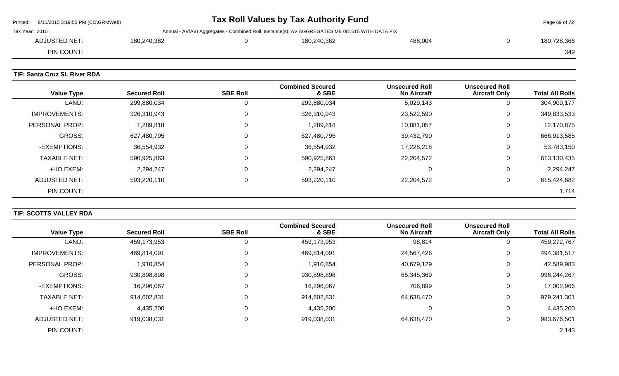|                | Printed: 8/15/2015 3:19:55 PM (CO\GRMWeb) |             | Tax Roll Values by Tax Authority Fund                                                          |         | Page 69 of 72 |
|----------------|-------------------------------------------|-------------|------------------------------------------------------------------------------------------------|---------|---------------|
| Tax Year: 2015 |                                           |             | Annual - AV/AVI Aggregates - Combined Roll, Instance(s): AV AGGREGATES ME 081515 WITH DATA FIX |         |               |
|                | ADJUSTED NET:                             | 180.240.362 | 180.240.362                                                                                    | 488.004 | 180,728,366   |
|                | PIN COUNT:                                |             |                                                                                                |         | 349           |
|                |                                           |             |                                                                                                |         |               |

# **TIF: Santa Cruz SL River RDA**

| <b>Value Type</b>    | <b>Secured Roll</b> | <b>SBE Roll</b> | <b>Combined Secured</b><br>& SBE | <b>Unsecured Roll</b><br><b>No Aircraft</b> | <b>Unsecured Roll</b><br><b>Aircraft Only</b> | <b>Total All Rolls</b> |
|----------------------|---------------------|-----------------|----------------------------------|---------------------------------------------|-----------------------------------------------|------------------------|
| LAND:                | 299,880,034         | 0               | 299,880,034                      | 5,029,143                                   | υ                                             | 304,909,177            |
| <b>IMPROVEMENTS:</b> | 326,310,943         | 0               | 326,310,943                      | 23,522,590                                  | U                                             | 349,833,533            |
| PERSONAL PROP:       | 1,289,818           | 0               | 1,289,818                        | 10,881,057                                  | U                                             | 12,170,875             |
| <b>GROSS:</b>        | 627,480,795         | 0               | 627,480,795                      | 39,432,790                                  | U                                             | 666,913,585            |
| -EXEMPTIONS:         | 36,554,932          | 0               | 36,554,932                       | 17,228,218                                  | υ                                             | 53,783,150             |
| <b>TAXABLE NET:</b>  | 590,925,863         | 0               | 590,925,863                      | 22,204,572                                  | U                                             | 613,130,435            |
| +HO EXEM:            | 2,294,247           | 0               | 2,294,247                        | $\Omega$                                    | U                                             | 2,294,247              |
| ADJUSTED NET:        | 593,220,110         | 0               | 593,220,110                      | 22,204,572                                  | U                                             | 615,424,682            |
| PIN COUNT:           |                     |                 |                                  |                                             |                                               | 1,714                  |

# **TIF: SCOTTS VALLEY RDA**

| <b>Value Type</b>   | <b>Secured Roll</b> | <b>SBE Roll</b> | <b>Combined Secured</b><br>& SBE | <b>Unsecured Roll</b><br><b>No Aircraft</b> | <b>Unsecured Roll</b><br><b>Aircraft Only</b> | <b>Total All Rolls</b> |
|---------------------|---------------------|-----------------|----------------------------------|---------------------------------------------|-----------------------------------------------|------------------------|
| LAND:               | 459,173,953         | 0               | 459,173,953                      | 98,814                                      |                                               | 459,272,767            |
| IMPROVEMENTS:       | 469,814,091         | 0               | 469,814,091                      | 24,567,426                                  | 0                                             | 494,381,517            |
| PERSONAL PROP:      | 1,910,854           | $\Omega$        | 1,910,854                        | 40,679,129                                  | 0                                             | 42,589,983             |
| <b>GROSS:</b>       | 930,898,898         | 0               | 930,898,898                      | 65,345,369                                  | 0                                             | 996,244,267            |
| -EXEMPTIONS:        | 16,296,067          | 0               | 16,296,067                       | 706,899                                     | 0                                             | 17,002,966             |
| <b>TAXABLE NET:</b> | 914,602,831         | 0               | 914,602,831                      | 64,638,470                                  | 0                                             | 979,241,301            |
| +HO EXEM:           | 4,435,200           | 0               | 4,435,200                        |                                             | $\Omega$                                      | 4,435,200              |
| ADJUSTED NET:       | 919,038,031         | $\mathbf 0$     | 919,038,031                      | 64,638,470                                  | 0                                             | 983,676,501            |
| PIN COUNT:          |                     |                 |                                  |                                             |                                               | 2,143                  |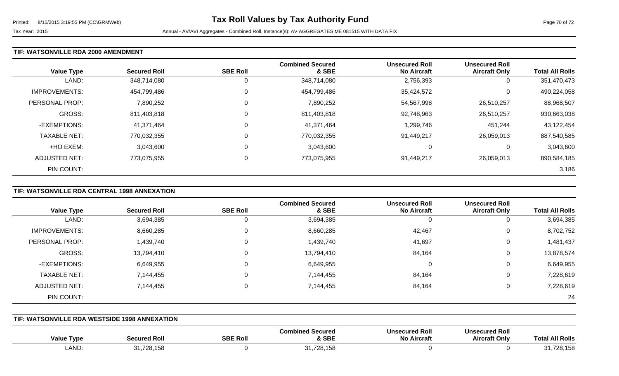#### **TIF: WATSONVILLE RDA 2000 AMENDMENT**

| <b>Value Type</b>    | <b>Secured Roll</b> | <b>SBE Roll</b> | <b>Combined Secured</b><br>& SBE | <b>Unsecured Roll</b><br><b>No Aircraft</b> | <b>Unsecured Roll</b><br><b>Aircraft Only</b> | <b>Total All Rolls</b> |
|----------------------|---------------------|-----------------|----------------------------------|---------------------------------------------|-----------------------------------------------|------------------------|
| LAND:                | 348,714,080         | 0               | 348,714,080                      | 2,756,393                                   | 0                                             | 351,470,473            |
| <b>IMPROVEMENTS:</b> | 454,799,486         | $\mathbf 0$     | 454,799,486                      | 35,424,572                                  | 0                                             | 490,224,058            |
| PERSONAL PROP:       | 7,890,252           | $\mathbf 0$     | 7,890,252                        | 54,567,998                                  | 26,510,257                                    | 88,968,507             |
| <b>GROSS:</b>        | 811,403,818         | 0               | 811,403,818                      | 92,748,963                                  | 26,510,257                                    | 930,663,038            |
| -EXEMPTIONS:         | 41,371,464          | 0               | 41,371,464                       | 1,299,746                                   | 451,244                                       | 43,122,454             |
| <b>TAXABLE NET:</b>  | 770,032,355         | 0               | 770,032,355                      | 91,449,217                                  | 26,059,013                                    | 887,540,585            |
| +HO EXEM:            | 3,043,600           | 0               | 3,043,600                        | C                                           | 0                                             | 3,043,600              |
| ADJUSTED NET:        | 773,075,955         | 0               | 773,075,955                      | 91,449,217                                  | 26,059,013                                    | 890,584,185            |
| PIN COUNT:           |                     |                 |                                  |                                             |                                               | 3,186                  |

# **TIF: WATSONVILLE RDA CENTRAL 1998 ANNEXATION**

|                      |                     |                 | <b>Combined Secured</b> | <b>Unsecured Roll</b> | <b>Unsecured Roll</b> |                        |
|----------------------|---------------------|-----------------|-------------------------|-----------------------|-----------------------|------------------------|
| <b>Value Type</b>    | <b>Secured Roll</b> | <b>SBE Roll</b> | & SBE                   | <b>No Aircraft</b>    | <b>Aircraft Only</b>  | <b>Total All Rolls</b> |
| LAND:                | 3,694,385           | U               | 3,694,385               | 0                     | 0                     | 3,694,385              |
| <b>IMPROVEMENTS:</b> | 8,660,285           | 0               | 8,660,285               | 42,467                | 0                     | 8,702,752              |
| PERSONAL PROP:       | 1,439,740           | 0               | 1,439,740               | 41,697                | 0                     | 1,481,437              |
| GROSS:               | 13,794,410          |                 | 13,794,410              | 84,164                | 0                     | 13,878,574             |
| -EXEMPTIONS:         | 6,649,955           | 0               | 6,649,955               | 0                     | 0                     | 6,649,955              |
| <b>TAXABLE NET:</b>  | 7,144,455           |                 | 7,144,455               | 84,164                | 0                     | 7,228,619              |
| ADJUSTED NET:        | 7,144,455           |                 | 7,144,455               | 84,164                | 0                     | 7,228,619              |
| PIN COUNT:           |                     |                 |                         |                       |                       | -24                    |

#### **TIF: WATSONVILLE RDA WESTSIDE 1998 ANNEXATION**

| <b>Value Type</b> | <b>Secured Rol'</b>       | <b>SBE Roll</b> | <b>Combined Secured</b><br>& SBE                                           | <b>Unsecured Roll</b><br>No Aircraft | secured Roll<br>Uns.<br>Aircraft Onlv | <b>All Rolls</b><br>Tota |
|-------------------|---------------------------|-----------------|----------------------------------------------------------------------------|--------------------------------------|---------------------------------------|--------------------------|
| LAND:             | $\mathbf{A}$<br>1.728.158 |                 | 24,729,459<br>.<br>$\sim$ $\sim$ $\sim$ $\sim$ $\sim$ $\sim$ $\sim$ $\sim$ |                                      |                                       | 728,158<br><b>0</b>      |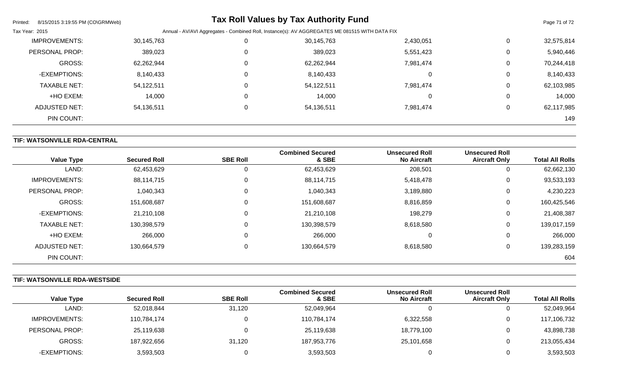| Printed:<br>8/15/2015 3:19:55 PM (CO\GRMWeb) |            |          | <b>Tax Roll Values by Tax Authority Fund</b>                                                   |           |             | Page 71 of 72 |
|----------------------------------------------|------------|----------|------------------------------------------------------------------------------------------------|-----------|-------------|---------------|
| Tax Year: 2015                               |            |          | Annual - AV/AVI Aggregates - Combined Roll, Instance(s): AV AGGREGATES ME 081515 WITH DATA FIX |           |             |               |
| <b>IMPROVEMENTS:</b>                         | 30,145,763 |          | 30,145,763                                                                                     | 2,430,051 | 0           | 32,575,814    |
| PERSONAL PROP:                               | 389,023    | 0        | 389,023                                                                                        | 5,551,423 | $\mathbf 0$ | 5,940,446     |
| <b>GROSS:</b>                                | 62,262,944 | $\Omega$ | 62,262,944                                                                                     | 7,981,474 | 0           | 70,244,418    |
| -EXEMPTIONS:                                 | 8,140,433  | 0        | 8,140,433                                                                                      | 0         | $\mathbf 0$ | 8,140,433     |
| <b>TAXABLE NET:</b>                          | 54,122,511 |          | 54,122,511                                                                                     | 7,981,474 | $\mathbf 0$ | 62,103,985    |
| +HO EXEM:                                    | 14,000     | $\Omega$ | 14,000                                                                                         | 0         | 0           | 14,000        |
| <b>ADJUSTED NET:</b>                         | 54,136,511 |          | 54,136,511                                                                                     | 7,981,474 | 0           | 62,117,985    |
| PIN COUNT:                                   |            |          |                                                                                                |           |             | 149           |

# **TIF: WATSONVILLE RDA-CENTRAL**

| <b>Value Type</b>    | <b>Secured Roll</b> | <b>SBE Roll</b> | <b>Combined Secured</b><br>& SBE | <b>Unsecured Roll</b><br><b>No Aircraft</b> | <b>Unsecured Roll</b><br><b>Aircraft Only</b> | <b>Total All Rolls</b> |
|----------------------|---------------------|-----------------|----------------------------------|---------------------------------------------|-----------------------------------------------|------------------------|
| LAND:                | 62,453,629          | 0               | 62,453,629                       | 208,501                                     | υ                                             | 62,662,130             |
| <b>IMPROVEMENTS:</b> | 88,114,715          | $\mathbf 0$     | 88,114,715                       | 5,418,478                                   | U                                             | 93,533,193             |
| PERSONAL PROP:       | 1,040,343           | 0               | 1,040,343                        | 3,189,880                                   | U                                             | 4,230,223              |
| <b>GROSS:</b>        | 151,608,687         | $\mathbf 0$     | 151,608,687                      | 8,816,859                                   | 0                                             | 160,425,546            |
| -EXEMPTIONS:         | 21,210,108          | $\mathbf 0$     | 21,210,108                       | 198,279                                     | 0                                             | 21,408,387             |
| <b>TAXABLE NET:</b>  | 130,398,579         | $\mathbf 0$     | 130,398,579                      | 8,618,580                                   | 0                                             | 139,017,159            |
| +HO EXEM:            | 266,000             | 0               | 266,000                          | $\Omega$                                    | 0                                             | 266,000                |
| ADJUSTED NET:        | 130,664,579         | 0               | 130,664,579                      | 8,618,580                                   | U                                             | 139,283,159            |
| PIN COUNT:           |                     |                 |                                  |                                             |                                               | 604                    |

# **TIF: WATSONVILLE RDA-WESTSIDE**

|                      |                     |                 | <b>Combined Secured</b> | <b>Unsecured Roll</b> | <b>Unsecured Roll</b> |                        |
|----------------------|---------------------|-----------------|-------------------------|-----------------------|-----------------------|------------------------|
| <b>Value Type</b>    | <b>Secured Roll</b> | <b>SBE Roll</b> | & SBE                   | <b>No Aircraft</b>    | <b>Aircraft Only</b>  | <b>Total All Rolls</b> |
| LAND:                | 52,018,844          | 31,120          | 52,049,964              |                       | υ                     | 52,049,964             |
| <b>IMPROVEMENTS:</b> | 110,784,174         |                 | 110,784,174             | 6,322,558             | 0                     | 117,106,732            |
| PERSONAL PROP:       | 25,119,638          |                 | 25,119,638              | 18,779,100            | 0                     | 43,898,738             |
| GROSS:               | 187,922,656         | 31,120          | 187,953,776             | 25,101,658            | 0                     | 213,055,434            |
| -EXEMPTIONS:         | 3,593,503           |                 | 3,593,503               |                       | 0                     | 3,593,503              |